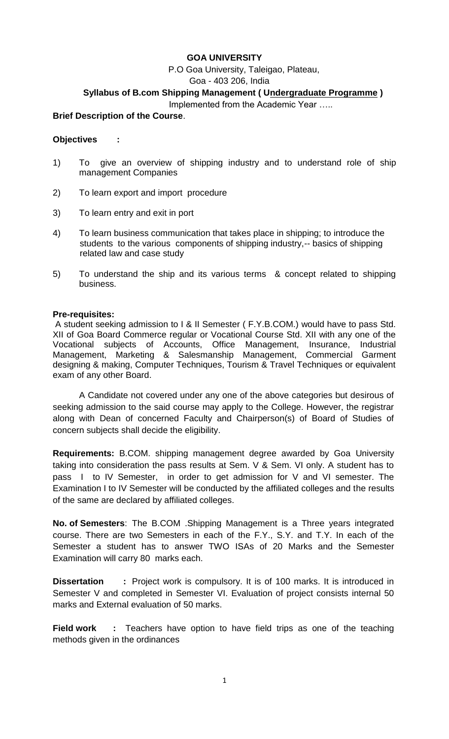## **GOA UNIVERSITY**

P.O Goa University, Taleigao, Plateau,

Goa - 403 206, India

## **Syllabus of B.com Shipping Management ( Undergraduate Programme )**

Implemented from the Academic Year …..

#### **Brief Description of the Course**.

#### **Objectives :**

- 1) To give an overview of shipping industry and to understand role of ship management Companies
- 2) To learn export and import procedure
- 3) To learn entry and exit in port
- 4) To learn business communication that takes place in shipping; to introduce the students to the various components of shipping industry,-- basics of shipping related law and case study
- 5) To understand the ship and its various terms & concept related to shipping business.

#### **Pre-requisites:**

A student seeking admission to I & II Semester ( F.Y.B.COM.) would have to pass Std. XII of Goa Board Commerce regular or Vocational Course Std. XII with any one of the Vocational subjects of Accounts, Office Management, Insurance, Industrial Management, Marketing & Salesmanship Management, Commercial Garment designing & making, Computer Techniques, Tourism & Travel Techniques or equivalent exam of any other Board.

A Candidate not covered under any one of the above categories but desirous of seeking admission to the said course may apply to the College. However, the registrar along with Dean of concerned Faculty and Chairperson(s) of Board of Studies of concern subjects shall decide the eligibility.

**Requirements:** B.COM. shipping management degree awarded by Goa University taking into consideration the pass results at Sem. V & Sem. VI only. A student has to pass I to IV Semester, in order to get admission for V and VI semester. The Examination I to IV Semester will be conducted by the affiliated colleges and the results of the same are declared by affiliated colleges.

**No. of Semesters**: The B.COM .Shipping Management is a Three years integrated course. There are two Semesters in each of the F.Y., S.Y. and T.Y. In each of the Semester a student has to answer TWO ISAs of 20 Marks and the Semester Examination will carry 80 marks each.

**Dissertation :** Project work is compulsory. It is of 100 marks. It is introduced in Semester V and completed in Semester VI. Evaluation of project consists internal 50 marks and External evaluation of 50 marks.

**Field work :** Teachers have option to have field trips as one of the teaching methods given in the ordinances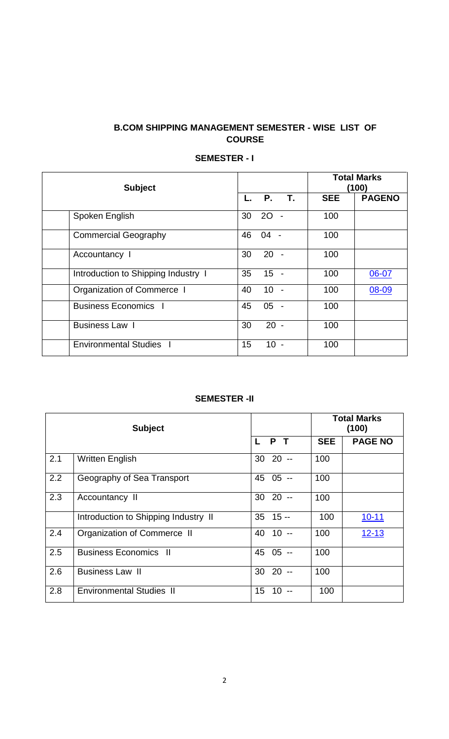## **B.COM SHIPPING MANAGEMENT SEMESTER - WISE LIST OF COURSE**

| <b>Subject</b>                      |    |           |    | <b>Total Marks</b><br>(100) |               |  |
|-------------------------------------|----|-----------|----|-----------------------------|---------------|--|
|                                     |    | <b>P.</b> | T. | <b>SEE</b>                  | <b>PAGENO</b> |  |
| Spoken English                      | 30 | 2O        |    | 100                         |               |  |
| <b>Commercial Geography</b>         | 46 | $04 -$    |    | 100                         |               |  |
| Accountancy I                       | 30 | $20 -$    |    | 100                         |               |  |
| Introduction to Shipping Industry 1 | 35 | $15 -$    |    | 100                         | 06-07         |  |
| Organization of Commerce I          | 40 | 10        |    | 100                         | 08-09         |  |
| <b>Business Economics</b>           | 45 | 05        |    | 100                         |               |  |
| Business Law 1                      | 30 | $20 -$    |    | 100                         |               |  |
| <b>Environmental Studies</b>        | 15 | $10 -$    |    | 100                         |               |  |

## **SEMESTER - I**

## **SEMESTER -II**

|     | <b>Subject</b>                       |            |        | <b>Total Marks</b><br>(100) |                |  |
|-----|--------------------------------------|------------|--------|-----------------------------|----------------|--|
|     |                                      | L          | P T    | <b>SEE</b>                  | <b>PAGE NO</b> |  |
| 2.1 | <b>Written English</b>               | 30         | -- 20  | 100                         |                |  |
| 2.2 | Geography of Sea Transport           | 45         | $05 -$ | 100                         |                |  |
| 2.3 | Accountancy II                       | $3020 -$   |        | 100                         |                |  |
|     | Introduction to Shipping Industry II | $35$ 15 -- |        | 100                         | $10 - 11$      |  |
| 2.4 | Organization of Commerce II          | 40         | $10 -$ | 100                         | $12 - 13$      |  |
| 2.5 | <b>Business Economics II</b>         | 45         | $05 -$ | 100                         |                |  |
| 2.6 | <b>Business Law II</b>               | 30         | $20 -$ | 100                         |                |  |
| 2.8 | <b>Environmental Studies II</b>      | 15<br>10   |        | 100                         |                |  |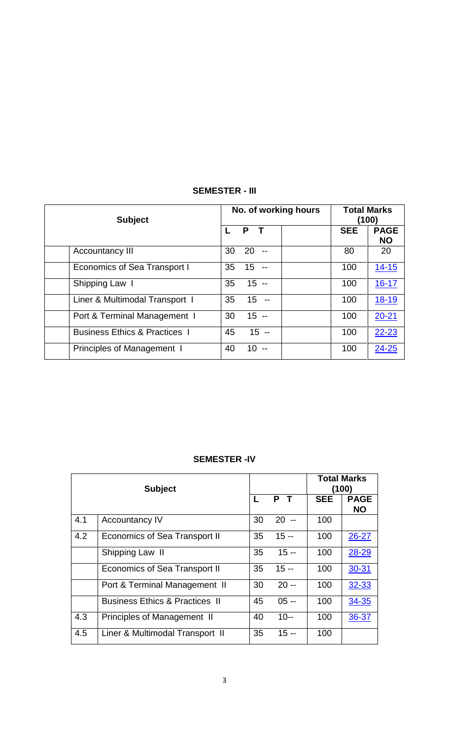| <b>SEMESTER - III</b> |
|-----------------------|
|-----------------------|

| <b>Subject</b>                           | No. of working hours  | <b>Total Marks</b><br>(100)            |  |
|------------------------------------------|-----------------------|----------------------------------------|--|
|                                          | P<br>L                | <b>SEE</b><br><b>PAGE</b><br><b>NO</b> |  |
| <b>Accountancy III</b>                   | 20<br>30              | 80<br>20                               |  |
| <b>Economics of Sea Transport I</b>      | 15<br>35              | $14 - 15$<br>100                       |  |
| Shipping Law I                           | $15 -$<br>35          | $16 - 17$<br>100                       |  |
| Liner & Multimodal Transport I           | $15 -$<br>35          | 18-19<br>100                           |  |
| Port & Terminal Management 1             | $15 -$<br>30          | $20 - 21$<br>100                       |  |
| <b>Business Ethics &amp; Practices 1</b> | $15 -$<br>45          | $22 - 23$<br>100                       |  |
| <b>Principles of Management 1</b>        | 40<br>10 <sup>°</sup> | $24 - 25$<br>100                       |  |

| <b>SEMESTER-IV</b> |  |
|--------------------|--|
|--------------------|--|

| <b>Subject</b> |                                           |    |        |            | <b>Total Marks</b><br>(100) |
|----------------|-------------------------------------------|----|--------|------------|-----------------------------|
|                |                                           | L  | P T    | <b>SEE</b> | <b>PAGE</b><br><b>NO</b>    |
| 4.1            | <b>Accountancy IV</b>                     | 30 | $20 -$ | 100        |                             |
| 4.2            | <b>Economics of Sea Transport II</b>      | 35 | $15 -$ | 100        | 26-27                       |
|                | Shipping Law II                           | 35 | $15 -$ | 100        | 28-29                       |
|                | <b>Economics of Sea Transport II</b>      | 35 | $15 -$ | 100        | $30 - 31$                   |
|                | Port & Terminal Management II             | 30 | $20 -$ | 100        | 32-33                       |
|                | <b>Business Ethics &amp; Practices II</b> | 45 | $05 -$ | 100        | 34-35                       |
| 4.3            | <b>Principles of Management II</b>        | 40 | $10 -$ | 100        | 36-37                       |
| 4.5            | Liner & Multimodal Transport II           | 35 | $15 -$ | 100        |                             |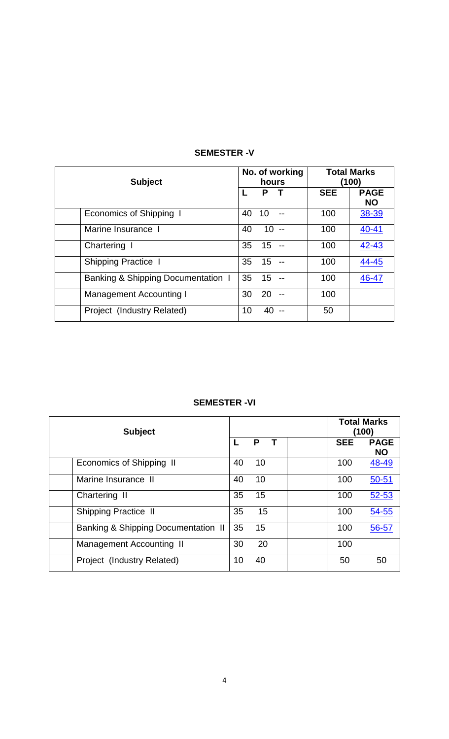| <b>Subject</b>                     |    | hours  | No. of working | <b>Total Marks</b><br>(100) |                          |
|------------------------------------|----|--------|----------------|-----------------------------|--------------------------|
|                                    |    | Р      |                | <b>SEE</b>                  | <b>PAGE</b><br><b>NO</b> |
| Economics of Shipping I            | 40 | 10     |                | 100                         | 38-39                    |
| Marine Insurance I                 | 40 | $10 -$ |                | 100                         | $40 - 41$                |
| Chartering I                       | 35 | 15     |                | 100                         | $42 - 43$                |
| <b>Shipping Practice I</b>         | 35 | 15     |                | 100                         | 44-45                    |
| Banking & Shipping Documentation I | 35 | 15     |                | 100                         | 46-47                    |
| <b>Management Accounting I</b>     | 30 | 20     |                | 100                         |                          |
| Project (Industry Related)         | 10 | 40     |                | 50                          |                          |

## **SEMESTER -V**

## **SEMESTER -VI**

| <b>Subject</b>                                 |    |    | <b>Total Marks</b><br>(100) |                          |
|------------------------------------------------|----|----|-----------------------------|--------------------------|
|                                                |    | Ρ  | <b>SEE</b>                  | <b>PAGE</b><br><b>NO</b> |
| Economics of Shipping II                       | 40 | 10 | 100                         | 48-49                    |
| Marine Insurance II                            | 40 | 10 | 100                         | $50 - 51$                |
| Chartering II                                  | 35 | 15 | 100                         | 52-53                    |
| <b>Shipping Practice II</b>                    | 35 | 15 | 100                         | $54 - 55$                |
| <b>Banking &amp; Shipping Documentation II</b> | 35 | 15 | 100                         | 56-57                    |
| Management Accounting II                       | 30 | 20 | 100                         |                          |
| Project (Industry Related)                     | 10 | 40 | 50                          | 50                       |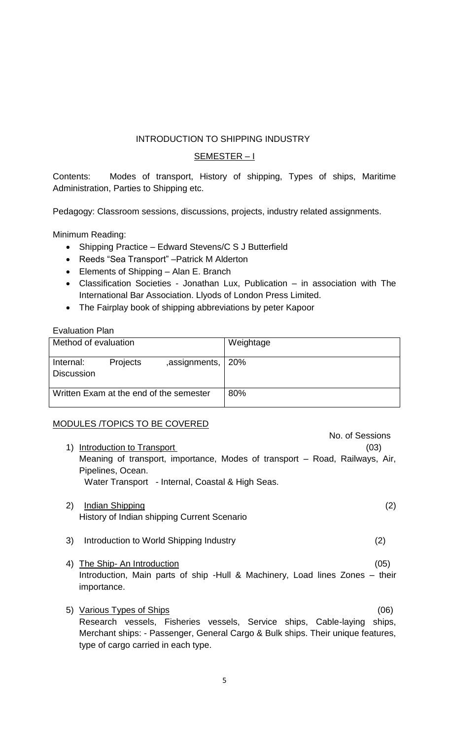## <span id="page-4-0"></span>INTRODUCTION TO SHIPPING INDUSTRY

## SEMESTER – I

Contents: Modes of transport, History of shipping, Types of ships, Maritime Administration, Parties to Shipping etc.

Pedagogy: Classroom sessions, discussions, projects, industry related assignments.

Minimum Reading:

- Shipping Practice Edward Stevens/C S J Butterfield
- Reeds "Sea Transport" Patrick M Alderton
- Elements of Shipping Alan E. Branch
- Classification Societies Jonathan Lux, Publication in association with The International Bar Association. Llyods of London Press Limited.
- The Fairplay book of shipping abbreviations by peter Kapoor

#### Evaluation Plan

| Method of evaluation           |          |                                         | Weightage |
|--------------------------------|----------|-----------------------------------------|-----------|
| Internal:<br><b>Discussion</b> | Projects | , assignments, $ 20\%$                  |           |
|                                |          | Written Exam at the end of the semester | 80%       |

## MODULES /TOPICS TO BE COVERED

| Introduction to Transport<br>1)                                      | No. of Sessions<br>(03)                                                              |
|----------------------------------------------------------------------|--------------------------------------------------------------------------------------|
| Pipelines, Ocean.                                                    | Meaning of transport, importance, Modes of transport – Road, Railways, Air,          |
| Water Transport - Internal, Coastal & High Seas.                     |                                                                                      |
| 2)<br>Indian Shipping<br>History of Indian shipping Current Scenario | (2)                                                                                  |
| 3)<br>Introduction to World Shipping Industry                        | (2)                                                                                  |
| The Ship- An Introduction<br>4)<br>importance.                       | (05)<br>Introduction, Main parts of ship -Hull & Machinery, Load lines Zones - their |
| Various Types of Ships<br>5)                                         | 06                                                                                   |

Research vessels, Fisheries vessels, Service ships, Cable-laying ships, Merchant ships: - Passenger, General Cargo & Bulk ships. Their unique features, type of cargo carried in each type.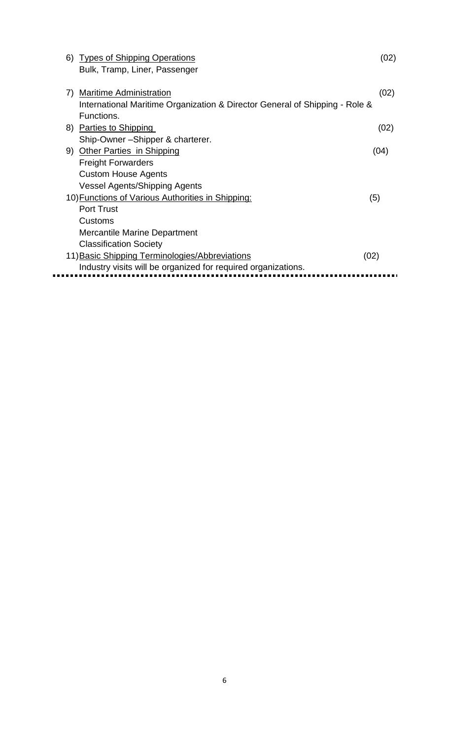|    | 6) Types of Shipping Operations                                             | (02) |
|----|-----------------------------------------------------------------------------|------|
|    | Bulk, Tramp, Liner, Passenger                                               |      |
|    |                                                                             |      |
| 7) | <b>Maritime Administration</b>                                              | (02) |
|    | International Maritime Organization & Director General of Shipping - Role & |      |
|    | Functions.                                                                  |      |
|    | 8) Parties to Shipping                                                      | (02) |
|    | Ship-Owner-Shipper & charterer.                                             |      |
|    | 9) Other Parties in Shipping                                                | (04) |
|    | <b>Freight Forwarders</b>                                                   |      |
|    | <b>Custom House Agents</b>                                                  |      |
|    | <b>Vessel Agents/Shipping Agents</b>                                        |      |
|    | 10) Functions of Various Authorities in Shipping:                           | (5)  |
|    | <b>Port Trust</b>                                                           |      |
|    | Customs                                                                     |      |
|    | Mercantile Marine Department                                                |      |
|    | <b>Classification Society</b>                                               |      |
|    | 11) Basic Shipping Terminologies/Abbreviations<br>(02)                      |      |
|    | Industry visits will be organized for required organizations.               |      |
|    |                                                                             |      |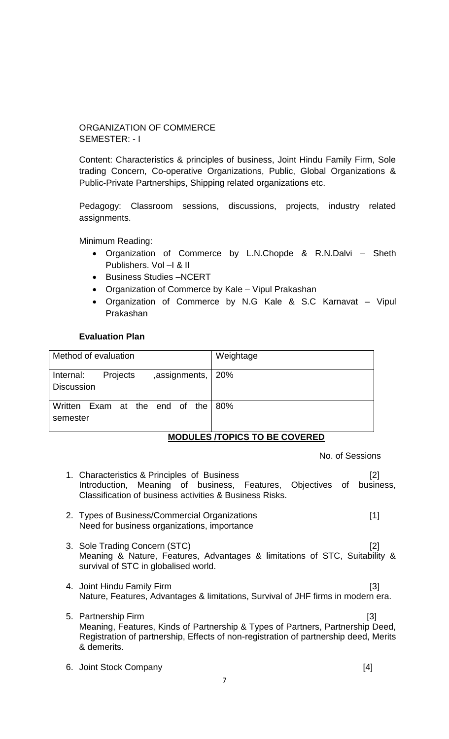## <span id="page-6-0"></span>ORGANIZATION OF COMMERCE SEMESTER: - I

Content: Characteristics & principles of business, Joint Hindu Family Firm, Sole trading Concern, Co-operative Organizations, Public, Global Organizations & Public-Private Partnerships, Shipping related organizations etc.

Pedagogy: Classroom sessions, discussions, projects, industry related assignments.

Minimum Reading:

- Organization of Commerce by L.N.Chopde & R.N.Dalvi Sheth Publishers. Vol –I & II
- Business Studies -NCERT
- Organization of Commerce by Kale Vipul Prakashan
- Organization of Commerce by N.G Kale & S.C Karnavat Vipul Prakashan

## **Evaluation Plan**

| Method of evaluation                                            | Weightage                    |
|-----------------------------------------------------------------|------------------------------|
| ,assignments, 20%<br>Projects<br>Internal:<br><b>Discussion</b> |                              |
| Written Exam at the end of the 80%<br>semester                  | MADULEA FADIAR TA DE AAVEDED |

## **MODULES /TOPICS TO BE COVERED**

No. of Sessions

- 1. Characteristics & Principles of Business [2] Introduction, Meaning of business, Features, Objectives of business, Classification of business activities & Business Risks.
- 2. Types of Business/Commercial Organizations [1] Need for business organizations, importance
- 3. Sole Trading Concern (STC) [2] Meaning & Nature, Features, Advantages & limitations of STC, Suitability & survival of STC in globalised world.
- 4. Joint Hindu Family Firm [3] Nature, Features, Advantages & limitations, Survival of JHF firms in modern era.
- 5. Partnership Firm [3] Meaning, Features, Kinds of Partnership & Types of Partners, Partnership Deed, Registration of partnership, Effects of non-registration of partnership deed, Merits & demerits.
- 6. Joint Stock Company [4]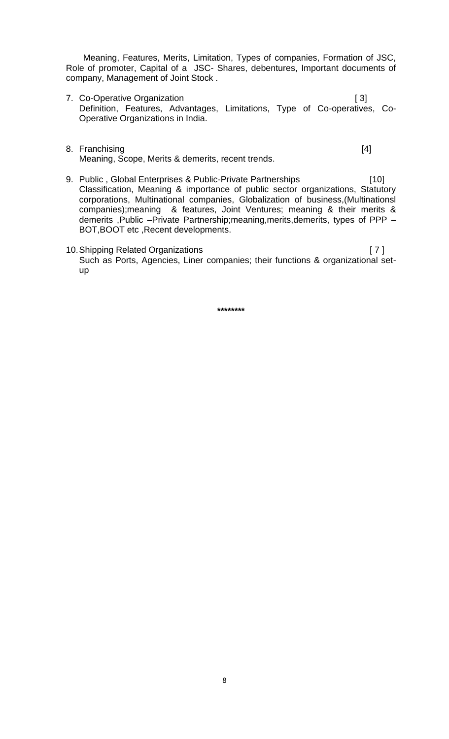Meaning, Features, Merits, Limitation, Types of companies, Formation of JSC, Role of promoter, Capital of a JSC- Shares, debentures, Important documents of company, Management of Joint Stock .

- 7. Co-Operative Organization **and in the Contract of Contract Contract Contract Contract Contract Contract Contract Contract Contract Contract Contract Contract Contract Contract Contract Contract Contract Contract Contrac** Definition, Features, Advantages, Limitations, Type of Co-operatives, Co-Operative Organizations in India.
- 8. Franchising [4] Meaning, Scope, Merits & demerits, recent trends.

- 9. Public , Global Enterprises & Public-Private Partnerships [10] Classification, Meaning & importance of public sector organizations, Statutory corporations, Multinational companies, Globalization of business,(Multinationsl companies);meaning & features, Joint Ventures; meaning & their merits & demerits ,Public –Private Partnership;meaning,merits,demerits, types of PPP – BOT,BOOT etc ,Recent developments.
- 10.Shipping Related Organizations [ 7 ] Such as Ports, Agencies, Liner companies; their functions & organizational setup

**\*\*\*\*\*\*\*\***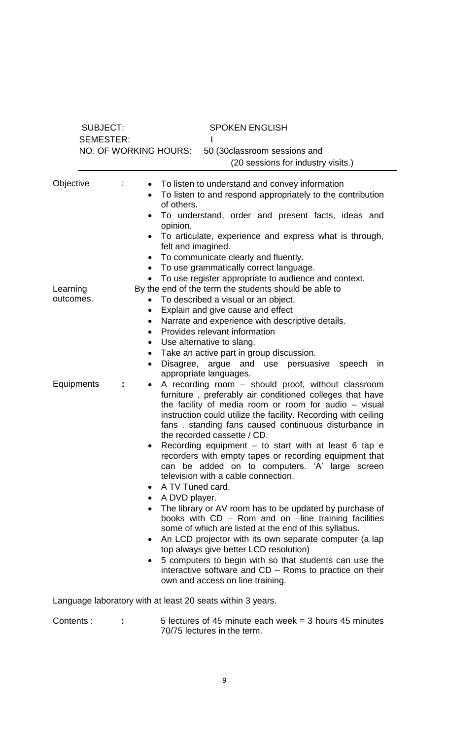| <b>SUBJECT:</b>       | <b>SEMESTER:</b>                                                           | <b>SPOKEN ENGLISH</b>                                                                                                                                                                                                                                                                                                                                                                                                                                                                                                                                                                                                                                                                                                                                                                                                      |
|-----------------------|----------------------------------------------------------------------------|----------------------------------------------------------------------------------------------------------------------------------------------------------------------------------------------------------------------------------------------------------------------------------------------------------------------------------------------------------------------------------------------------------------------------------------------------------------------------------------------------------------------------------------------------------------------------------------------------------------------------------------------------------------------------------------------------------------------------------------------------------------------------------------------------------------------------|
|                       | NO. OF WORKING HOURS:                                                      | 50 (30 classroom sessions and<br>(20 sessions for industry visits.)                                                                                                                                                                                                                                                                                                                                                                                                                                                                                                                                                                                                                                                                                                                                                        |
| Objective             | $\bullet$<br>$\bullet$<br>$\bullet$                                        | To listen to understand and convey information<br>To listen to and respond appropriately to the contribution<br>of others.<br>To understand, order and present facts, ideas and<br>opinion.<br>To articulate, experience and express what is through,<br>felt and imagined.<br>To communicate clearly and fluently.<br>To use grammatically correct language.<br>To use register appropriate to audience and context.                                                                                                                                                                                                                                                                                                                                                                                                      |
| Learning<br>outcomes. | $\bullet$<br>$\bullet$<br>$\bullet$<br>$\bullet$<br>$\bullet$<br>$\bullet$ | By the end of the term the students should be able to<br>To described a visual or an object.<br>Explain and give cause and effect<br>Narrate and experience with descriptive details.<br>Provides relevant information<br>Use alternative to slang.<br>Take an active part in group discussion.<br>Disagree, argue and use persuasive speech<br>in<br>appropriate languages.                                                                                                                                                                                                                                                                                                                                                                                                                                               |
| Equipments            | $\bullet$<br>$\bullet$<br>$\bullet$                                        | A recording room – should proof, without classroom<br>furniture, preferably air conditioned colleges that have<br>the facility of media room or room for audio - visual<br>instruction could utilize the facility. Recording with ceiling<br>fans. standing fans caused continuous disturbance in<br>the recorded cassette / CD.<br>Recording equipment $-$ to start with at least 6 tap $e$<br>recorders with empty tapes or recording equipment that<br>can be added on to computers. 'A' large screen<br>television with a cable connection.<br>A TV Tuned card.<br>A DVD player.<br>The library or AV room has to be updated by purchase of<br>books with CD - Rom and on -line training facilities<br>some of which are listed at the end of this syllabus.<br>An LCD projector with its own separate computer (a lap |
|                       | $\bullet$                                                                  | top always give better LCD resolution)<br>5 computers to begin with so that students can use the<br>interactive software and CD – Roms to practice on their<br>own and access on line training.                                                                                                                                                                                                                                                                                                                                                                                                                                                                                                                                                                                                                            |
|                       |                                                                            | Language laboratory with at least 20 seats within 3 years.                                                                                                                                                                                                                                                                                                                                                                                                                                                                                                                                                                                                                                                                                                                                                                 |
| Contents:             |                                                                            | 5 lectures of 45 minute each week $=$ 3 hours 45 minutes<br>70/75 lectures in the term.                                                                                                                                                                                                                                                                                                                                                                                                                                                                                                                                                                                                                                                                                                                                    |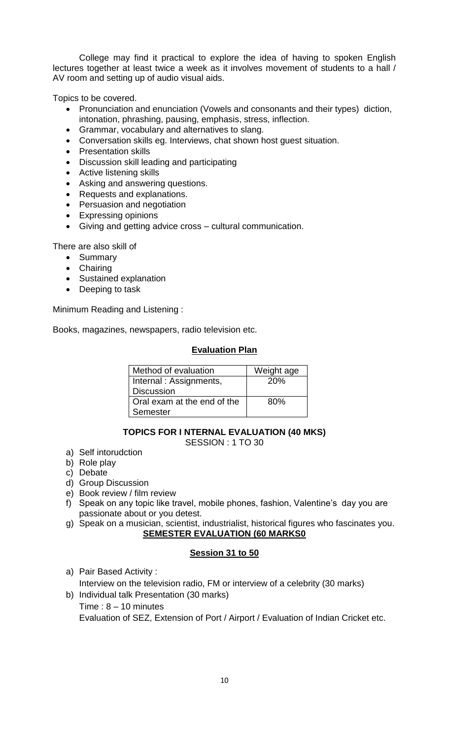College may find it practical to explore the idea of having to spoken English lectures together at least twice a week as it involves movement of students to a hall / AV room and setting up of audio visual aids.

Topics to be covered.

- Pronunciation and enunciation (Vowels and consonants and their types) diction, intonation, phrashing, pausing, emphasis, stress, inflection.
- Grammar, vocabulary and alternatives to slang.
- Conversation skills eg. Interviews, chat shown host guest situation.
- Presentation skills
- Discussion skill leading and participating
- Active listening skills
- Asking and answering questions.
- Requests and explanations.
- Persuasion and negotiation
- Expressing opinions
- Giving and getting advice cross cultural communication.

There are also skill of

- Summary
- Chairing
- Sustained explanation
- Deeping to task

Minimum Reading and Listening :

Books, magazines, newspapers, radio television etc.

#### **Evaluation Plan**

| Method of evaluation        | Weight age |
|-----------------------------|------------|
| Internal: Assignments,      | 20%        |
| <b>Discussion</b>           |            |
| Oral exam at the end of the | 80%        |
| Semester                    |            |

# **TOPICS FOR I NTERNAL EVALUATION (40 MKS)**

SESSION : 1 TO 30

- a) Self intorudction
- b) Role play
- c) Debate
- d) Group Discussion
- e) Book review / film review
- f) Speak on any topic like travel, mobile phones, fashion, Valentine's day you are passionate about or you detest.
- g) Speak on a musician, scientist, industrialist, historical figures who fascinates you. **SEMESTER EVALUATION (60 MARKS0**

## **Session 31 to 50**

- a) Pair Based Activity :
- Interview on the television radio, FM or interview of a celebrity (30 marks) b) Individual talk Presentation (30 marks)
	- Time :  $8 10$  minutes

Evaluation of SEZ, Extension of Port / Airport / Evaluation of Indian Cricket etc.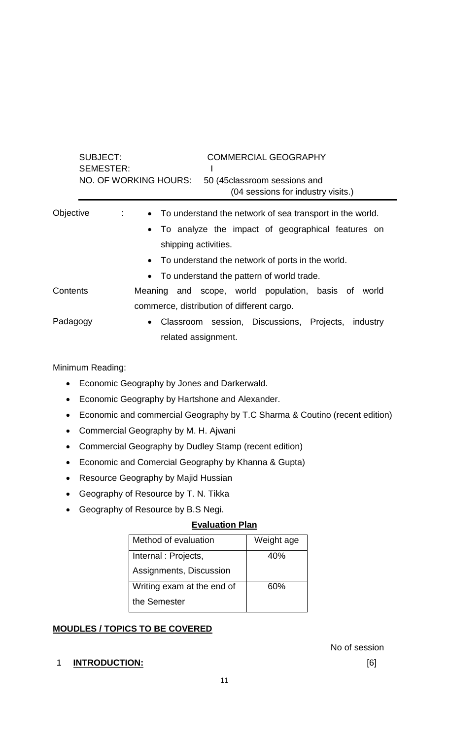|           | <b>SUBJECT:</b><br><b>SEMESTER:</b> | <b>COMMERCIAL GEOGRAPHY</b><br>NO. OF WORKING HOURS:<br>50 (45 classroom sessions and<br>(04 sessions for industry visits.) |
|-----------|-------------------------------------|-----------------------------------------------------------------------------------------------------------------------------|
| Objective | $\mathcal{L}^{\text{max}}$          | • To understand the network of sea transport in the world.                                                                  |
|           |                                     | • To analyze the impact of geographical features on                                                                         |
|           |                                     | shipping activities.                                                                                                        |
|           |                                     | • To understand the network of ports in the world.                                                                          |
|           |                                     | • To understand the pattern of world trade.                                                                                 |
| Contents  |                                     | Meaning and scope, world population, basis of<br>world                                                                      |
|           |                                     | commerce, distribution of different cargo.                                                                                  |
| Padagogy  |                                     | • Classroom session, Discussions, Projects,<br>industry                                                                     |
|           |                                     | related assignment.                                                                                                         |

Minimum Reading:

- Economic Geography by Jones and Darkerwald.
- Economic Geography by Hartshone and Alexander.
- Economic and commercial Geography by T.C Sharma & Coutino (recent edition)
- Commercial Geography by M. H. Ajwani
- Commercial Geography by Dudley Stamp (recent edition)
- Economic and Comercial Geography by Khanna & Gupta)
- Resource Geography by Majid Hussian
- Geography of Resource by T. N. Tikka
- Geography of Resource by B.S Negi.

## **Evaluation Plan**

| Method of evaluation       | Weight age |
|----------------------------|------------|
| Internal: Projects,        | 40%        |
| Assignments, Discussion    |            |
| Writing exam at the end of | 60%        |
| the Semester               |            |

## **MOUDLES / TOPICS TO BE COVERED**

## 1 **INTRODUCTION:** [6]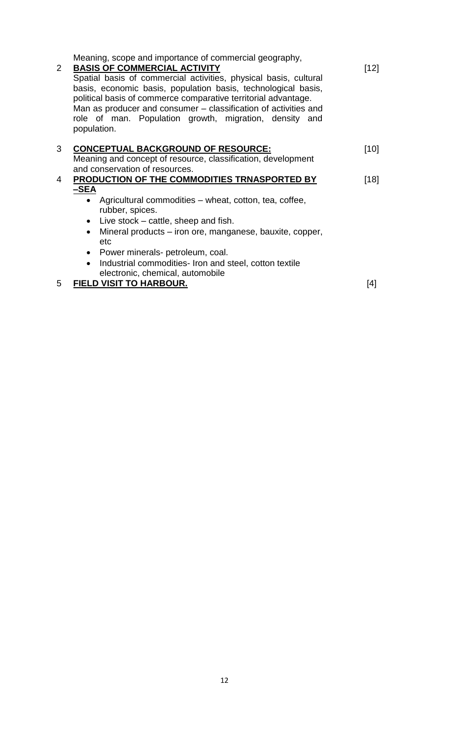| 2 <sup>2</sup> | Meaning, scope and importance of commercial geography,<br><b>BASIS OF COMMERCIAL ACTIVITY</b><br>Spatial basis of commercial activities, physical basis, cultural<br>basis, economic basis, population basis, technological basis,<br>political basis of commerce comparative territorial advantage.<br>Man as producer and consumer - classification of activities and<br>role of man. Population growth, migration, density and<br>population. | $[12]$ |
|----------------|--------------------------------------------------------------------------------------------------------------------------------------------------------------------------------------------------------------------------------------------------------------------------------------------------------------------------------------------------------------------------------------------------------------------------------------------------|--------|
| 3              | <b>CONCEPTUAL BACKGROUND OF RESOURCE:</b>                                                                                                                                                                                                                                                                                                                                                                                                        | $[10]$ |
|                | Meaning and concept of resource, classification, development                                                                                                                                                                                                                                                                                                                                                                                     |        |
|                | and conservation of resources.                                                                                                                                                                                                                                                                                                                                                                                                                   |        |
| 4              | PRODUCTION OF THE COMMODITIES TRNASPORTED BY                                                                                                                                                                                                                                                                                                                                                                                                     | $[18]$ |
|                | $-SEA$                                                                                                                                                                                                                                                                                                                                                                                                                                           |        |
|                | • Agricultural commodities – wheat, cotton, tea, coffee,<br>rubber, spices.                                                                                                                                                                                                                                                                                                                                                                      |        |
|                | $\bullet$ Live stock – cattle, sheep and fish.                                                                                                                                                                                                                                                                                                                                                                                                   |        |
|                | Mineral products – iron ore, manganese, bauxite, copper,<br>$\bullet$<br>etc                                                                                                                                                                                                                                                                                                                                                                     |        |
|                | • Power minerals- petroleum, coal.                                                                                                                                                                                                                                                                                                                                                                                                               |        |
|                | Industrial commodities- Iron and steel, cotton textile<br>$\bullet$                                                                                                                                                                                                                                                                                                                                                                              |        |
|                | electronic, chemical, automobile                                                                                                                                                                                                                                                                                                                                                                                                                 |        |
| 5              | <b>FIELD VISIT TO HARBOUR.</b>                                                                                                                                                                                                                                                                                                                                                                                                                   | [4]    |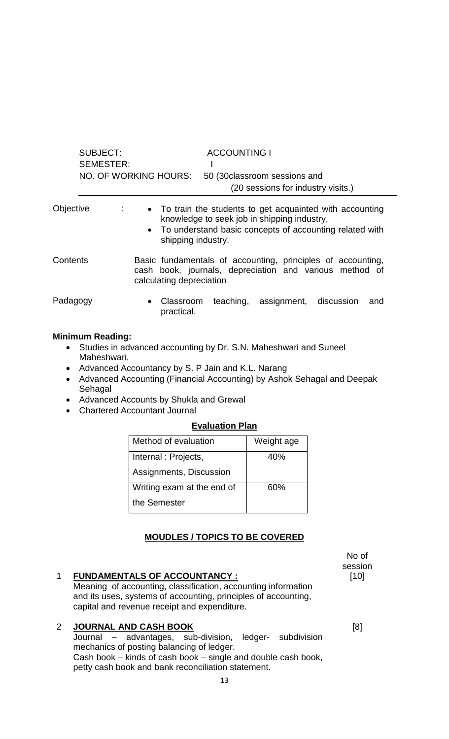|           | SUBJECT:<br><b>SEMESTER:</b> | <b>ACCOUNTING I</b><br>NO. OF WORKING HOURS:<br>50 (30 classroom sessions and<br>(20 sessions for industry visits.)                                                                         |
|-----------|------------------------------|---------------------------------------------------------------------------------------------------------------------------------------------------------------------------------------------|
| Objective | ÷                            | • To train the students to get acquainted with accounting<br>knowledge to seek job in shipping industry,<br>• To understand basic concepts of accounting related with<br>shipping industry. |
| Contents  |                              | Basic fundamentals of accounting, principles of accounting,<br>cash book, journals, depreciation and various method of<br>calculating depreciation                                          |
| Padagogy  |                              | Classroom<br>teaching, assignment,<br>discussion<br>and<br>$\bullet$<br>practical.                                                                                                          |

#### **Minimum Reading:**

- Studies in advanced accounting by Dr. S.N. Maheshwari and Suneel Maheshwari,
- Advanced Accountancy by S. P Jain and K.L. Narang
- Advanced Accounting (Financial Accounting) by Ashok Sehagal and Deepak Sehagal
- Advanced Accounts by Shukla and Grewal
- Chartered Accountant Journal

## **Evaluation Plan**

| Method of evaluation       | Weight age |
|----------------------------|------------|
| Internal: Projects,        | 40%        |
| Assignments, Discussion    |            |
| Writing exam at the end of | 60%        |
| the Semester               |            |

## **MOUDLES / TOPICS TO BE COVERED**

# 1 **FUNDAMENTALS OF ACCOUNTANCY :** Meaning of accounting, classification, accounting information and its uses, systems of accounting, principles of accounting, capital and revenue receipt and expenditure.

## 2 **JOURNAL AND CASH BOOK**

Journal – advantages, sub-division, ledger- subdivision mechanics of posting balancing of ledger. Cash book – kinds of cash book – single and double cash book, petty cash book and bank reconciliation statement.

No of session [10]

[8]

13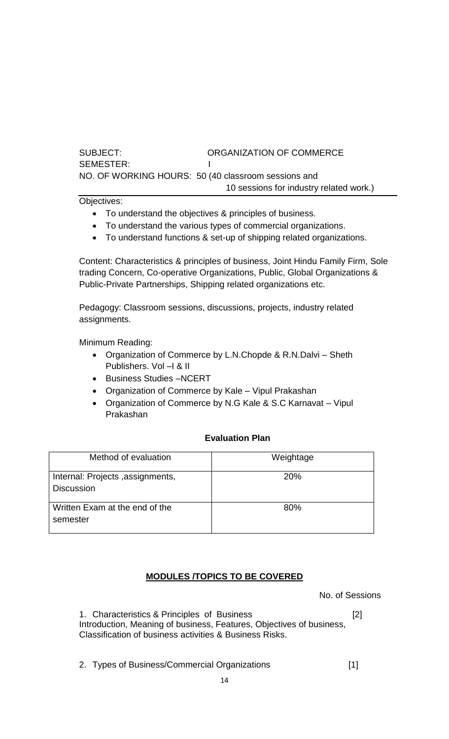## SUBJECT: ORGANIZATION OF COMMERCE

SEMESTER: I NO. OF WORKING HOURS: 50 (40 classroom sessions and

10 sessions for industry related work.)

Objectives:

- To understand the objectives & principles of business.
- To understand the various types of commercial organizations.
- To understand functions & set-up of shipping related organizations.

Content: Characteristics & principles of business, Joint Hindu Family Firm, Sole trading Concern, Co-operative Organizations, Public, Global Organizations & Public-Private Partnerships, Shipping related organizations etc.

Pedagogy: Classroom sessions, discussions, projects, industry related assignments.

Minimum Reading:

- Organization of Commerce by L.N.Chopde & R.N.Dalvi Sheth Publishers. Vol –I & II
- Business Studies –NCERT
- Organization of Commerce by Kale Vipul Prakashan
- Organization of Commerce by N.G Kale & S.C Karnavat Vipul Prakashan

## **Evaluation Plan**

| Method of evaluation                                  | Weightage |
|-------------------------------------------------------|-----------|
| Internal: Projects, assignments,<br><b>Discussion</b> | 20%       |
| Written Exam at the end of the<br>semester            | 80%       |

## **MODULES /TOPICS TO BE COVERED**

No. of Sessions

1. Characteristics & Principles of Business [2] Introduction, Meaning of business, Features, Objectives of business, Classification of business activities & Business Risks.

2. Types of Business/Commercial Organizations [1]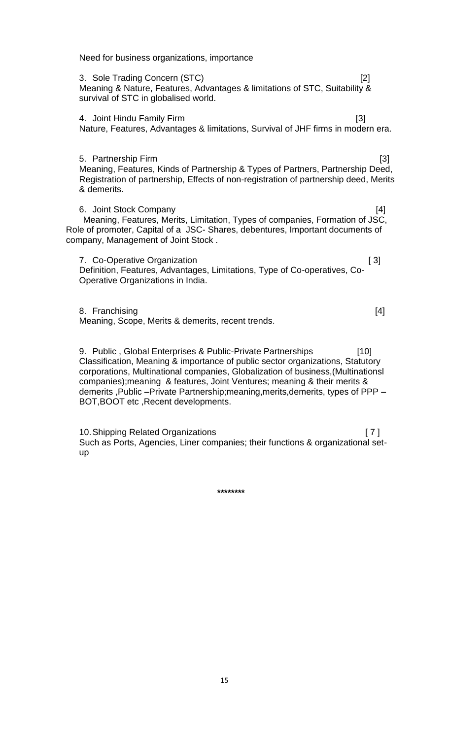Need for business organizations, importance

3. Sole Trading Concern (STC) [2] Meaning & Nature, Features, Advantages & limitations of STC, Suitability & survival of STC in globalised world.

4. Joint Hindu Family Firm [3] Nature, Features, Advantages & limitations, Survival of JHF firms in modern era.

5. Partnership Firm [3] Meaning, Features, Kinds of Partnership & Types of Partners, Partnership Deed, Registration of partnership, Effects of non-registration of partnership deed, Merits & demerits.

6. Joint Stock Company [4] Meaning, Features, Merits, Limitation, Types of companies, Formation of JSC, Role of promoter, Capital of a JSC- Shares, debentures, Important documents of company, Management of Joint Stock .

7. Co-Operative Organization [3] Definition, Features, Advantages, Limitations, Type of Co-operatives, Co-Operative Organizations in India.

8. Franchising [4] Meaning, Scope, Merits & demerits, recent trends.

9. Public , Global Enterprises & Public-Private Partnerships [10] Classification, Meaning & importance of public sector organizations, Statutory corporations, Multinational companies, Globalization of business,(Multinationsl companies);meaning & features, Joint Ventures; meaning & their merits & demerits ,Public –Private Partnership;meaning,merits,demerits, types of PPP – BOT,BOOT etc ,Recent developments.

10.Shipping Related Organizations [ 7 ] Such as Ports, Agencies, Liner companies; their functions & organizational setup

**\*\*\*\*\*\*\*\***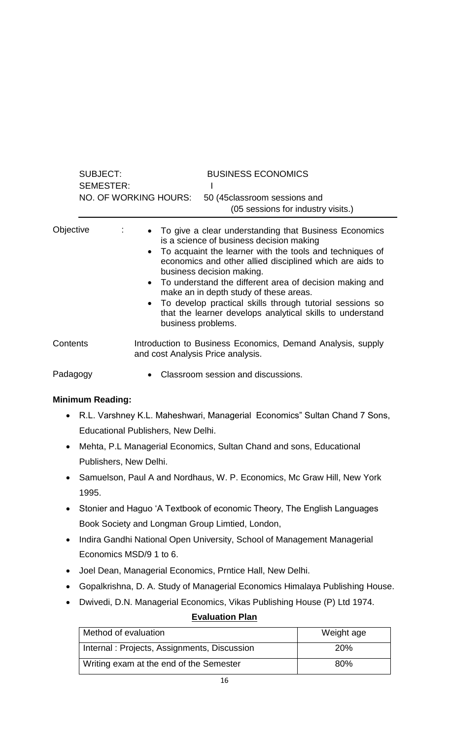|           | <b>SUBJECT:</b><br><b>SEMESTER:</b> | <b>BUSINESS ECONOMICS</b>                                                                                                                                                                                                                                                                                                                                                                                                                                                                                          |
|-----------|-------------------------------------|--------------------------------------------------------------------------------------------------------------------------------------------------------------------------------------------------------------------------------------------------------------------------------------------------------------------------------------------------------------------------------------------------------------------------------------------------------------------------------------------------------------------|
|           |                                     | NO. OF WORKING HOURS:<br>50 (45 classroom sessions and<br>(05 sessions for industry visits.)                                                                                                                                                                                                                                                                                                                                                                                                                       |
| Objective |                                     | • To give a clear understanding that Business Economics<br>is a science of business decision making<br>• To acquaint the learner with the tools and techniques of<br>economics and other allied disciplined which are aids to<br>business decision making.<br>• To understand the different area of decision making and<br>make an in depth study of these areas.<br>• To develop practical skills through tutorial sessions so<br>that the learner develops analytical skills to understand<br>business problems. |
| Contents  |                                     | Introduction to Business Economics, Demand Analysis, supply<br>and cost Analysis Price analysis.                                                                                                                                                                                                                                                                                                                                                                                                                   |
|           |                                     |                                                                                                                                                                                                                                                                                                                                                                                                                                                                                                                    |

Padagogy **• Classroom session and discussions.** 

## **Minimum Reading:**

- R.L. Varshney K.L. Maheshwari, Managerial Economics" Sultan Chand 7 Sons, Educational Publishers, New Delhi.
- Mehta, P.L Managerial Economics, Sultan Chand and sons, Educational Publishers, New Delhi.
- Samuelson, Paul A and Nordhaus, W. P. Economics, Mc Graw Hill, New York 1995.
- Stonier and Haguo 'A Textbook of economic Theory, The English Languages Book Society and Longman Group Limtied, London,
- Indira Gandhi National Open University, School of Management Managerial Economics MSD/9 1 to 6.
- Joel Dean, Managerial Economics, Prntice Hall, New Delhi.
- Gopalkrishna, D. A. Study of Managerial Economics Himalaya Publishing House.
- Dwivedi, D.N. Managerial Economics, Vikas Publishing House (P) Ltd 1974.

## **Evaluation Plan**

| Method of evaluation                        | Weight age |
|---------------------------------------------|------------|
| Internal: Projects, Assignments, Discussion | <b>20%</b> |
| Writing exam at the end of the Semester     | 80%        |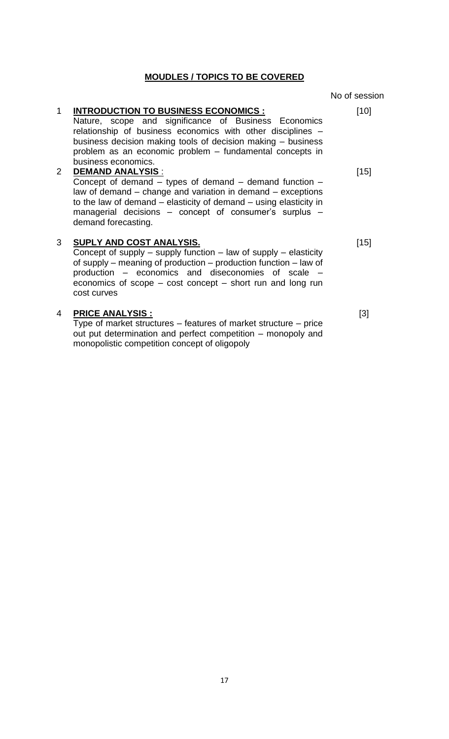#### **MOUDLES / TOPICS TO BE COVERED**

#### 1 **INTRODUCTION TO BUSINESS ECONOMICS :** Nature, scope and significance of Business Economics relationship of business economics with other disciplines – business decision making tools of decision making – business problem as an economic problem – fundamental concepts in business economics. [10] 2 **DEMAND ANALYSIS** : Concept of demand  $-$  types of demand  $-$  demand function  $$ law of demand – change and variation in demand – exceptions to the law of demand – elasticity of demand – using elasticity in managerial decisions – concept of consumer's surplus – demand forecasting. [15] 3 **SUPLY AND COST ANALYSIS.**  Concept of supply – supply function – law of supply – elasticity of supply – meaning of production – production function – law of production – economics and diseconomies of scale – economics of scope – cost concept – short run and long run cost curves [15]

#### 4 **PRICE ANALYSIS :**

Type of market structures – features of market structure – price out put determination and perfect competition – monopoly and monopolistic competition concept of oligopoly

No of session

[3]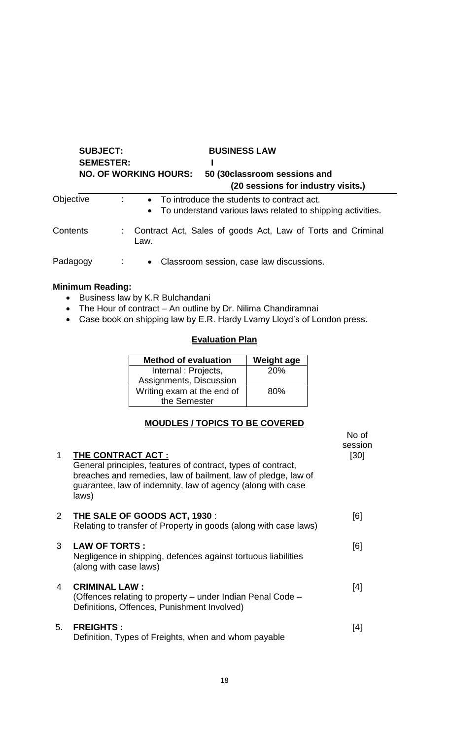| <b>SUBJECT:</b> |                  |      | <b>BUSINESS LAW</b>          |                                                                                                              |
|-----------------|------------------|------|------------------------------|--------------------------------------------------------------------------------------------------------------|
|                 | <b>SEMESTER:</b> |      |                              |                                                                                                              |
|                 |                  |      | <b>NO. OF WORKING HOURS:</b> | 50 (30 classroom sessions and                                                                                |
|                 |                  |      |                              | (20 sessions for industry visits.)                                                                           |
| Objective       |                  |      |                              | • To introduce the students to contract act.<br>• To understand various laws related to shipping activities. |
| Contents        |                  | Law. |                              | Contract Act, Sales of goods Act, Law of Torts and Criminal                                                  |
| Padagogy        |                  |      |                              | • Classroom session, case law discussions.                                                                   |

## **Minimum Reading:**

- Business law by K.R Bulchandani
- The Hour of contract An outline by Dr. Nilima Chandiramnai
- Case book on shipping law by E.R. Hardy Lvamy Lloyd's of London press.

## **Evaluation Plan**

| <b>Method of evaluation</b> | <b>Weight age</b> |
|-----------------------------|-------------------|
| Internal: Projects,         | 20%               |
| Assignments, Discussion     |                   |
| Writing exam at the end of  | 80%               |
| the Semester                |                   |

## **MOUDLES / TOPICS TO BE COVERED**

| $\mathbf 1$  | THE CONTRACT ACT :<br>General principles, features of contract, types of contract,<br>breaches and remedies, law of bailment, law of pledge, law of<br>guarantee, law of indemnity, law of agency (along with case<br>laws) | No of<br>session<br>[30] |
|--------------|-----------------------------------------------------------------------------------------------------------------------------------------------------------------------------------------------------------------------------|--------------------------|
| $2^{\circ}$  | THE SALE OF GOODS ACT, 1930 :<br>Relating to transfer of Property in goods (along with case laws)                                                                                                                           | [6]                      |
| $\mathbf{3}$ | <b>LAW OF TORTS:</b><br>Negligence in shipping, defences against tortuous liabilities<br>(along with case laws)                                                                                                             | [6]                      |
| 4            | <b>CRIMINAL LAW:</b><br>(Offences relating to property – under Indian Penal Code –<br>Definitions, Offences, Punishment Involved)                                                                                           | [4]                      |
| 5.           | <b>FREIGHTS:</b><br>Definition, Types of Freights, when and whom payable                                                                                                                                                    | [4]                      |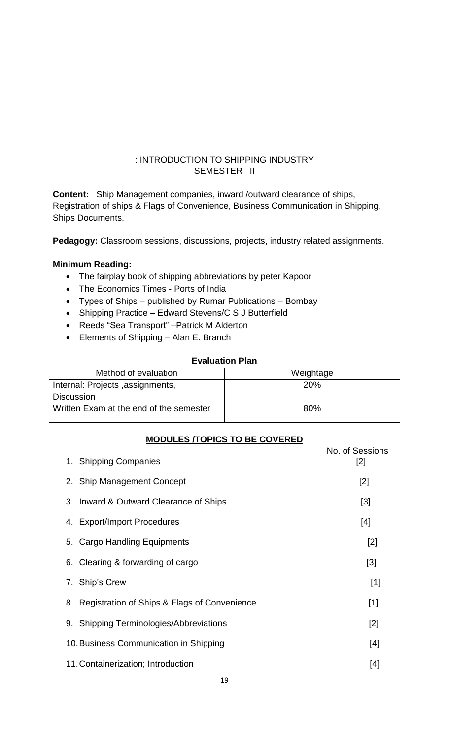## <span id="page-18-0"></span>: INTRODUCTION TO SHIPPING INDUSTRY SEMESTER II

**Content:** Ship Management companies, inward /outward clearance of ships, Registration of ships & Flags of Convenience, Business Communication in Shipping, Ships Documents.

**Pedagogy:** Classroom sessions, discussions, projects, industry related assignments.

#### **Minimum Reading:**

- The fairplay book of shipping abbreviations by peter Kapoor
- The Economics Times Ports of India
- Types of Ships published by Rumar Publications Bombay
- Shipping Practice Edward Stevens/C S J Butterfield
- Reeds "Sea Transport" Patrick M Alderton
- Elements of Shipping Alan E. Branch

#### **Evaluation Plan**

| Method of evaluation                    | Weightage  |
|-----------------------------------------|------------|
| Internal: Projects, assignments,        | <b>20%</b> |
| <b>Discussion</b>                       |            |
| Written Exam at the end of the semester | 80%        |

#### **MODULES /TOPICS TO BE COVERED**

| 1. Shipping Companies                           | No. of Sessions<br>$[2]$ |
|-------------------------------------------------|--------------------------|
| 2. Ship Management Concept                      | $[2]$                    |
| 3. Inward & Outward Clearance of Ships          | $[3]$                    |
| 4. Export/Import Procedures                     | [4]                      |
| 5. Cargo Handling Equipments                    | [2]                      |
| 6. Clearing & forwarding of cargo               | $[3]$                    |
| 7. Ship's Crew                                  | $[1]$                    |
| 8. Registration of Ships & Flags of Convenience | $[1]$                    |
| 9. Shipping Terminologies/Abbreviations         | $[2]$                    |
| 10. Business Communication in Shipping          | $[4]$                    |
| 11. Containerization; Introduction              | [4]                      |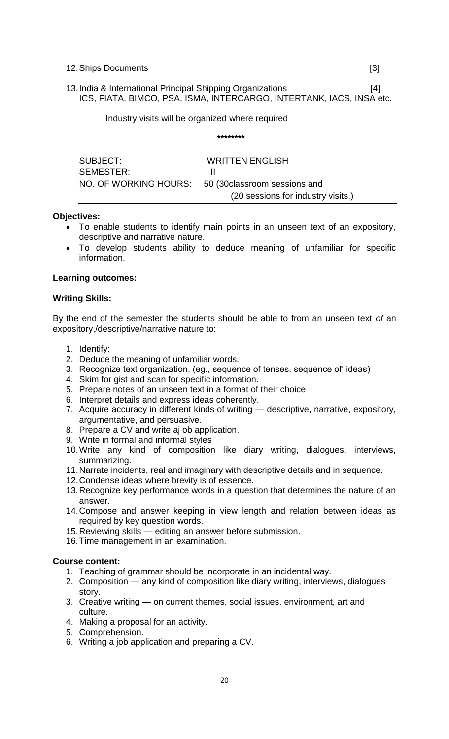12.Ships Documents [3]

13.India & International Principal Shipping Organizations [4] ICS, FIATA, BIMCO, PSA, ISMA, INTERCARGO, INTERTANK, IACS, INSA etc.

**\*\*\*\*\*\*\*\***

Industry visits will be organized where required

| SUBJECT:  | <b>WRITTEN ENGLISH</b>                              |
|-----------|-----------------------------------------------------|
| SEMESTER: |                                                     |
|           | NO. OF WORKING HOURS: 50 (30 classroom sessions and |
|           | (20 sessions for industry visits.)                  |
|           |                                                     |

#### **Objectives:**

- To enable students to identify main points in an unseen text of an expository, descriptive and narrative nature.
- To develop students ability to deduce meaning of unfamiliar for specific information.

#### **Learning outcomes:**

#### **Writing Skills:**

By the end of the semester the students should be able to from an unseen text *of* an expository,/descriptive/narrative nature to:

- 1. Identify:
- 2. Deduce the meaning of unfamiliar words.
- 3. Recognize text organization. (eg., sequence of tenses. sequence of' ideas)
- 4. Skim for gist and scan for specific information.
- 5. Prepare notes of an unseen text in a format of their choice
- 6. Interpret details and express ideas coherently.
- 7. Acquire accuracy in different kinds of writing descriptive, narrative, expository, argumentative, and persuasive.
- 8. Prepare a CV and write aj ob application.
- 9. Write in formal and informal styles
- 10.Write any kind of composition like diary writing, dialogues, interviews, summarizing.
- 11.Narrate incidents, real and imaginary with descriptive details and in sequence.
- 12.Condense ideas where brevity is of essence.
- 13.Recognize key performance words in a question that determines the nature of an answer.
- 14.Compose and answer keeping in view length and relation between ideas as required by key question words.
- 15.Reviewing skills editing an answer before submission.
- 16.Time management in an examination.

#### **Course content:**

- 1. Teaching of grammar should be incorporate in an incidental way.
- 2. Composition any kind of composition like diary writing, interviews, dialogues story.
- 3. Creative writing on current themes, social issues, environment, art and culture.
- 4. Making a proposal for an activity.
- 5. Comprehension.
- 6. Writing a job application and preparing a CV.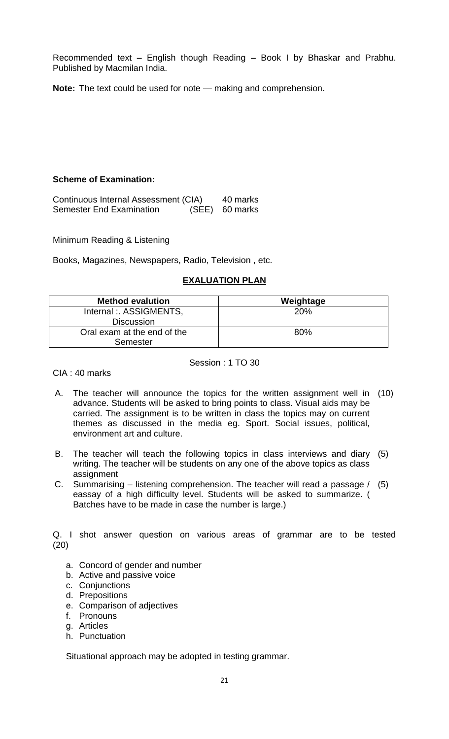Recommended text – English though Reading – Book I by Bhaskar and Prabhu. Published by Macmilan India.

**Note:** The text could be used for note — making and comprehension.

## **Scheme of Examination:**

Continuous Internal Assessment (CIA) Semester End Examination 40 marks (SEE) 60 marks

Minimum Reading & Listening

Books, Magazines, Newspapers, Radio, Television , etc.

## **EXALUATION PLAN**

| <b>Method evalution</b>     | Weightage |
|-----------------------------|-----------|
| Internal: ASSIGMENTS,       | 20%       |
| <b>Discussion</b>           |           |
| Oral exam at the end of the | 80%       |
| Semester                    |           |

Session : 1 TO 30

CIA : 40 marks

- A. The teacher will announce the topics for the written assignment well in (10) advance. Students will be asked to bring points to class. Visual aids may be carried. The assignment is to be written in class the topics may on current themes as discussed in the media eg. Sport. Social issues, political, environment art and culture.
- B. The teacher will teach the following topics in class interviews and diary (5) writing. The teacher will be students on any one of the above topics as class assignment
- C. Summarising listening comprehension. The teacher will read a passage / (5) eassay of a high difficulty level. Students will be asked to summarize. ( Batches have to be made in case the number is large.)

Q. I shot answer question on various areas of grammar are to be tested (20)

- a. Concord of gender and number
- b. Active and passive voice
- c. Conjunctions
- d. Prepositions
- e. Comparison of adjectives
- f. Pronouns
- g. Articles
- h. Punctuation

Situational approach may be adopted in testing grammar.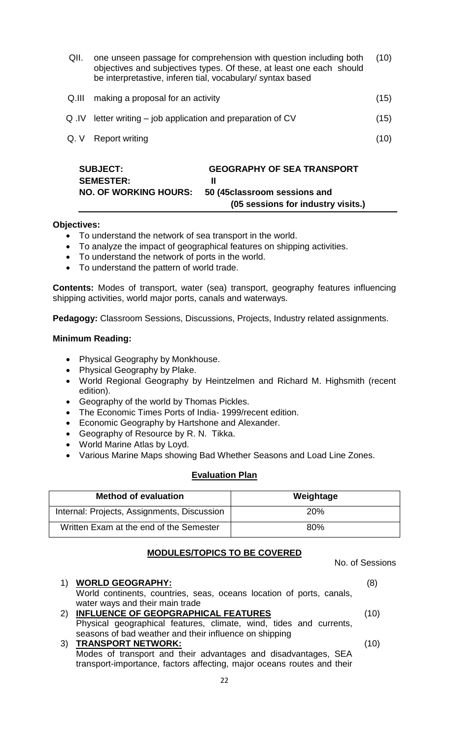|       | <b>SUBJECT:</b><br><b>GEOGRAPHY OF SEA TRANSPORT</b><br><b>SEMESTER:</b><br>Ш                                                                                                                           |      |
|-------|---------------------------------------------------------------------------------------------------------------------------------------------------------------------------------------------------------|------|
| Q.V   | Report writing                                                                                                                                                                                          | (10) |
| Q .IV | letter writing – job application and preparation of CV                                                                                                                                                  | (15) |
| Q.III | making a proposal for an activity                                                                                                                                                                       | (15) |
| QII.  | one unseen passage for comprehension with question including both<br>objectives and subjectives types. Of these, at least one each should<br>be interpretastive, inferen tial, vocabulary/ syntax based | (10) |

 **(05 sessions for industry visits.)**

#### **Objectives:**

- To understand the network of sea transport in the world.
- To analyze the impact of geographical features on shipping activities.

**NO. OF WORKING HOURS: 50 (45classroom sessions and** 

- To understand the network of ports in the world.
- To understand the pattern of world trade.

**Contents:** Modes of transport, water (sea) transport, geography features influencing shipping activities, world major ports, canals and waterways.

**Pedagogy:** Classroom Sessions, Discussions, Projects, Industry related assignments.

#### **Minimum Reading:**

- Physical Geography by Monkhouse.
- Physical Geography by Plake.
- World Regional Geography by Heintzelmen and Richard M. Highsmith (recent edition).
- Geography of the world by Thomas Pickles.
- The Economic Times Ports of India- 1999/recent edition.
- Economic Geography by Hartshone and Alexander.
- Geography of Resource by R. N. Tikka.
- World Marine Atlas by Loyd.
- Various Marine Maps showing Bad Whether Seasons and Load Line Zones.

#### **Evaluation Plan**

| <b>Method of evaluation</b>                 | Weightage  |
|---------------------------------------------|------------|
| Internal: Projects, Assignments, Discussion | <b>20%</b> |
| Written Exam at the end of the Semester     | 80%        |

## **MODULES/TOPICS TO BE COVERED**

| 1)  | <b>WORLD GEOGRAPHY:</b><br>World continents, countries, seas, oceans location of ports, canals,                                          | (8)  |
|-----|------------------------------------------------------------------------------------------------------------------------------------------|------|
|     | water ways and their main trade                                                                                                          |      |
| (2) | INFLUENCE OF GEOPGRAPHICAL FEATURES                                                                                                      | (10) |
|     | Physical geographical features, climate, wind, tides and currents,                                                                       |      |
|     | seasons of bad weather and their influence on shipping                                                                                   |      |
|     | 3) TRANSPORT NETWORK:                                                                                                                    | (10) |
|     | Modes of transport and their advantages and disadvantages, SEA<br>transport-importance, factors affecting, major oceans routes and their |      |

No. of Sessions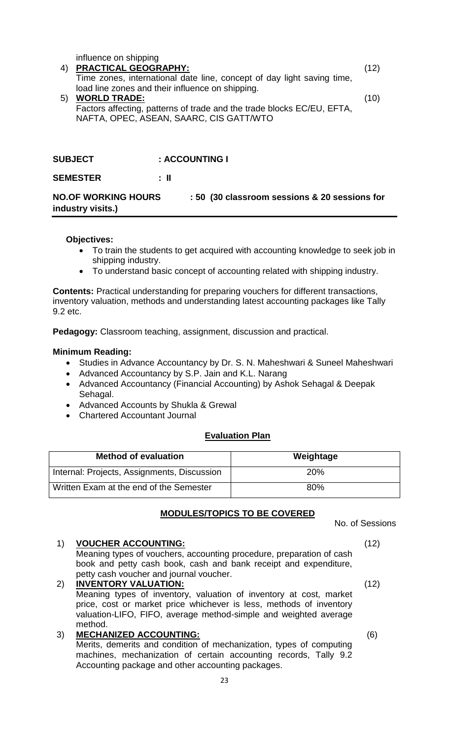|    | influence on shipping                                                  |      |
|----|------------------------------------------------------------------------|------|
| 4) | <b>PRACTICAL GEOGRAPHY:</b>                                            | (12) |
|    | Time zones, international date line, concept of day light saving time, |      |
|    | load line zones and their influence on shipping.                       |      |
| 5) | <b>WORLD TRADE:</b>                                                    | (10) |
|    | Factors affecting, patterns of trade and the trade blocks EC/EU, EFTA, |      |
|    | NAFTA, OPEC, ASEAN, SAARC, CIS GATT/WTO                                |      |
|    |                                                                        |      |

## **SUBJECT : ACCOUNTING I**

**SEMESTER : II**

**NO.OF WORKING HOURS : 50 (30 classroom sessions & 20 sessions for industry visits.)**

#### **Objectives:**

- To train the students to get acquired with accounting knowledge to seek job in shipping industry.
- To understand basic concept of accounting related with shipping industry.

**Contents:** Practical understanding for preparing vouchers for different transactions, inventory valuation, methods and understanding latest accounting packages like Tally 9.2 etc.

**Pedagogy:** Classroom teaching, assignment, discussion and practical.

#### **Minimum Reading:**

- Studies in Advance Accountancy by Dr. S. N. Maheshwari & Suneel Maheshwari
- Advanced Accountancy by S.P. Jain and K.L. Narang
- Advanced Accountancy (Financial Accounting) by Ashok Sehagal & Deepak Sehagal.
- Advanced Accounts by Shukla & Grewal
- Chartered Accountant Journal

#### **Evaluation Plan**

| <b>Method of evaluation</b>                 | Weightage  |
|---------------------------------------------|------------|
| Internal: Projects, Assignments, Discussion | <b>20%</b> |
| Written Exam at the end of the Semester     | 80%        |

## **MODULES/TOPICS TO BE COVERED**

No. of Sessions

#### 1) **VOUCHER ACCOUNTING:**

Meaning types of vouchers, accounting procedure, preparation of cash book and petty cash book, cash and bank receipt and expenditure, petty cash voucher and journal voucher.

#### 2) **INVENTORY VALUATION:** Meaning types of inventory, valuation of inventory at cost, market price, cost or market price whichever is less, methods of inventory valuation-LIFO, FIFO, average method-simple and weighted average method. 3) **MECHANIZED ACCOUNTING:**

Merits, demerits and condition of mechanization, types of computing machines, mechanization of certain accounting records, Tally 9.2 Accounting package and other accounting packages.

(12)

(6)

(12)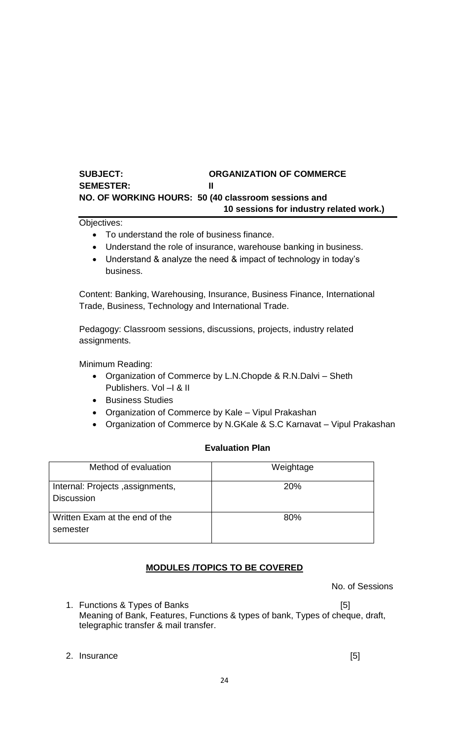## **SUBJECT: ORGANIZATION OF COMMERCE SEMESTER: II NO. OF WORKING HOURS: 50 (40 classroom sessions and 10 sessions for industry related work.)**

Objectives:

- To understand the role of business finance.
- Understand the role of insurance, warehouse banking in business.
- Understand & analyze the need & impact of technology in today's business.

Content: Banking, Warehousing, Insurance, Business Finance, International Trade, Business, Technology and International Trade.

Pedagogy: Classroom sessions, discussions, projects, industry related assignments.

Minimum Reading:

- Organization of Commerce by L.N.Chopde & R.N.Dalvi Sheth Publishers. Vol –I & II
- **•** Business Studies
- Organization of Commerce by Kale Vipul Prakashan
- Organization of Commerce by N.GKale & S.C Karnavat Vipul Prakashan

## **Evaluation Plan**

| Method of evaluation                                  | Weightage  |
|-------------------------------------------------------|------------|
| Internal: Projects, assignments,<br><b>Discussion</b> | <b>20%</b> |
| Written Exam at the end of the<br>semester            | 80%        |

## **MODULES /TOPICS TO BE COVERED**

No. of Sessions

1. Functions & Types of Banks [5] Meaning of Bank, Features, Functions & types of bank, Types of cheque, draft, telegraphic transfer & mail transfer.

2. Insurance [5]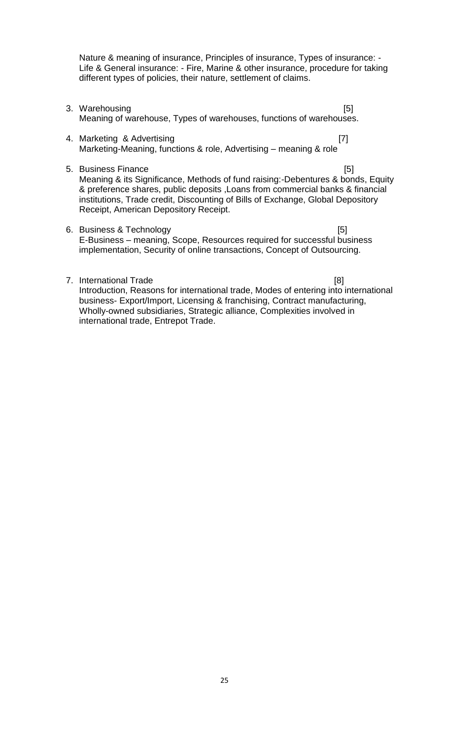Nature & meaning of insurance, Principles of insurance, Types of insurance: - Life & General insurance: - Fire, Marine & other insurance, procedure for taking different types of policies, their nature, settlement of claims.

- 3. Warehousing [5] Meaning of warehouse, Types of warehouses, functions of warehouses.
- 4. Marketing & Advertising [7] Marketing-Meaning, functions & role, Advertising – meaning & role
- 5. Business Finance [5]

Meaning & its Significance, Methods of fund raising:-Debentures & bonds, Equity & preference shares, public deposits ,Loans from commercial banks & financial institutions, Trade credit, Discounting of Bills of Exchange, Global Depository Receipt, American Depository Receipt.

- 6. Business & Technology [5] E-Business – meaning, Scope, Resources required for successful business implementation, Security of online transactions, Concept of Outsourcing.
- 7. International Trade [8] Introduction, Reasons for international trade, Modes of entering into international business- Export/Import, Licensing & franchising, Contract manufacturing, Wholly-owned subsidiaries, Strategic alliance, Complexities involved in international trade, Entrepot Trade.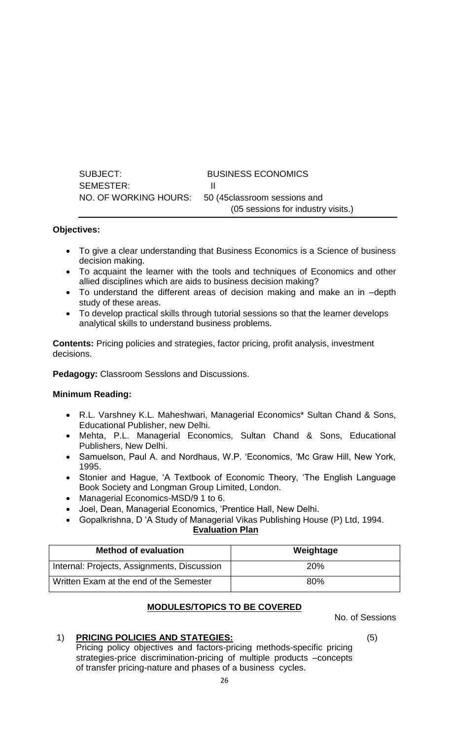| SUBJECT:  | <b>BUSINESS ECONOMICS</b>                           |
|-----------|-----------------------------------------------------|
| SEMESTER: |                                                     |
|           | NO. OF WORKING HOURS: 50 (45 classroom sessions and |
|           | (05 sessions for industry visits.)                  |

## **Objectives:**

- To give a clear understanding that Business Economics is a Science of business decision making.
- To acquaint the learner with the tools and techniques of Economics and other allied disciplines which are aids to business decision making?
- To understand the different areas of decision making and make an in –depth study of these areas.
- To develop practical skills through tutorial sessions so that the learner develops analytical skills to understand business problems.

**Contents:** Pricing policies and strategies, factor pricing, profit analysis, investment decisions.

**Pedagogy:** Classroom Sesslons and Discussions.

#### **Minimum Reading:**

- R.L. Varshney K.L. Maheshwari, Managerial Economics\* Sultan Chand & Sons, Educational Publisher, new Delhi.
- Mehta, P.L. Managerial Economics, Sultan Chand & Sons, Educational Publishers, New Delhi.
- Samuelson, Paul A. and Nordhaus, W.P. 'Economics, 'Mc Graw Hill, New York, 1995.
- Stonier and Hague, 'A Textbook of Economic Theory, 'The English Language Book Society and Longman Group Limited, London.
- Managerial Economics-MSD/9 1 to 6.
- Joel, Dean, Managerial Economics, 'Prentice Hall, New Delhi.
- Gopalkrishna, D 'A Study of Managerial Vikas Publishing House (P) Ltd, 1994.

#### **Evaluation Plan**

| <b>Method of evaluation</b>                 | Weightage  |
|---------------------------------------------|------------|
| Internal: Projects, Assignments, Discussion | <b>20%</b> |
| Written Exam at the end of the Semester     | 80%        |

## **MODULES/TOPICS TO BE COVERED**

No. of Sessions

## 1) **PRICING POLICIES AND STATEGIES:**

Pricing policy objectives and factors-pricing methods-specific pricing strategies-price discrimination-pricing of multiple products –concepts of transfer pricing-nature and phases of a business cycles.

(5)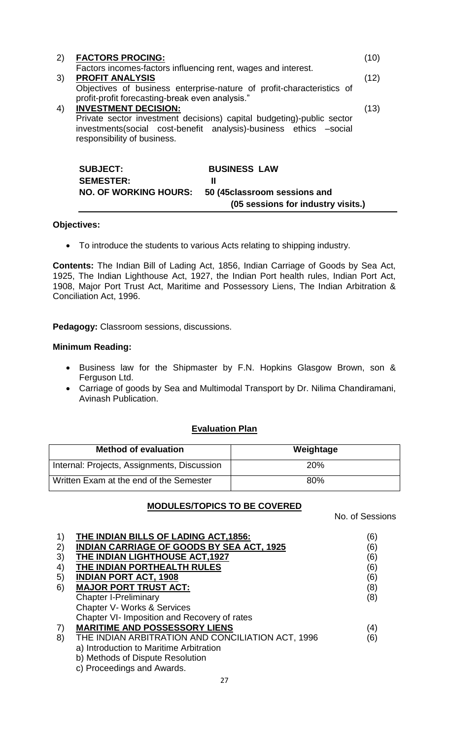|    | <b>SUBJECT:</b><br><b>SEMESTER:</b><br><b>NO. OF WORKING HOURS:</b>                      | <b>BUSINESS LAW</b><br>Ш<br>50 (45classroom sessions and                                                                                   |      |
|----|------------------------------------------------------------------------------------------|--------------------------------------------------------------------------------------------------------------------------------------------|------|
| 4) | <b>INVESTMENT DECISION:</b><br>responsibility of business.                               | Private sector investment decisions) capital budgeting)-public sector<br>investments(social cost-benefit analysis)-business ethics -social | (13) |
|    | profit-profit forecasting-break even analysis."                                          |                                                                                                                                            |      |
| 3) | <b>PROFIT ANALYSIS</b>                                                                   | Objectives of business enterprise-nature of profit-characteristics of                                                                      | (12) |
| 2) | <b>FACTORS PROCING:</b><br>Factors incomes-factors influencing rent, wages and interest. |                                                                                                                                            | (10) |

#### **Objectives:**

To introduce the students to various Acts relating to shipping industry.

**Contents:** The Indian Bill of Lading Act, 1856, Indian Carriage of Goods by Sea Act, 1925, The Indian Lighthouse Act, 1927, the Indian Port health rules, Indian Port Act, 1908, Major Port Trust Act, Maritime and Possessory Liens, The Indian Arbitration & Conciliation Act, 1996.

 **(05 sessions for industry visits.)**

**Pedagogy:** Classroom sessions, discussions.

#### **Minimum Reading:**

- Business law for the Shipmaster by F.N. Hopkins Glasgow Brown, son & Ferguson Ltd.
- Carriage of goods by Sea and Multimodal Transport by Dr. Nilima Chandiramani, Avinash Publication.

## **Evaluation Plan**

| <b>Method of evaluation</b>                 | Weightage  |
|---------------------------------------------|------------|
| Internal: Projects, Assignments, Discussion | <b>20%</b> |
| Written Exam at the end of the Semester     | 80%        |

## **MODULES/TOPICS TO BE COVERED**

No. of Sessions

| $\left( \begin{matrix} 1 \end{matrix} \right)$ | THE INDIAN BILLS OF LADING ACT, 1856:             | (6) |
|------------------------------------------------|---------------------------------------------------|-----|
| 2)                                             | <b>INDIAN CARRIAGE OF GOODS BY SEA ACT, 1925</b>  | (6) |
| 3)                                             | THE INDIAN LIGHTHOUSE ACT, 1927                   | (6) |
| 4)                                             | THE INDIAN PORTHEALTH RULES                       | (6) |
| 5)                                             | <b>INDIAN PORT ACT, 1908</b>                      | (6) |
| 6)                                             | <b>MAJOR PORT TRUST ACT:</b>                      | (8) |
|                                                | <b>Chapter I-Preliminary</b>                      | (8) |
|                                                | <b>Chapter V- Works &amp; Services</b>            |     |
|                                                | Chapter VI- Imposition and Recovery of rates      |     |
| 7)                                             | <b>MARITIME AND POSSESSORY LIENS</b>              | (4) |
| 8)                                             | THE INDIAN ARBITRATION AND CONCILIATION ACT, 1996 | (6) |
|                                                | a) Introduction to Maritime Arbitration           |     |
|                                                | b) Methods of Dispute Resolution                  |     |
|                                                | c) Proceedings and Awards.                        |     |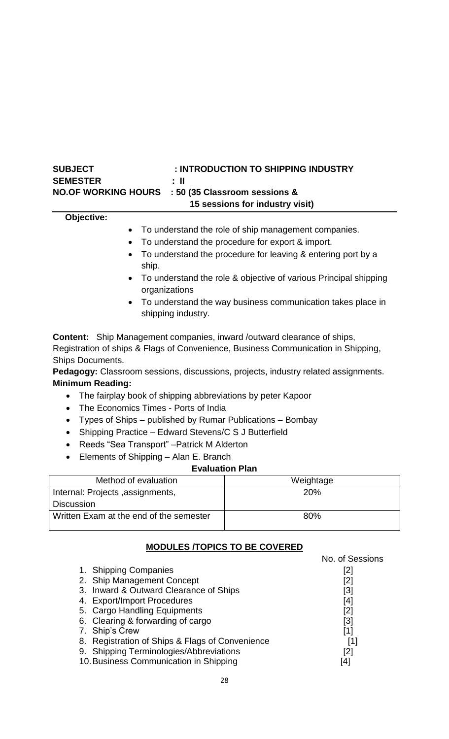| : INTRODUCTION TO SHIPPING INDUSTRY<br><b>SUBJECT</b>                                                                                                                                          |                                                                  |  |
|------------------------------------------------------------------------------------------------------------------------------------------------------------------------------------------------|------------------------------------------------------------------|--|
| <b>SEMESTER</b><br>Ш                                                                                                                                                                           |                                                                  |  |
| <b>NO.OF WORKING HOURS</b><br>: 50 (35 Classroom sessions &                                                                                                                                    |                                                                  |  |
|                                                                                                                                                                                                | 15 sessions for industry visit)                                  |  |
| Objective:                                                                                                                                                                                     |                                                                  |  |
| $\bullet$                                                                                                                                                                                      | To understand the role of ship management companies.             |  |
| $\bullet$                                                                                                                                                                                      | To understand the procedure for export & import.                 |  |
| To understand the procedure for leaving & entering port by a<br>ship.                                                                                                                          |                                                                  |  |
| organizations                                                                                                                                                                                  | To understand the role & objective of various Principal shipping |  |
| shipping industry.                                                                                                                                                                             | To understand the way business communication takes place in      |  |
| <b>Content:</b> Ship Management companies, inward /outward clearance of ships,<br>Registration of ships & Flags of Convenience, Business Communication in Shipping,<br><b>Ships Documents.</b> |                                                                  |  |
| Pedagogy: Classroom sessions, discussions, projects, industry related assignments.                                                                                                             |                                                                  |  |
| <b>Minimum Reading:</b>                                                                                                                                                                        |                                                                  |  |
| The fairplay book of shipping abbreviations by peter Kapoor<br>$\bullet$<br>The Economics Times - Ports of India                                                                               |                                                                  |  |
| $\bullet$                                                                                                                                                                                      |                                                                  |  |
| Types of Ships – published by Rumar Publications – Bombay<br>$\bullet$                                                                                                                         |                                                                  |  |
| Shipping Practice - Edward Stevens/C S J Butterfield<br>$\bullet$                                                                                                                              |                                                                  |  |
| Reeds "Sea Transport" - Patrick M Alderton<br>$\bullet$                                                                                                                                        |                                                                  |  |
| Elements of Shipping - Alan E. Branch<br>$\bullet$<br><b>Evaluation Plan</b>                                                                                                                   |                                                                  |  |
| Method of evaluation<br>Weightage                                                                                                                                                              |                                                                  |  |
| Internal: Projects , assignments,<br>20%                                                                                                                                                       |                                                                  |  |
| <b>Discussion</b>                                                                                                                                                                              |                                                                  |  |
| Written Exam at the end of the semester<br>80%                                                                                                                                                 |                                                                  |  |

# **MODULES /TOPICS TO BE COVERED**

|                                                 | No. of Sessions |
|-------------------------------------------------|-----------------|
| 1. Shipping Companies                           | [2]             |
| 2. Ship Management Concept                      | [2]             |
| 3. Inward & Outward Clearance of Ships          | [3]             |
| 4. Export/Import Procedures                     | [4]             |
| 5. Cargo Handling Equipments                    | [2]             |
| 6. Clearing & forwarding of cargo               | [3]             |
| 7. Ship's Crew                                  | [1]             |
| 8. Registration of Ships & Flags of Convenience | [1]             |
| 9. Shipping Terminologies/Abbreviations         | [2]             |
| 10. Business Communication in Shipping          | 4               |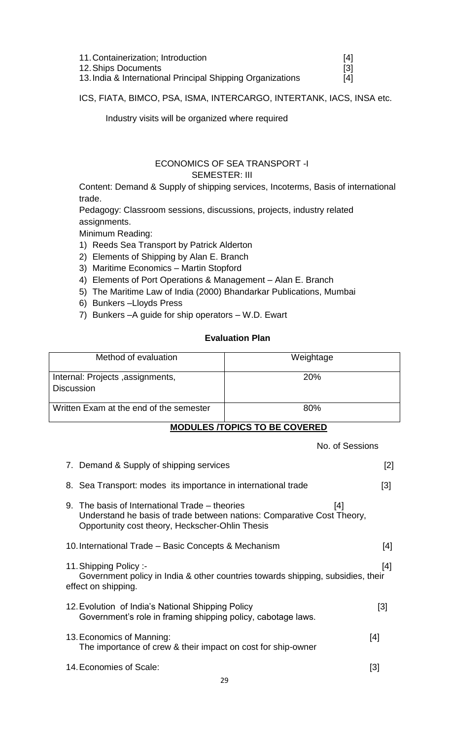| 11. Containerization; Introduction                         | [4]   |
|------------------------------------------------------------|-------|
| 12. Ships Documents                                        | - [3] |
| 13. India & International Principal Shipping Organizations | [4]   |

ICS, FIATA, BIMCO, PSA, ISMA, INTERCARGO, INTERTANK, IACS, INSA etc.

Industry visits will be organized where required

## <span id="page-28-0"></span> ECONOMICS OF SEA TRANSPORT -I SEMESTER: III

Content: Demand & Supply of shipping services, Incoterms, Basis of international trade.

Pedagogy: Classroom sessions, discussions, projects, industry related assignments.

Minimum Reading:

- 1) Reeds Sea Transport by Patrick Alderton
- 2) Elements of Shipping by Alan E. Branch
- 3) Maritime Economics Martin Stopford
- 4) Elements of Port Operations & Management Alan E. Branch
- 5) The Maritime Law of India (2000) Bhandarkar Publications, Mumbai
- 6) Bunkers –Lloyds Press
- 7) Bunkers –A guide for ship operators W.D. Ewart

## **Evaluation Plan**

| Method of evaluation                                  | Weightage  |
|-------------------------------------------------------|------------|
| Internal: Projects, assignments,<br><b>Discussion</b> | <b>20%</b> |
| Written Exam at the end of the semester               | 80%        |

## **MODULES /TOPICS TO BE COVERED**

|                                                                                                                                                                             | No. of Sessions |                   |
|-----------------------------------------------------------------------------------------------------------------------------------------------------------------------------|-----------------|-------------------|
| 7. Demand & Supply of shipping services                                                                                                                                     |                 | [2]               |
| 8. Sea Transport: modes its importance in international trade                                                                                                               |                 | $\lceil 3 \rceil$ |
| 9. The basis of International Trade – theories<br>Understand he basis of trade between nations: Comparative Cost Theory,<br>Opportunity cost theory, Heckscher-Ohlin Thesis | [4]             |                   |
| 10. International Trade – Basic Concepts & Mechanism                                                                                                                        |                 | [4]               |
| 11. Shipping Policy:-<br>Government policy in India & other countries towards shipping, subsidies, their<br>effect on shipping.                                             |                 | [4]               |
| 12. Evolution of India's National Shipping Policy<br>Government's role in framing shipping policy, cabotage laws.                                                           |                 | [3]               |
| 13. Economics of Manning:<br>The importance of crew & their impact on cost for ship-owner                                                                                   |                 | [4]               |
| 14. Economies of Scale:                                                                                                                                                     |                 | [3]               |
|                                                                                                                                                                             |                 |                   |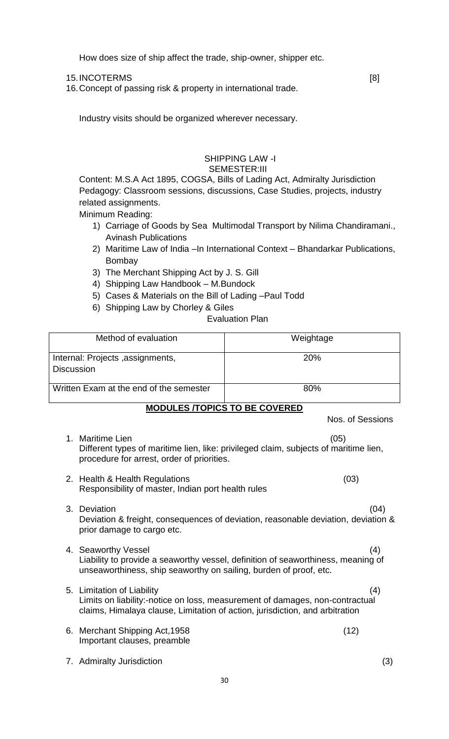How does size of ship affect the trade, ship-owner, shipper etc.

15. INCOTERMS [8]

16.Concept of passing risk & property in international trade.

Industry visits should be organized wherever necessary.

#### <span id="page-29-0"></span> SHIPPING LAW -I SEMESTER:III

Content: M.S.A Act 1895, COGSA, Bills of Lading Act, Admiralty Jurisdiction Pedagogy: Classroom sessions, discussions, Case Studies, projects, industry related assignments.

Minimum Reading:

- 1) Carriage of Goods by Sea Multimodal Transport by Nilima Chandiramani., Avinash Publications
- 2) Maritime Law of India –In International Context Bhandarkar Publications, Bombay
- 3) The Merchant Shipping Act by J. S. Gill
- 4) Shipping Law Handbook M.Bundock
- 5) Cases & Materials on the Bill of Lading –Paul Todd
- 6) Shipping Law by Chorley & Giles

Evaluation Plan

| Method of evaluation                                  | Weightage  |
|-------------------------------------------------------|------------|
| Internal: Projects, assignments,<br><b>Discussion</b> | <b>20%</b> |
| Written Exam at the end of the semester               | 80%        |

## **MODULES /TOPICS TO BE COVERED**

# Nos. of Sessions 1. Maritime Lien (05) Different types of maritime lien, like: privileged claim, subjects of maritime lien, procedure for arrest, order of priorities. 2. Health & Health Regulations (03) Responsibility of master, Indian port health rules 3. Deviation (04) Deviation & freight, consequences of deviation, reasonable deviation, deviation & prior damage to cargo etc. 4. Seaworthy Vessel (4) Liability to provide a seaworthy vessel, definition of seaworthiness, meaning of unseaworthiness, ship seaworthy on sailing, burden of proof, etc. 5. Limitation of Liability (4) Limits on liability:-notice on loss, measurement of damages, non-contractual claims, Himalaya clause, Limitation of action, jurisdiction, and arbitration 6. Merchant Shipping Act,1958 (12) Important clauses, preamble 7. Admiralty Jurisdiction (3)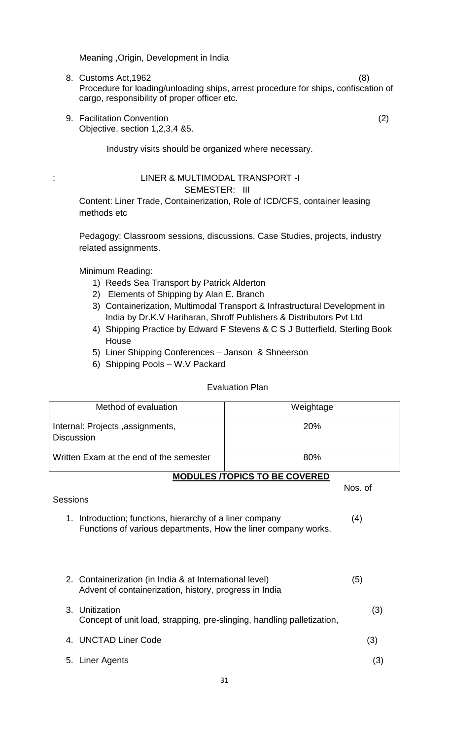Meaning ,Origin, Development in India

- 8. Customs Act,1962 (8) Procedure for loading/unloading ships, arrest procedure for ships, confiscation of cargo, responsibility of proper officer etc.
- 9. Facilitation Convention (2) Objective, section 1,2,3,4 &5.

<span id="page-30-0"></span>Industry visits should be organized where necessary.

#### : LINER & MULTIMODAL TRANSPORT -I SEMESTER: III

Content: Liner Trade, Containerization, Role of ICD/CFS, container leasing methods etc

Pedagogy: Classroom sessions, discussions, Case Studies, projects, industry related assignments.

Minimum Reading:

- 1) Reeds Sea Transport by Patrick Alderton
- 2) Elements of Shipping by Alan E. Branch
- 3) Containerization, Multimodal Transport & Infrastructural Development in India by Dr.K.V Hariharan, Shroff Publishers & Distributors Pvt Ltd
- 4) Shipping Practice by Edward F Stevens & C S J Butterfield, Sterling Book House
- 5) Liner Shipping Conferences Janson & Shneerson
- 6) Shipping Pools W.V Packard

#### Evaluation Plan

| Method of evaluation                                                                                                       | Weightage                            |
|----------------------------------------------------------------------------------------------------------------------------|--------------------------------------|
| Internal: Projects, assignments,                                                                                           | 20%                                  |
| <b>Discussion</b>                                                                                                          |                                      |
| Written Exam at the end of the semester                                                                                    | 80%                                  |
|                                                                                                                            | <b>MODULES /TOPICS TO BE COVERED</b> |
|                                                                                                                            | Nos. of                              |
| Sessions                                                                                                                   |                                      |
| 1. Introduction; functions, hierarchy of a liner company<br>Functions of various departments, How the liner company works. | (4)                                  |
| 2. Containerization (in India & at International level)<br>Advent of containerization, history, progress in India          | (5)                                  |
| 3. Unitization<br>Concept of unit load, strapping, pre-slinging, handling palletization,                                   | (3)                                  |
| 4. UNCTAD Liner Code                                                                                                       | (3)                                  |
| Liner Agents<br>5.                                                                                                         | (3)                                  |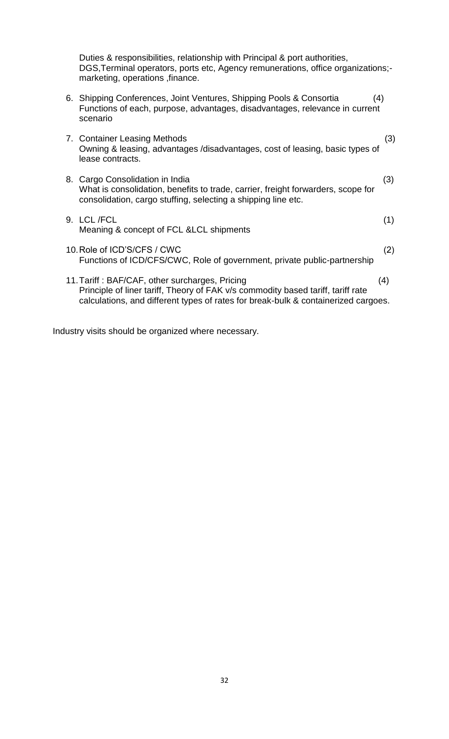Duties & responsibilities, relationship with Principal & port authorities, DGS,Terminal operators, ports etc, Agency remunerations, office organizations; marketing, operations ,finance.

- 6. Shipping Conferences, Joint Ventures, Shipping Pools & Consortia (4) Functions of each, purpose, advantages, disadvantages, relevance in current scenario
- 7. Container Leasing Methods (3) Owning & leasing, advantages /disadvantages, cost of leasing, basic types of lease contracts.
- 8. Cargo Consolidation in India (3) What is consolidation, benefits to trade, carrier, freight forwarders, scope for consolidation, cargo stuffing, selecting a shipping line etc.
- 9. LCL /FCL (1) Meaning & concept of FCL &LCL shipments
- 10.Role of ICD'S/CFS / CWC (2) Functions of ICD/CFS/CWC, Role of government, private public-partnership
- 11.Tariff : BAF/CAF, other surcharges, Pricing (4) Principle of liner tariff, Theory of FAK v/s commodity based tariff, tariff rate calculations, and different types of rates for break-bulk & containerized cargoes.

Industry visits should be organized where necessary.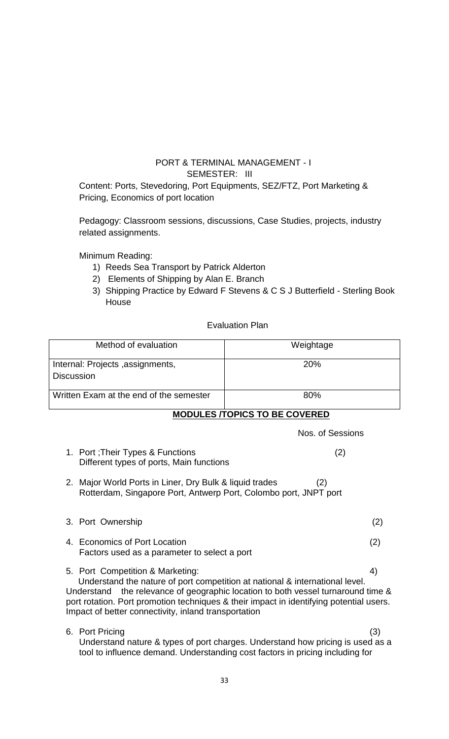## <span id="page-32-0"></span> PORT & TERMINAL MANAGEMENT - I SEMESTER: III

Content: Ports, Stevedoring, Port Equipments, SEZ/FTZ, Port Marketing & Pricing, Economics of port location

Pedagogy: Classroom sessions, discussions, Case Studies, projects, industry related assignments.

Minimum Reading:

- 1) Reeds Sea Transport by Patrick Alderton
- 2) Elements of Shipping by Alan E. Branch
- 3) Shipping Practice by Edward F Stevens & C S J Butterfield Sterling Book House

Evaluation Plan

| Method of evaluation                                  | Weightage  |
|-------------------------------------------------------|------------|
| Internal: Projects, assignments,<br><b>Discussion</b> | <b>20%</b> |
| Written Exam at the end of the semester               | 80%        |

## **MODULES /TOPICS TO BE COVERED**

|                                                                                                                                                                                                                                                                                                                                                               | Nos. of Sessions |  |
|---------------------------------------------------------------------------------------------------------------------------------------------------------------------------------------------------------------------------------------------------------------------------------------------------------------------------------------------------------------|------------------|--|
| 1. Port ; Their Types & Functions<br>Different types of ports, Main functions                                                                                                                                                                                                                                                                                 | (2)              |  |
| Major World Ports in Liner, Dry Bulk & liquid trades<br>2.<br>Rotterdam, Singapore Port, Antwerp Port, Colombo port, JNPT port                                                                                                                                                                                                                                | (2)              |  |
| 3. Port Ownership                                                                                                                                                                                                                                                                                                                                             | (2)              |  |
| 4. Economics of Port Location<br>Factors used as a parameter to select a port                                                                                                                                                                                                                                                                                 | (2)              |  |
| 4)<br>5. Port Competition & Marketing:<br>Understand the nature of port competition at national & international level.<br>Understand the relevance of geographic location to both vessel turnaround time &<br>port rotation. Port promotion techniques & their impact in identifying potential users.<br>Impact of better connectivity, inland transportation |                  |  |
| 6. Port Pricing<br>Understand nature & types of port charges. Understand how pricing is used as a<br>tool to influence demand. Understanding cost factors in pricing including for                                                                                                                                                                            | (3)              |  |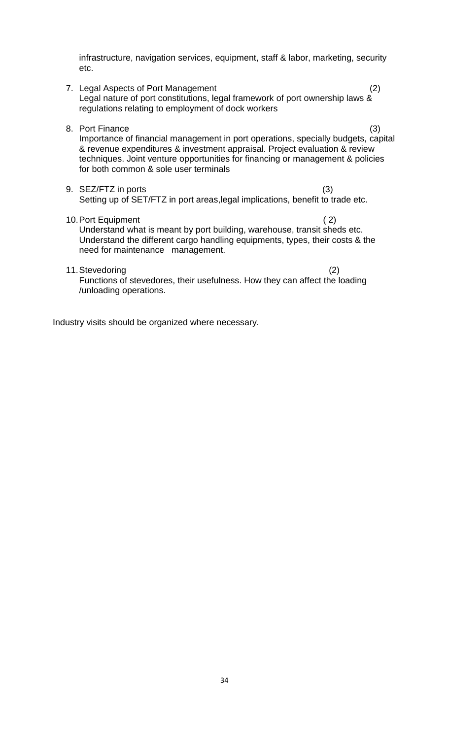infrastructure, navigation services, equipment, staff & labor, marketing, security etc.

- 7. Legal Aspects of Port Management (2) Legal nature of port constitutions, legal framework of port ownership laws & regulations relating to employment of dock workers
- 8. Port Finance (3) Importance of financial management in port operations, specially budgets, capital & revenue expenditures & investment appraisal. Project evaluation & review techniques. Joint venture opportunities for financing or management & policies for both common & sole user terminals
- 9. SEZ/FTZ in ports (3) Setting up of SET/FTZ in port areas, legal implications, benefit to trade etc.

10. Port Equipment (2) Understand what is meant by port building, warehouse, transit sheds etc. Understand the different cargo handling equipments, types, their costs & the need for maintenance management.

11.Stevedoring (2) Functions of stevedores, their usefulness. How they can affect the loading /unloading operations.

Industry visits should be organized where necessary.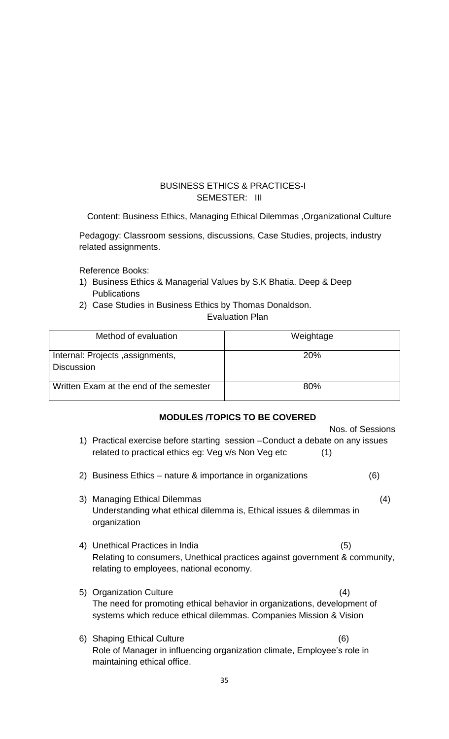## <span id="page-34-0"></span> BUSINESS ETHICS & PRACTICES-I SEMESTER: III

Content: Business Ethics, Managing Ethical Dilemmas ,Organizational Culture

Pedagogy: Classroom sessions, discussions, Case Studies, projects, industry related assignments.

Reference Books:

- 1) Business Ethics & Managerial Values by S.K Bhatia. Deep & Deep Publications
- 2) Case Studies in Business Ethics by Thomas Donaldson.

Evaluation Plan

| Method of evaluation                                  | Weightage  |
|-------------------------------------------------------|------------|
| Internal: Projects, assignments,<br><b>Discussion</b> | <b>20%</b> |
| Written Exam at the end of the semester               | 80%        |

## **MODULES /TOPICS TO BE COVERED**

|    |                                                                                                                                                                          | Nos. of Sessions |
|----|--------------------------------------------------------------------------------------------------------------------------------------------------------------------------|------------------|
|    | 1) Practical exercise before starting session – Conduct a debate on any issues<br>related to practical ethics eg: Veg v/s Non Veg etc<br>(1)                             |                  |
| 2) | Business Ethics – nature & importance in organizations                                                                                                                   | (6)              |
| 3) | <b>Managing Ethical Dilemmas</b><br>Understanding what ethical dilemma is, Ethical issues & dilemmas in<br>organization                                                  | (4)              |
|    | 4) Unethical Practices in India<br>Relating to consumers, Unethical practices against government & community,<br>relating to employees, national economy.                | (5)              |
|    | 5) Organization Culture<br>The need for promoting ethical behavior in organizations, development of<br>systems which reduce ethical dilemmas. Companies Mission & Vision | (4)              |
|    | 6) Shaping Ethical Culture<br>Role of Manager in influencing organization climate, Employee's role in<br>maintaining ethical office.                                     | (6)              |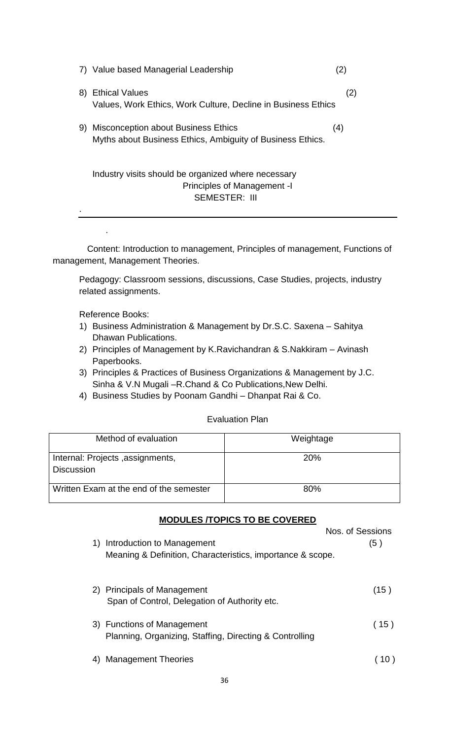| Value based Managerial Leadership                                                                              |     |
|----------------------------------------------------------------------------------------------------------------|-----|
| <b>Ethical Values</b><br>8)<br>Values, Work Ethics, Work Culture, Decline in Business Ethics                   | (2) |
| <b>Misconception about Business Ethics</b><br>9)<br>Myths about Business Ethics, Ambiguity of Business Ethics. | (4) |
| Industry visits should be organized where necessary<br>Principles of Management -<br><b>SEMESTER: III</b>      |     |

<span id="page-35-0"></span> Content: Introduction to management, Principles of management, Functions of management, Management Theories.

Pedagogy: Classroom sessions, discussions, Case Studies, projects, industry related assignments.

Reference Books:

.

- 1) Business Administration & Management by Dr.S.C. Saxena Sahitya Dhawan Publications.
- 2) Principles of Management by K.Ravichandran & S.Nakkiram Avinash Paperbooks.
- 3) Principles & Practices of Business Organizations & Management by J.C. Sinha & V.N Mugali –R.Chand & Co Publications,New Delhi.
- 4) Business Studies by Poonam Gandhi Dhanpat Rai & Co.

#### Evaluation Plan

| Method of evaluation                                  | Weightage  |
|-------------------------------------------------------|------------|
| Internal: Projects, assignments,<br><b>Discussion</b> | <b>20%</b> |
| Written Exam at the end of the semester               | 80%        |

#### **MODULES /TOPICS TO BE COVERED**

| 1) | Introduction to Management                                                            | Nos. of Sessions<br>(5) |
|----|---------------------------------------------------------------------------------------|-------------------------|
|    | Meaning & Definition, Characteristics, importance & scope.                            |                         |
|    | 2) Principals of Management<br>Span of Control, Delegation of Authority etc.          | (15)                    |
|    | 3) Functions of Management<br>Planning, Organizing, Staffing, Directing & Controlling | (15)                    |
|    | <b>Management Theories</b>                                                            |                         |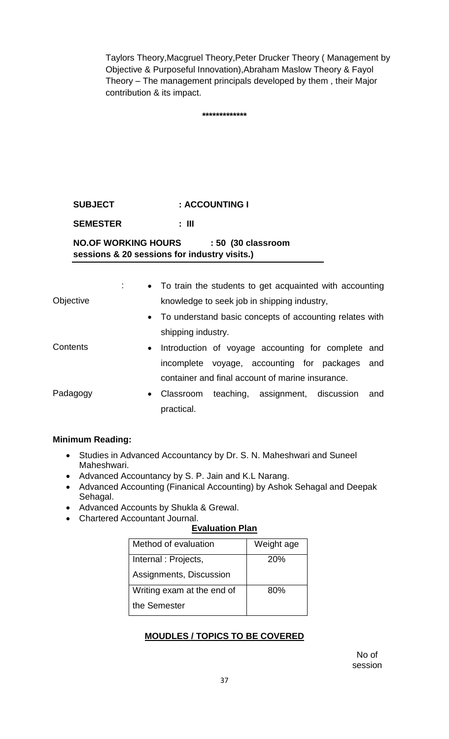Taylors Theory,Macgruel Theory,Peter Drucker Theory ( Management by Objective & Purposeful Innovation),Abraham Maslow Theory & Fayol Theory – The management principals developed by them , their Major contribution & its impact.

**\*\*\*\*\*\*\*\*\*\*\*\*\***

# **SUBJECT : ACCOUNTING I**

**SEMESTER : III**

**NO.OF WORKING HOURS : 50 (30 classroom sessions & 20 sessions for industry visits.)**

|           |           |                    |                                                  | • To train the students to get acquainted with accounting |     |
|-----------|-----------|--------------------|--------------------------------------------------|-----------------------------------------------------------|-----|
| Objective |           |                    | knowledge to seek job in shipping industry,      |                                                           |     |
|           |           |                    |                                                  | • To understand basic concepts of accounting relates with |     |
|           |           | shipping industry. |                                                  |                                                           |     |
| Contents  | $\bullet$ |                    |                                                  | Introduction of voyage accounting for complete and        |     |
|           |           |                    |                                                  | incomplete voyage, accounting for packages                | and |
|           |           |                    | container and final account of marine insurance. |                                                           |     |
| Padagogy  | $\bullet$ | Classroom          |                                                  | teaching, assignment, discussion                          | and |
|           |           | practical.         |                                                  |                                                           |     |

# **Minimum Reading:**

- Studies in Advanced Accountancy by Dr. S. N. Maheshwari and Suneel Maheshwari.
- Advanced Accountancy by S. P. Jain and K.L Narang.
- Advanced Accounting (Finanical Accounting) by Ashok Sehagal and Deepak Sehagal.
- Advanced Accounts by Shukla & Grewal.
- Chartered Accountant Journal.

# **Evaluation Plan**

| Method of evaluation       | Weight age |
|----------------------------|------------|
| Internal : Projects,       | 20%        |
| Assignments, Discussion    |            |
| Writing exam at the end of | 80%        |
| the Semester               |            |

# **MOUDLES / TOPICS TO BE COVERED**

No of session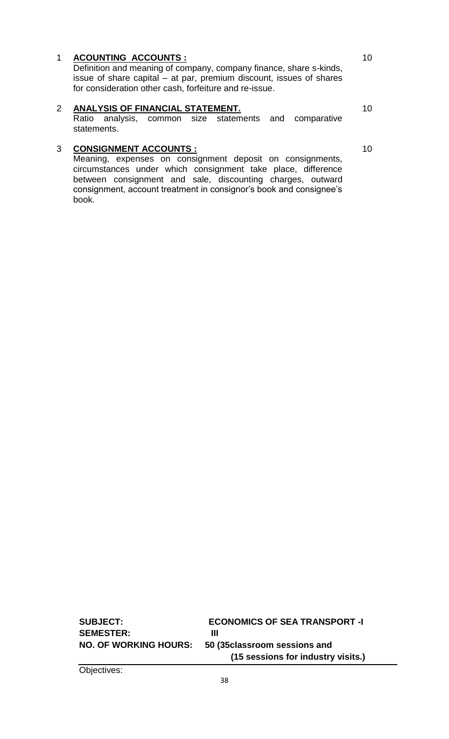## 1 **ACOUNTING ACCOUNTS :**

Definition and meaning of company, company finance, share s-kinds, issue of share capital – at par, premium discount, issues of shares for consideration other cash, forfeiture and re-issue.

# 2 **ANALYSIS OF FINANCIAL STATEMENT.**

Ratio analysis, common size statements and comparative statements.

# 3 **CONSIGNMENT ACCOUNTS :**

Meaning, expenses on consignment deposit on consignments, circumstances under which consignment take place, difference between consignment and sale, discounting charges, outward consignment, account treatment in consignor's book and consignee's book.

10

10

**SUBJECT: ECONOMICS OF SEA TRANSPORT -I** SEMESTER: III **NO. OF WORKING HOURS: 50 (35classroom sessions and (15 sessions for industry visits.)**

Objectives:

10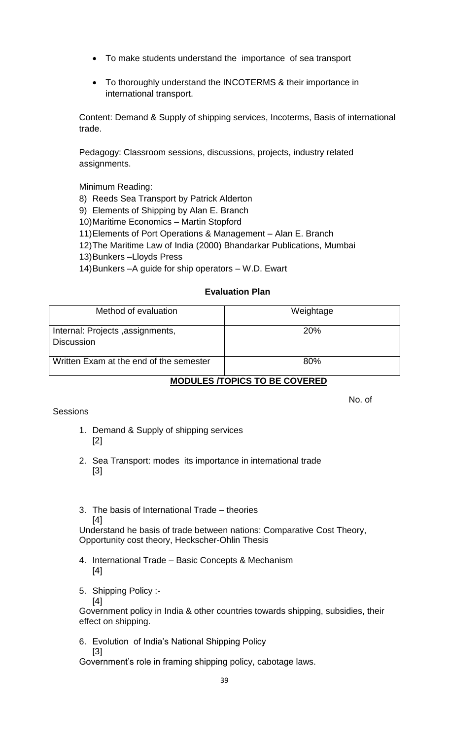- To make students understand the importance of sea transport
- To thoroughly understand the INCOTERMS & their importance in international transport.

Content: Demand & Supply of shipping services, Incoterms, Basis of international trade.

Pedagogy: Classroom sessions, discussions, projects, industry related assignments.

Minimum Reading:

8) Reeds Sea Transport by Patrick Alderton

9) Elements of Shipping by Alan E. Branch

10)Maritime Economics – Martin Stopford

11)Elements of Port Operations & Management – Alan E. Branch

12)The Maritime Law of India (2000) Bhandarkar Publications, Mumbai

13)Bunkers –Lloyds Press

14)Bunkers –A guide for ship operators – W.D. Ewart

# **Evaluation Plan**

| Method of evaluation                                  | Weightage  |
|-------------------------------------------------------|------------|
| Internal: Projects, assignments,<br><b>Discussion</b> | <b>20%</b> |
| Written Exam at the end of the semester               | 80%        |

# **MODULES /TOPICS TO BE COVERED**

## **Sessions**

No. of

- 1. Demand & Supply of shipping services [2]
- 2. Sea Transport: modes its importance in international trade [3]
- 3. The basis of International Trade theories [4]

Understand he basis of trade between nations: Comparative Cost Theory, Opportunity cost theory, Heckscher-Ohlin Thesis

- 4. International Trade Basic Concepts & Mechanism [4]
- 5. Shipping Policy :-

[4] Government policy in India & other countries towards shipping, subsidies, their effect on shipping.

6. Evolution of India's National Shipping Policy [3]

Government's role in framing shipping policy, cabotage laws.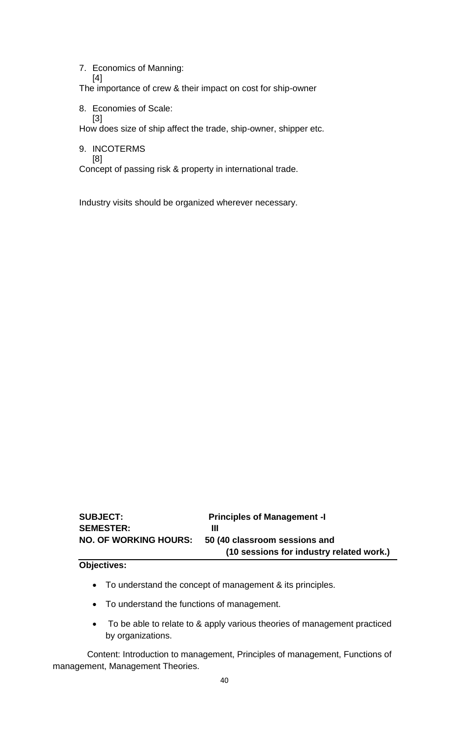7. Economics of Manning:

[4] The importance of crew & their impact on cost for ship-owner

8. Economies of Scale: [3]

How does size of ship affect the trade, ship-owner, shipper etc.

9. INCOTERMS

[8]

Concept of passing risk & property in international trade.

Industry visits should be organized wherever necessary.

| <b>SUBJECT:</b>              | <b>Principles of Management -I</b>       |
|------------------------------|------------------------------------------|
| <b>SEMESTER:</b>             | Ш                                        |
| <b>NO. OF WORKING HOURS:</b> | 50 (40 classroom sessions and            |
|                              | (10 sessions for industry related work.) |

#### **Objectives:**

- To understand the concept of management & its principles.
- To understand the functions of management.
- To be able to relate to & apply various theories of management practiced by organizations.

 Content: Introduction to management, Principles of management, Functions of management, Management Theories.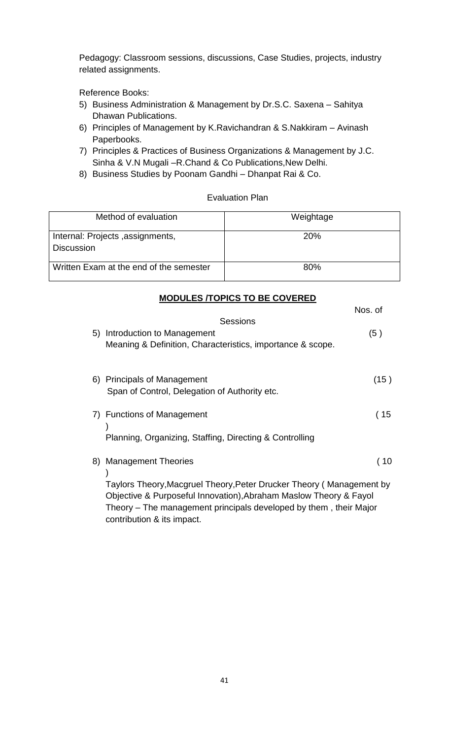Pedagogy: Classroom sessions, discussions, Case Studies, projects, industry related assignments.

Reference Books:

- 5) Business Administration & Management by Dr.S.C. Saxena Sahitya Dhawan Publications.
- 6) Principles of Management by K.Ravichandran & S.Nakkiram Avinash Paperbooks.
- 7) Principles & Practices of Business Organizations & Management by J.C. Sinha & V.N Mugali –R.Chand & Co Publications,New Delhi.
- 8) Business Studies by Poonam Gandhi Dhanpat Rai & Co.

## Evaluation Plan

| Method of evaluation                                  | Weightage  |
|-------------------------------------------------------|------------|
| Internal: Projects, assignments,<br><b>Discussion</b> | <b>20%</b> |
| Written Exam at the end of the semester               | 80%        |

# **MODULES /TOPICS TO BE COVERED**

|    |                                                                                                                                                                          | Nos. of             |
|----|--------------------------------------------------------------------------------------------------------------------------------------------------------------------------|---------------------|
| 5) | Sessions<br>Introduction to Management<br>Meaning & Definition, Characteristics, importance & scope.                                                                     | (5)                 |
|    | 6) Principals of Management<br>Span of Control, Delegation of Authority etc.                                                                                             | (15)                |
|    | 7) Functions of Management<br>Planning, Organizing, Staffing, Directing & Controlling                                                                                    | (15                 |
| 8) | <b>Management Theories</b><br>Taylors Theory, Macgruel Theory, Peter Drucker Theory ( Management by<br>Objective & Purposeful Innovation), Abraham Maslow Theory & Fayol | $\left( 10 \right)$ |
|    | Theory – The management principals developed by them, their Major<br>contribution & its impact.                                                                          |                     |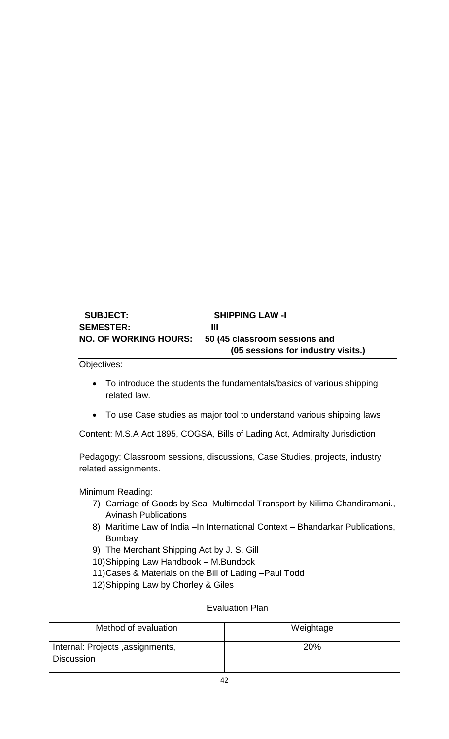# **SUBJECT: SHIPPING LAW -I SEMESTER: III NO. OF WORKING HOURS: 50 (45 classroom sessions and (05 sessions for industry visits.)**

Objectives:

- To introduce the students the fundamentals/basics of various shipping related law.
- To use Case studies as major tool to understand various shipping laws

Content: M.S.A Act 1895, COGSA, Bills of Lading Act, Admiralty Jurisdiction

Pedagogy: Classroom sessions, discussions, Case Studies, projects, industry related assignments.

Minimum Reading:

- 7) Carriage of Goods by Sea Multimodal Transport by Nilima Chandiramani., Avinash Publications
- 8) Maritime Law of India –In International Context Bhandarkar Publications, Bombay
- 9) The Merchant Shipping Act by J. S. Gill
- 10)Shipping Law Handbook M.Bundock
- 11)Cases & Materials on the Bill of Lading –Paul Todd
- 12)Shipping Law by Chorley & Giles

## Evaluation Plan

| Method of evaluation             | Weightage |
|----------------------------------|-----------|
| Internal: Projects, assignments, | 20%       |
| <b>Discussion</b>                |           |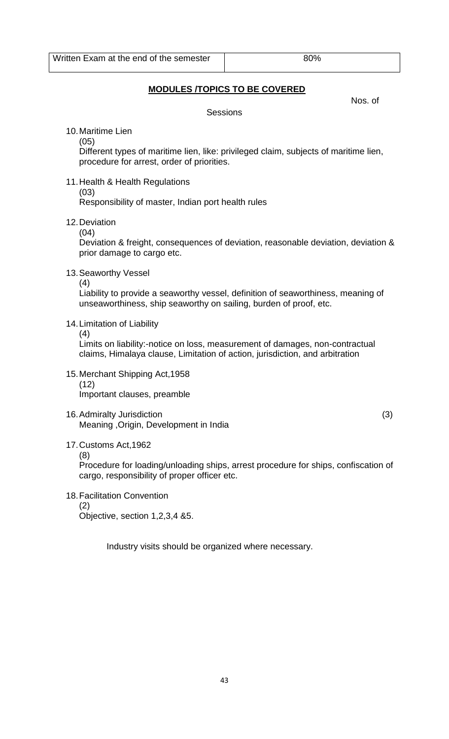# **MODULES /TOPICS TO BE COVERED**

Nos. of

**Sessions** 

10.Maritime Lien

(05)

Different types of maritime lien, like: privileged claim, subjects of maritime lien, procedure for arrest, order of priorities.

- 11.Health & Health Regulations (03) Responsibility of master, Indian port health rules
- 12.Deviation

(04)

Deviation & freight, consequences of deviation, reasonable deviation, deviation & prior damage to cargo etc.

13.Seaworthy Vessel

(4)

Liability to provide a seaworthy vessel, definition of seaworthiness, meaning of unseaworthiness, ship seaworthy on sailing, burden of proof, etc.

- 14.Limitation of Liability
	- (4)

Limits on liability:-notice on loss, measurement of damages, non-contractual claims, Himalaya clause, Limitation of action, jurisdiction, and arbitration

- 15.Merchant Shipping Act,1958 (12) Important clauses, preamble
- 16.Admiralty Jurisdiction (3) Meaning ,Origin, Development in India

17.Customs Act,1962

(8)

Procedure for loading/unloading ships, arrest procedure for ships, confiscation of cargo, responsibility of proper officer etc.

18.Facilitation Convention (2) Objective, section 1,2,3,4 &5.

Industry visits should be organized where necessary.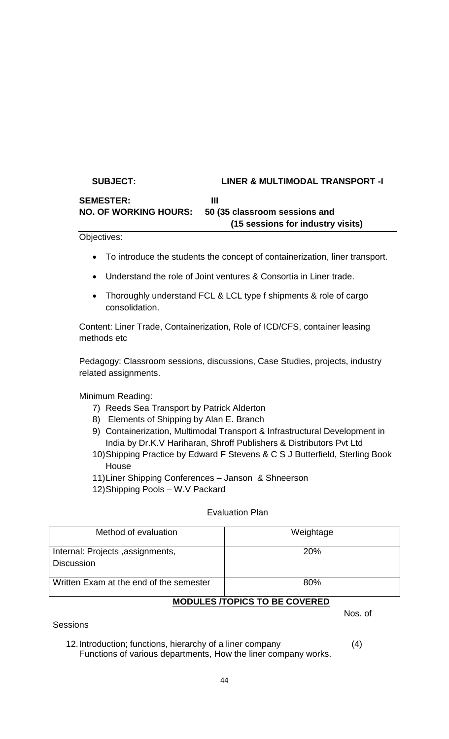# **SUBJECT: LINER & MULTIMODAL TRANSPORT -I** SEMESTER: III **NO. OF WORKING HOURS: 50 (35 classroom sessions and (15 sessions for industry visits)**

Objectives:

- To introduce the students the concept of containerization, liner transport.
- Understand the role of Joint ventures & Consortia in Liner trade.
- Thoroughly understand FCL & LCL type f shipments & role of cargo consolidation.

Content: Liner Trade, Containerization, Role of ICD/CFS, container leasing methods etc

Pedagogy: Classroom sessions, discussions, Case Studies, projects, industry related assignments.

Minimum Reading:

- 7) Reeds Sea Transport by Patrick Alderton
- 8) Elements of Shipping by Alan E. Branch
- 9) Containerization, Multimodal Transport & Infrastructural Development in India by Dr.K.V Hariharan, Shroff Publishers & Distributors Pvt Ltd
- 10)Shipping Practice by Edward F Stevens & C S J Butterfield, Sterling Book **House**

11)Liner Shipping Conferences – Janson & Shneerson

12)Shipping Pools – W.V Packard

#### Evaluation Plan

| Weightage                                         |
|---------------------------------------------------|
| <b>20%</b>                                        |
| 80%<br>MODULES <i><b>TODICS</b></i> TO BE COVERED |
|                                                   |

## **MODULES /TOPICS TO BE COVERED**

Nos. of

**Sessions** 

12.Introduction; functions, hierarchy of a liner company (4) Functions of various departments, How the liner company works.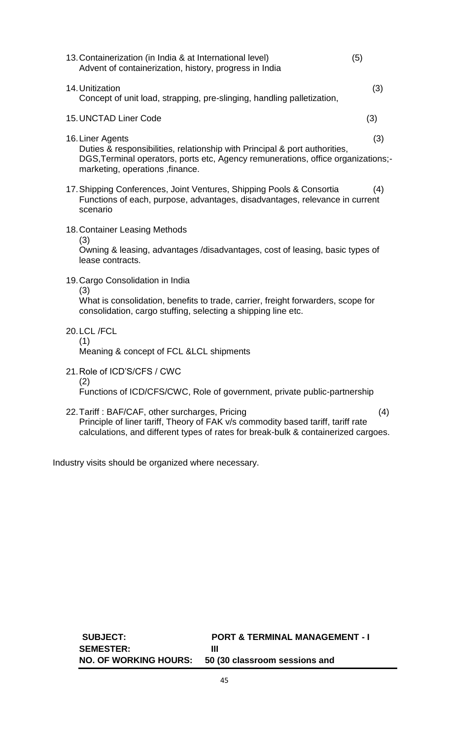| 13. Containerization (in India & at International level)<br>Advent of containerization, history, progress in India                                                                                                    | (5) |
|-----------------------------------------------------------------------------------------------------------------------------------------------------------------------------------------------------------------------|-----|
| 14. Unitization<br>Concept of unit load, strapping, pre-slinging, handling palletization,                                                                                                                             | (3) |
| <b>15. UNCTAD Liner Code</b>                                                                                                                                                                                          | (3) |
| 16. Liner Agents<br>Duties & responsibilities, relationship with Principal & port authorities,<br>DGS, Terminal operators, ports etc, Agency remunerations, office organizations;-<br>marketing, operations, finance. | (3) |
| 17. Shipping Conferences, Joint Ventures, Shipping Pools & Consortia<br>Functions of each, purpose, advantages, disadvantages, relevance in current<br>scenario                                                       | (4) |
| 18. Container Leasing Methods<br>(3)<br>Owning & leasing, advantages /disadvantages, cost of leasing, basic types of<br>lease contracts.                                                                              |     |
| 19. Cargo Consolidation in India<br>(3)<br>What is consolidation, benefits to trade, carrier, freight forwarders, scope for<br>consolidation, cargo stuffing, selecting a shipping line etc.                          |     |
| 20.LCL/FCL<br>(1)<br>Meaning & concept of FCL & LCL shipments                                                                                                                                                         |     |
| 21. Role of ICD'S/CFS / CWC<br>(2)<br>Functions of ICD/CFS/CWC, Role of government, private public-partnership                                                                                                        |     |

22.Tariff : BAF/CAF, other surcharges, Pricing (4) Principle of liner tariff, Theory of FAK v/s commodity based tariff, tariff rate calculations, and different types of rates for break-bulk & containerized cargoes.

Industry visits should be organized where necessary.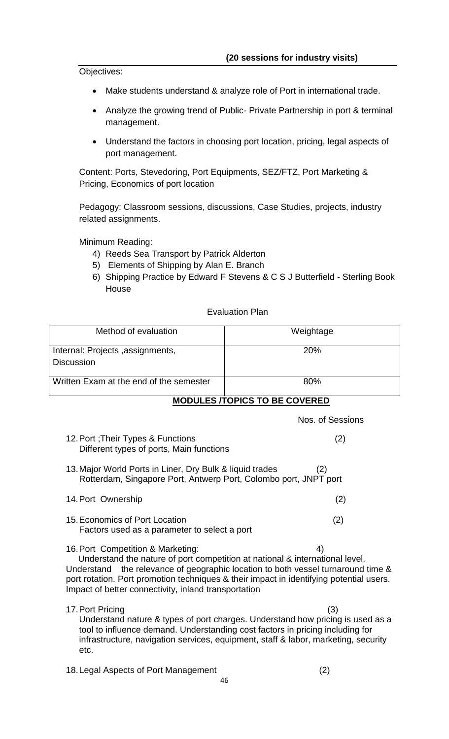Objectives:

- Make students understand & analyze role of Port in international trade.
- Analyze the growing trend of Public- Private Partnership in port & terminal management.
- Understand the factors in choosing port location, pricing, legal aspects of port management.

Content: Ports, Stevedoring, Port Equipments, SEZ/FTZ, Port Marketing & Pricing, Economics of port location

Pedagogy: Classroom sessions, discussions, Case Studies, projects, industry related assignments.

Minimum Reading:

- 4) Reeds Sea Transport by Patrick Alderton
- 5) Elements of Shipping by Alan E. Branch
- 6) Shipping Practice by Edward F Stevens & C S J Butterfield Sterling Book **House**

## Evaluation Plan

| Method of evaluation                                  | Weightage  |
|-------------------------------------------------------|------------|
| Internal: Projects, assignments,<br><b>Discussion</b> | <b>20%</b> |
| Written Exam at the end of the semester               | 80%        |

**MODULES /TOPICS TO BE COVERED**

Nos. of Sessions

- 12.Port ;Their Types & Functions (2) Different types of ports, Main functions
- 13.Major World Ports in Liner, Dry Bulk & liquid trades (2) Rotterdam, Singapore Port, Antwerp Port, Colombo port, JNPT port
- 14.Port Ownership (2) 15.Economics of Port Location (2)
- Factors used as a parameter to select a port
- 16. Port Competition & Marketing: 4)

 Understand the nature of port competition at national & international level. Understand the relevance of geographic location to both vessel turnaround time & port rotation. Port promotion techniques & their impact in identifying potential users. Impact of better connectivity, inland transportation

- 17.Port Pricing (3) Understand nature & types of port charges. Understand how pricing is used as a tool to influence demand. Understanding cost factors in pricing including for infrastructure, navigation services, equipment, staff & labor, marketing, security
- 18.Legal Aspects of Port Management (2)

etc.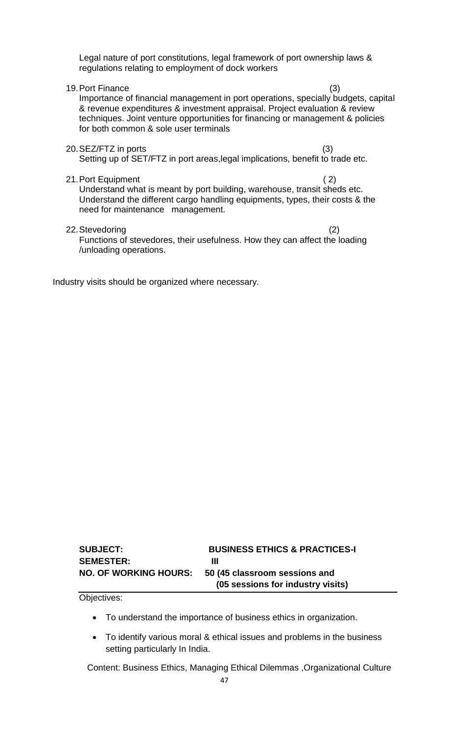Legal nature of port constitutions, legal framework of port ownership laws & regulations relating to employment of dock workers

19.Port Finance (3) Importance of financial management in port operations, specially budgets, capital & revenue expenditures & investment appraisal. Project evaluation & review techniques. Joint venture opportunities for financing or management & policies for both common & sole user terminals

20.SEZ/FTZ in ports (3)

Setting up of SET/FTZ in port areas,legal implications, benefit to trade etc.

21.Port Equipment ( 2)

Understand what is meant by port building, warehouse, transit sheds etc. Understand the different cargo handling equipments, types, their costs & the need for maintenance management.

22.Stevedoring (2)

Functions of stevedores, their usefulness. How they can affect the loading /unloading operations.

Industry visits should be organized where necessary.

| <b>SUBJECT:</b>              | <b>BUSINESS ETHICS &amp; PRACTICES-I</b> |
|------------------------------|------------------------------------------|
| <b>SEMESTER:</b>             | Ш                                        |
| <b>NO. OF WORKING HOURS:</b> | 50 (45 classroom sessions and            |
|                              | (05 sessions for industry visits)        |

Objectives:

- To understand the importance of business ethics in organization.
- To identify various moral & ethical issues and problems in the business setting particularly In India.

Content: Business Ethics, Managing Ethical Dilemmas ,Organizational Culture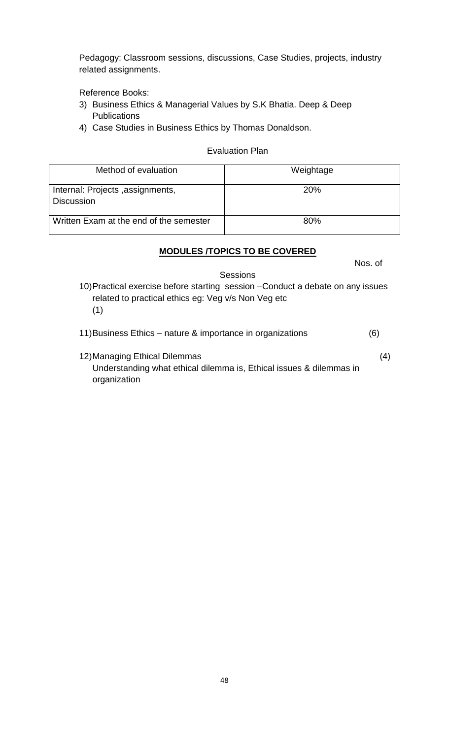Pedagogy: Classroom sessions, discussions, Case Studies, projects, industry related assignments.

Reference Books:

- 3) Business Ethics & Managerial Values by S.K Bhatia. Deep & Deep **Publications**
- 4) Case Studies in Business Ethics by Thomas Donaldson.

#### Evaluation Plan

| Method of evaluation                                  | Weightage  |
|-------------------------------------------------------|------------|
| Internal: Projects, assignments,<br><b>Discussion</b> | <b>20%</b> |
| Written Exam at the end of the semester               | 80%        |

# **MODULES /TOPICS TO BE COVERED**

Nos. of

Sessions

10)Practical exercise before starting session –Conduct a debate on any issues related to practical ethics eg: Veg v/s Non Veg etc (1)

11)Business Ethics – nature & importance in organizations (6)

12)Managing Ethical Dilemmas (4) Understanding what ethical dilemma is, Ethical issues & dilemmas in organization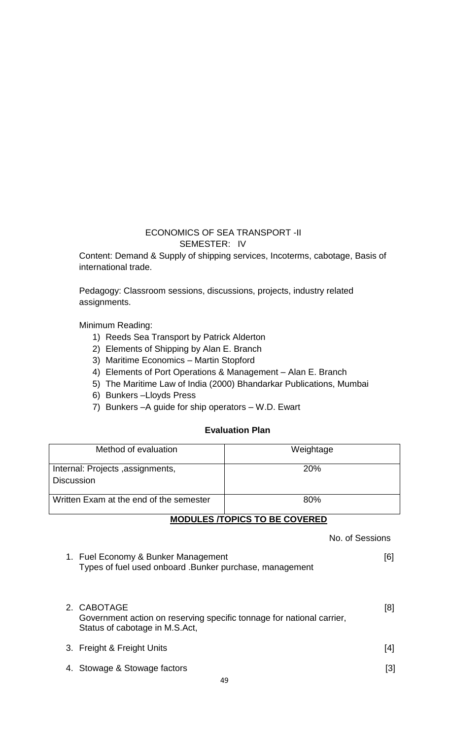# ECONOMICS OF SEA TRANSPORT -II SEMESTER: IV

Content: Demand & Supply of shipping services, Incoterms, cabotage, Basis of international trade.

Pedagogy: Classroom sessions, discussions, projects, industry related assignments.

Minimum Reading:

- 1) Reeds Sea Transport by Patrick Alderton
- 2) Elements of Shipping by Alan E. Branch
- 3) Maritime Economics Martin Stopford
- 4) Elements of Port Operations & Management Alan E. Branch
- 5) The Maritime Law of India (2000) Bhandarkar Publications, Mumbai
- 6) Bunkers –Lloyds Press
- 7) Bunkers –A guide for ship operators W.D. Ewart

# **Evaluation Plan**

| Method of evaluation                                  | Weightage  |
|-------------------------------------------------------|------------|
| Internal: Projects, assignments,<br><b>Discussion</b> | <b>20%</b> |
| Written Exam at the end of the semester               | 80%        |

## **MODULES /TOPICS TO BE COVERED**

 No. of Sessions 1. Fuel Economy & Bunker Management **1. Fuel Economy & Bunker Management** (6) Types of fuel used onboard .Bunker purchase, management 2. CABOTAGE [8] Government action on reserving specific tonnage for national carrier, Status of cabotage in M.S.Act, 3. Freight & Freight Units [4] 4. Stowage & Stowage factors [3]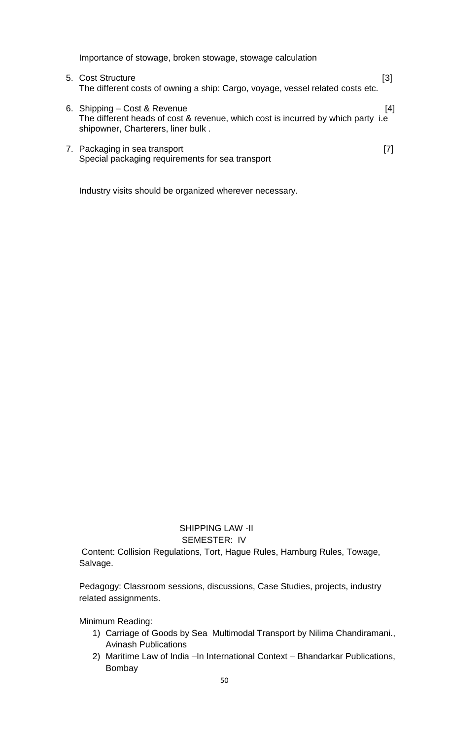Importance of stowage, broken stowage, stowage calculation

| 5. Cost Structure<br>The different costs of owning a ship: Cargo, voyage, vessel related costs etc.                                                     | [3] |
|---------------------------------------------------------------------------------------------------------------------------------------------------------|-----|
| 6. Shipping – Cost & Revenue<br>The different heads of cost & revenue, which cost is incurred by which party i.e.<br>shipowner, Charterers, liner bulk. | [4] |

7. Packaging in sea transport [7] Special packaging requirements for sea transport

Industry visits should be organized wherever necessary.

 SHIPPING LAW -II SEMESTER: IV

Content: Collision Regulations, Tort, Hague Rules, Hamburg Rules, Towage, Salvage.

Pedagogy: Classroom sessions, discussions, Case Studies, projects, industry related assignments.

Minimum Reading:

- 1) Carriage of Goods by Sea Multimodal Transport by Nilima Chandiramani., Avinash Publications
- 2) Maritime Law of India –In International Context Bhandarkar Publications, Bombay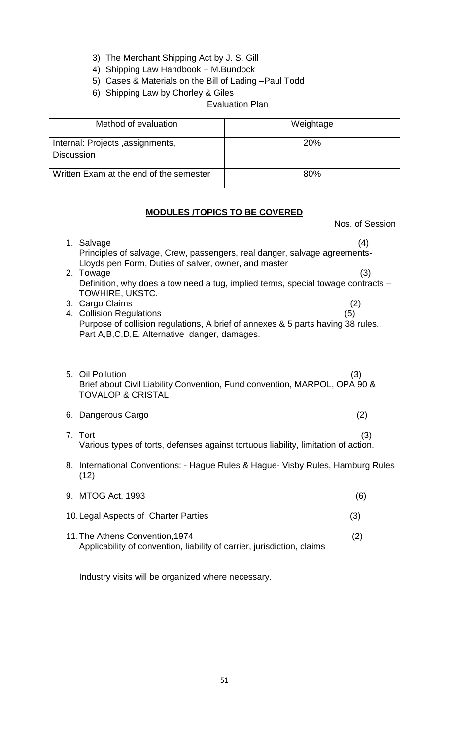- 3) The Merchant Shipping Act by J. S. Gill
- 4) Shipping Law Handbook M.Bundock
- 5) Cases & Materials on the Bill of Lading –Paul Todd
- 6) Shipping Law by Chorley & Giles

Evaluation Plan

| Method of evaluation                                  | Weightage       |
|-------------------------------------------------------|-----------------|
| Internal: Projects, assignments,<br><b>Discussion</b> | 20 <sub>%</sub> |
| Written Exam at the end of the semester               | 80%             |

# **MODULES /TOPICS TO BE COVERED**

Nos. of Session

| 1. Salvage<br>Principles of salvage, Crew, passengers, real danger, salvage agreements-<br>Lloyds pen Form, Duties of salver, owner, and master<br>2. Towage<br>Definition, why does a tow need a tug, implied terms, special towage contracts –<br>TOWHIRE, UKSTC.<br>3. Cargo Claims<br>4. Collision Regulations<br>Purpose of collision regulations, A brief of annexes & 5 parts having 38 rules.,<br>Part A, B, C, D, E. Alternative danger, damages. | (4)<br>(3)<br>(2)<br>(5) |
|------------------------------------------------------------------------------------------------------------------------------------------------------------------------------------------------------------------------------------------------------------------------------------------------------------------------------------------------------------------------------------------------------------------------------------------------------------|--------------------------|
| 5. Oil Pollution<br>Brief about Civil Liability Convention, Fund convention, MARPOL, OPA 90 &<br><b>TOVALOP &amp; CRISTAL</b>                                                                                                                                                                                                                                                                                                                              | (3)                      |
| 6. Dangerous Cargo                                                                                                                                                                                                                                                                                                                                                                                                                                         | (2)                      |
| 7. Tort<br>Various types of torts, defenses against tortuous liability, limitation of action.                                                                                                                                                                                                                                                                                                                                                              | (3)                      |
| 8. International Conventions: - Hague Rules & Hague- Visby Rules, Hamburg Rules<br>(12)                                                                                                                                                                                                                                                                                                                                                                    |                          |
| 9. MTOG Act, 1993                                                                                                                                                                                                                                                                                                                                                                                                                                          | (6)                      |
| 10. Legal Aspects of Charter Parties                                                                                                                                                                                                                                                                                                                                                                                                                       | (3)                      |
| 11. The Athens Convention, 1974<br>Applicability of convention, liability of carrier, jurisdiction, claims                                                                                                                                                                                                                                                                                                                                                 | (2)                      |

Industry visits will be organized where necessary.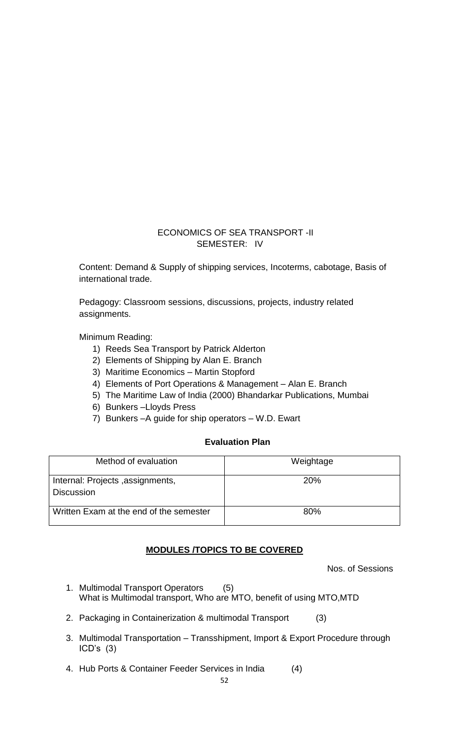# ECONOMICS OF SEA TRANSPORT -II SEMESTER: IV

Content: Demand & Supply of shipping services, Incoterms, cabotage, Basis of international trade.

Pedagogy: Classroom sessions, discussions, projects, industry related assignments.

Minimum Reading:

- 1) Reeds Sea Transport by Patrick Alderton
- 2) Elements of Shipping by Alan E. Branch
- 3) Maritime Economics Martin Stopford
- 4) Elements of Port Operations & Management Alan E. Branch
- 5) The Maritime Law of India (2000) Bhandarkar Publications, Mumbai
- 6) Bunkers –Lloyds Press
- 7) Bunkers –A guide for ship operators W.D. Ewart

#### **Evaluation Plan**

| Method of evaluation                                  | Weightage  |
|-------------------------------------------------------|------------|
| Internal: Projects, assignments,<br><b>Discussion</b> | <b>20%</b> |
| Written Exam at the end of the semester               | 80%        |

## **MODULES /TOPICS TO BE COVERED**

Nos. of Sessions

- 1. Multimodal Transport Operators (5) What is Multimodal transport, Who are MTO, benefit of using MTO,MTD
- 2. Packaging in Containerization & multimodal Transport (3)
- 3. Multimodal Transportation Transshipment, Import & Export Procedure through ICD's (3)
- 4. Hub Ports & Container Feeder Services in India (4)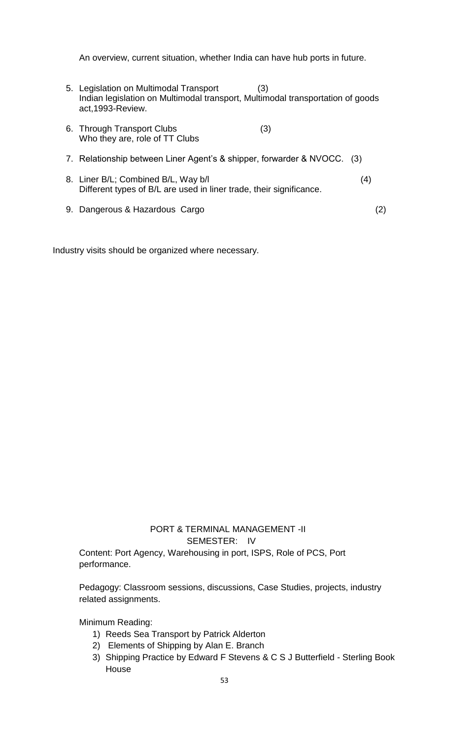An overview, current situation, whether India can have hub ports in future.

- 5. Legislation on Multimodal Transport (3) Indian legislation on Multimodal transport, Multimodal transportation of goods act,1993-Review.
- 6. Through Transport Clubs (3) Who they are, role of TT Clubs 7. Relationship between Liner Agent's & shipper, forwarder & NVOCC. (3)
- 8. Liner B/L; Combined B/L, Way b/l (4) Different types of B/L are used in liner trade, their significance.
- 9. Dangerous & Hazardous Cargo (2)

Industry visits should be organized where necessary.

# PORT & TERMINAL MANAGEMENT -II SEMESTER: IV

Content: Port Agency, Warehousing in port, ISPS, Role of PCS, Port performance.

Pedagogy: Classroom sessions, discussions, Case Studies, projects, industry related assignments.

Minimum Reading:

- 1) Reeds Sea Transport by Patrick Alderton
- 2) Elements of Shipping by Alan E. Branch
- 3) Shipping Practice by Edward F Stevens & C S J Butterfield Sterling Book House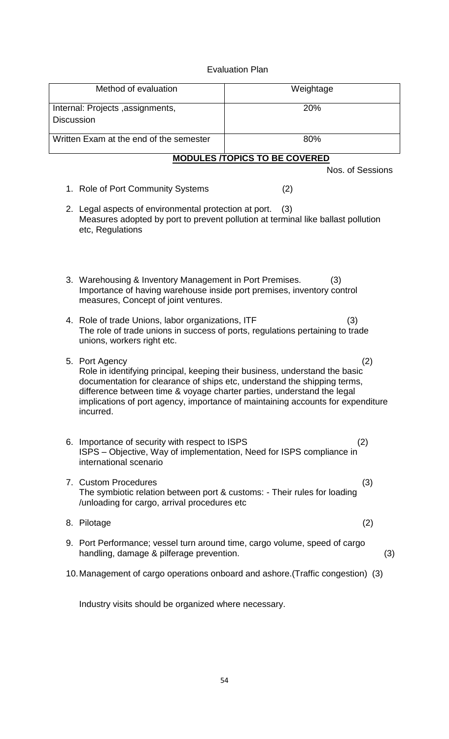### Evaluation Plan

| Method of evaluation                                                                                                                                                      | Weightage                                                                                                                                                                                                                                         |
|---------------------------------------------------------------------------------------------------------------------------------------------------------------------------|---------------------------------------------------------------------------------------------------------------------------------------------------------------------------------------------------------------------------------------------------|
| Internal: Projects, assignments,<br><b>Discussion</b>                                                                                                                     | 20%                                                                                                                                                                                                                                               |
| Written Exam at the end of the semester                                                                                                                                   | 80%                                                                                                                                                                                                                                               |
|                                                                                                                                                                           | <b>MODULES /TOPICS TO BE COVERED</b>                                                                                                                                                                                                              |
|                                                                                                                                                                           | Nos. of Sessions                                                                                                                                                                                                                                  |
| 1. Role of Port Community Systems                                                                                                                                         | (2)                                                                                                                                                                                                                                               |
| 2. Legal aspects of environmental protection at port.<br>etc, Regulations                                                                                                 | (3)<br>Measures adopted by port to prevent pollution at terminal like ballast pollution                                                                                                                                                           |
| 3. Warehousing & Inventory Management in Port Premises.<br>Importance of having warehouse inside port premises, inventory control<br>measures, Concept of joint ventures. | (3)                                                                                                                                                                                                                                               |
| 4. Role of trade Unions, labor organizations, ITF<br>unions, workers right etc.                                                                                           | (3)<br>The role of trade unions in success of ports, regulations pertaining to trade                                                                                                                                                              |
| 5. Port Agency<br>difference between time & voyage charter parties, understand the legal<br>incurred.                                                                     | (2)<br>Role in identifying principal, keeping their business, understand the basic<br>documentation for clearance of ships etc, understand the shipping terms,<br>implications of port agency, importance of maintaining accounts for expenditure |
| 6. Importance of security with respect to ISPS<br>ISPS – Objective, Way of implementation, Need for ISPS compliance in<br>international scenario                          | (2)                                                                                                                                                                                                                                               |
| 7. Custom Procedures<br>The symbiotic relation between port & customs: - Their rules for loading<br>/unloading for cargo, arrival procedures etc                          | (3)                                                                                                                                                                                                                                               |
| 8. Pilotage                                                                                                                                                               | (2)                                                                                                                                                                                                                                               |
| 9. Port Performance; vessel turn around time, cargo volume, speed of cargo<br>handling, damage & pilferage prevention.                                                    | (3)                                                                                                                                                                                                                                               |
|                                                                                                                                                                           | 10. Management of cargo operations onboard and ashore. (Traffic congestion) (3)                                                                                                                                                                   |

Industry visits should be organized where necessary.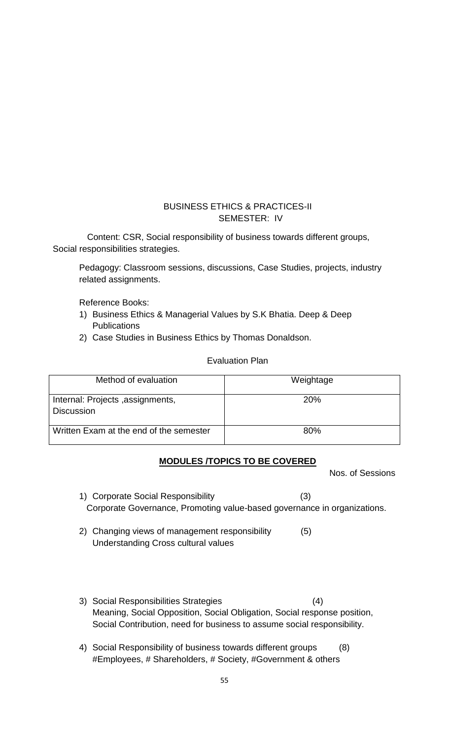# BUSINESS ETHICS & PRACTICES-II SEMESTER: IV

 Content: CSR, Social responsibility of business towards different groups, Social responsibilities strategies.

Pedagogy: Classroom sessions, discussions, Case Studies, projects, industry related assignments.

Reference Books:

- 1) Business Ethics & Managerial Values by S.K Bhatia. Deep & Deep **Publications**
- 2) Case Studies in Business Ethics by Thomas Donaldson.

### Evaluation Plan

| Method of evaluation                                  | Weightage  |
|-------------------------------------------------------|------------|
| Internal: Projects, assignments,<br><b>Discussion</b> | <b>20%</b> |
| Written Exam at the end of the semester               | 80%        |

## **MODULES /TOPICS TO BE COVERED**

Nos. of Sessions

- 1) Corporate Social Responsibility (3) Corporate Governance, Promoting value-based governance in organizations.
- 2) Changing views of management responsibility (5) Understanding Cross cultural values
- 3) Social Responsibilities Strategies (4) Meaning, Social Opposition, Social Obligation, Social response position, Social Contribution, need for business to assume social responsibility.
- 4) Social Responsibility of business towards different groups (8) #Employees, # Shareholders, # Society, #Government & others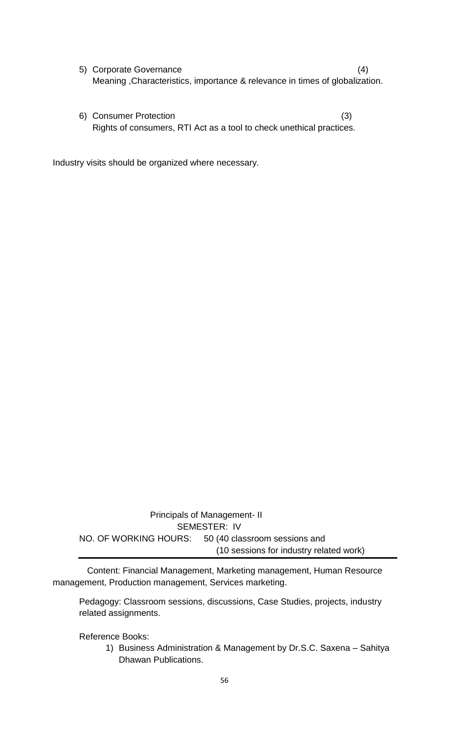- 5) Corporate Governance (4) Meaning ,Characteristics, importance & relevance in times of globalization.
- 6) Consumer Protection (3) Rights of consumers, RTI Act as a tool to check unethical practices.

Industry visits should be organized where necessary.

 Principals of Management- II SEMESTER: IV NO. OF WORKING HOURS: 50 (40 classroom sessions and (10 sessions for industry related work)

 Content: Financial Management, Marketing management, Human Resource management, Production management, Services marketing.

Pedagogy: Classroom sessions, discussions, Case Studies, projects, industry related assignments.

Reference Books:

1) Business Administration & Management by Dr.S.C. Saxena – Sahitya Dhawan Publications.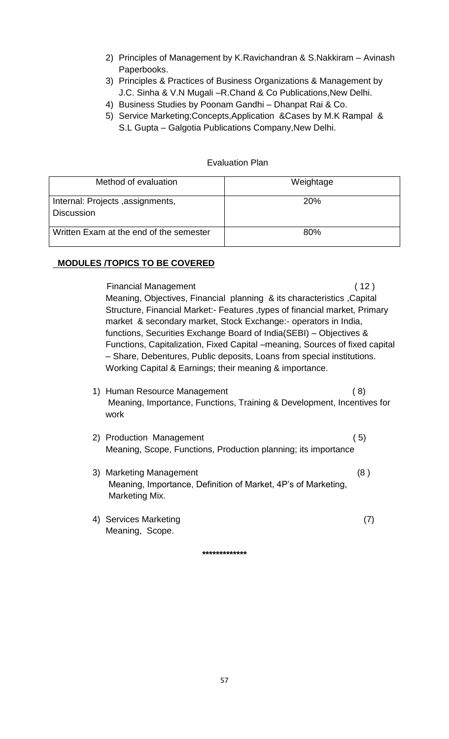- 2) Principles of Management by K.Ravichandran & S.Nakkiram Avinash Paperbooks.
- 3) Principles & Practices of Business Organizations & Management by J.C. Sinha & V.N Mugali –R.Chand & Co Publications,New Delhi.
- 4) Business Studies by Poonam Gandhi Dhanpat Rai & Co.
- 5) Service Marketing;Concepts,Application &Cases by M.K Rampal &
	- S.L Gupta Galgotia Publications Company,New Delhi.

| Method of evaluation                                  | Weightage  |
|-------------------------------------------------------|------------|
| Internal: Projects, assignments,<br><b>Discussion</b> | <b>20%</b> |
| Written Exam at the end of the semester               | 80%        |

### Evaluation Plan

## **MODULES /TOPICS TO BE COVERED**

Financial Management (12) Meaning, Objectives, Financial planning & its characteristics ,Capital Structure, Financial Market:- Features ,types of financial market, Primary market & secondary market, Stock Exchange:- operators in India, functions, Securities Exchange Board of India(SEBI) – Objectives & Functions, Capitalization, Fixed Capital –meaning, Sources of fixed capital – Share, Debentures, Public deposits, Loans from special institutions. Working Capital & Earnings; their meaning & importance.

- 1) Human Resource Management (8) Meaning, Importance, Functions, Training & Development, Incentives for work
- 2) Production Management (5) Meaning, Scope, Functions, Production planning; its importance
- 3) Marketing Management (8) (8) Meaning, Importance, Definition of Market, 4P's of Marketing, Marketing Mix.
- 4) Services Marketing (7) Meaning, Scope.

**\*\*\*\*\*\*\*\*\*\*\*\*\***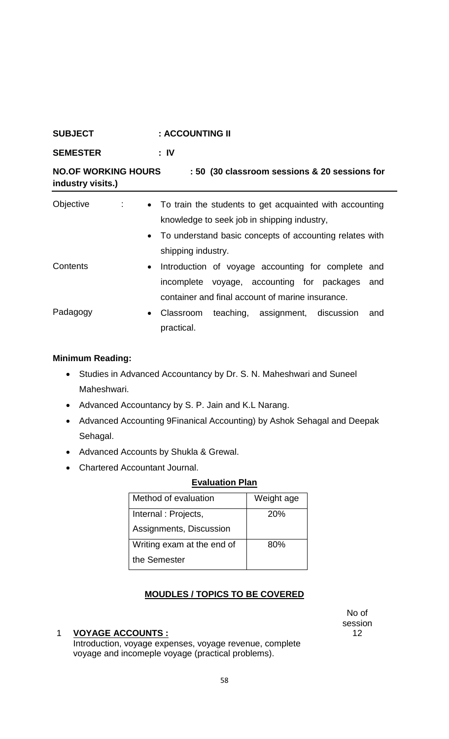| <b>SUBJECT</b>                                  | : ACCOUNTING II                                                                                                                                                                             |  |
|-------------------------------------------------|---------------------------------------------------------------------------------------------------------------------------------------------------------------------------------------------|--|
| <b>SEMESTER</b>                                 | $: \mathsf{IV}$                                                                                                                                                                             |  |
| <b>NO.OF WORKING HOURS</b><br>industry visits.) | : 50 (30 classroom sessions & 20 sessions for                                                                                                                                               |  |
| Objective<br>$\mathcal{I}_{\mathcal{A}}$ .      | • To train the students to get acquainted with accounting<br>knowledge to seek job in shipping industry,<br>• To understand basic concepts of accounting relates with<br>shipping industry. |  |
| Contents                                        | Introduction of voyage accounting for complete<br>and<br>$\bullet$<br>incomplete voyage, accounting for packages<br>and<br>container and final account of marine insurance.                 |  |
| Padagogy                                        | teaching, assignment, discussion<br>Classroom<br>and<br>$\bullet$<br>practical.                                                                                                             |  |

# **Minimum Reading:**

- Studies in Advanced Accountancy by Dr. S. N. Maheshwari and Suneel Maheshwari.
- Advanced Accountancy by S. P. Jain and K.L Narang.
- Advanced Accounting 9Finanical Accounting) by Ashok Sehagal and Deepak Sehagal.
- Advanced Accounts by Shukla & Grewal.
- Chartered Accountant Journal.

## **Evaluation Plan**

| Method of evaluation       | Weight age |
|----------------------------|------------|
| Internal: Projects,        | 20%        |
| Assignments, Discussion    |            |
| Writing exam at the end of | 80%        |
| the Semester               |            |

# **MOUDLES / TOPICS TO BE COVERED**

#### 1 **VOYAGE ACCOUNTS :**

Introduction, voyage expenses, voyage revenue, complete voyage and incomeple voyage (practical problems).

No of session 12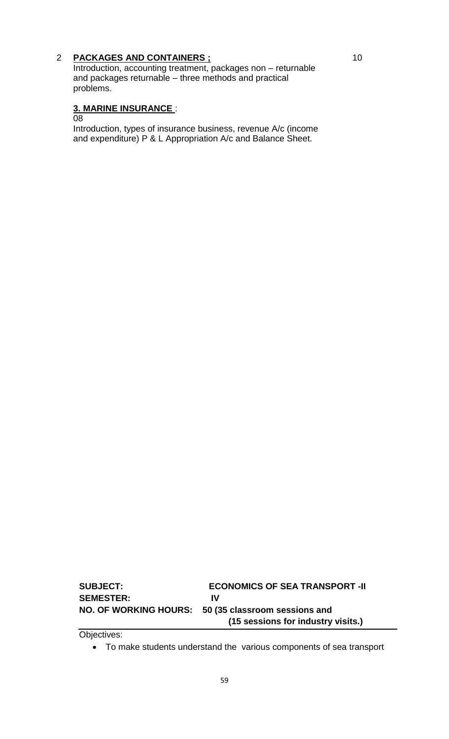## 2 **PACKAGES AND CONTAINERS ;**

Introduction, accounting treatment, packages non – returnable and packages returnable – three methods and practical problems.

### **3. MARINE INSURANCE** :

08

Introduction, types of insurance business, revenue A/c (income and expenditure) P & L Appropriation A/c and Balance Sheet.

**SUBJECT: ECONOMICS OF SEA TRANSPORT -II SEMESTER: IV NO. OF WORKING HOURS: 50 (35 classroom sessions and (15 sessions for industry visits.)**

Objectives:

To make students understand the various components of sea transport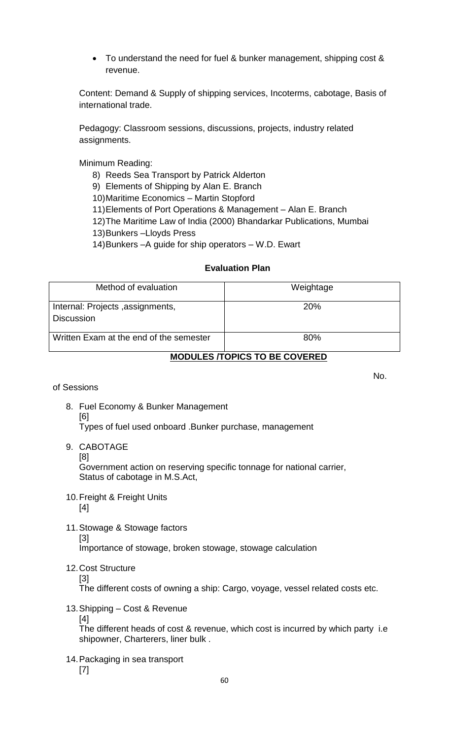• To understand the need for fuel & bunker management, shipping cost & revenue.

Content: Demand & Supply of shipping services, Incoterms, cabotage, Basis of international trade.

Pedagogy: Classroom sessions, discussions, projects, industry related assignments.

Minimum Reading:

8) Reeds Sea Transport by Patrick Alderton

9) Elements of Shipping by Alan E. Branch

10)Maritime Economics – Martin Stopford

11)Elements of Port Operations & Management – Alan E. Branch

12)The Maritime Law of India (2000) Bhandarkar Publications, Mumbai

13)Bunkers –Lloyds Press

14)Bunkers –A guide for ship operators – W.D. Ewart

### **Evaluation Plan**

| Method of evaluation                                  | Weightage  |
|-------------------------------------------------------|------------|
| Internal: Projects, assignments,<br><b>Discussion</b> | <b>20%</b> |
| Written Exam at the end of the semester               | 80%        |

### **MODULES /TOPICS TO BE COVERED**

of Sessions

- 8. Fuel Economy & Bunker Management [6] Types of fuel used onboard .Bunker purchase, management
- 9. CABOTAGE
	- [8]

Government action on reserving specific tonnage for national carrier, Status of cabotage in M.S.Act,

- 10.Freight & Freight Units [4]
- 11.Stowage & Stowage factors [3]

Importance of stowage, broken stowage, stowage calculation

12.Cost Structure [3]

The different costs of owning a ship: Cargo, voyage, vessel related costs etc.

- 13.Shipping Cost & Revenue [4] The different heads of cost & revenue, which cost is incurred by which party i.e shipowner, Charterers, liner bulk .
- 14.Packaging in sea transport [7]

No.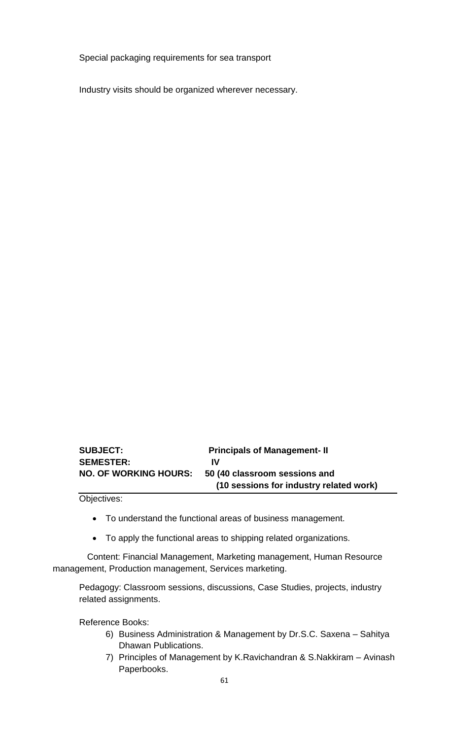Special packaging requirements for sea transport

Industry visits should be organized wherever necessary.

| <b>SUBJECT:</b>              | <b>Principals of Management-II</b>      |
|------------------------------|-----------------------------------------|
| <b>SEMESTER:</b>             | IV                                      |
| <b>NO. OF WORKING HOURS:</b> | 50 (40 classroom sessions and           |
|                              | (10 sessions for industry related work) |

Objectives:

- To understand the functional areas of business management.
- To apply the functional areas to shipping related organizations.

 Content: Financial Management, Marketing management, Human Resource management, Production management, Services marketing.

Pedagogy: Classroom sessions, discussions, Case Studies, projects, industry related assignments.

Reference Books:

- 6) Business Administration & Management by Dr.S.C. Saxena Sahitya Dhawan Publications.
- 7) Principles of Management by K.Ravichandran & S.Nakkiram Avinash Paperbooks.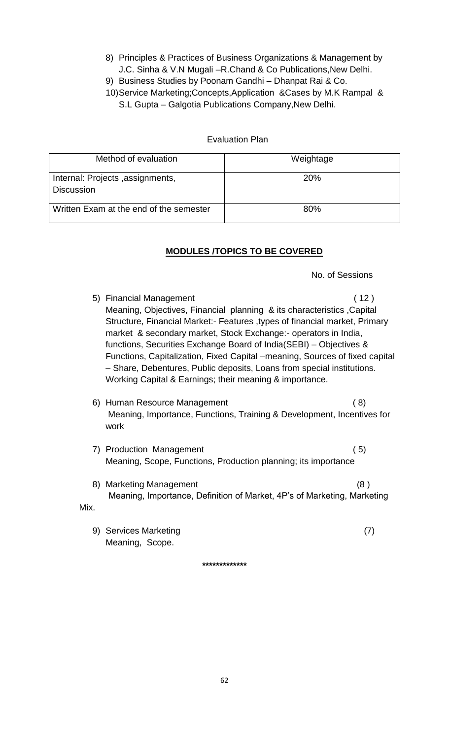- 8) Principles & Practices of Business Organizations & Management by J.C. Sinha & V.N Mugali –R.Chand & Co Publications,New Delhi.
- 9) Business Studies by Poonam Gandhi Dhanpat Rai & Co.
- 10)Service Marketing;Concepts,Application &Cases by M.K Rampal & S.L Gupta – Galgotia Publications Company,New Delhi.

## Evaluation Plan

| Method of evaluation                                  | Weightage |
|-------------------------------------------------------|-----------|
| Internal: Projects, assignments,<br><b>Discussion</b> | 20%       |
| Written Exam at the end of the semester               | 80%       |

# **MODULES /TOPICS TO BE COVERED**

No. of Sessions

5) Financial Management (12) Meaning, Objectives, Financial planning & its characteristics ,Capital Structure, Financial Market:- Features ,types of financial market, Primary market & secondary market, Stock Exchange:- operators in India, functions, Securities Exchange Board of India(SEBI) – Objectives & Functions, Capitalization, Fixed Capital –meaning, Sources of fixed capital – Share, Debentures, Public deposits, Loans from special institutions. Working Capital & Earnings; their meaning & importance. 6) Human Resource Management ( 8) Meaning, Importance, Functions, Training & Development, Incentives for work 7) Production Management ( 5) Meaning, Scope, Functions, Production planning; its importance 8) Marketing Management (8) Meaning, Importance, Definition of Market, 4P's of Marketing, Marketing Mix. 9) Services Marketing (7) Meaning, Scope.

**\*\*\*\*\*\*\*\*\*\*\*\*\***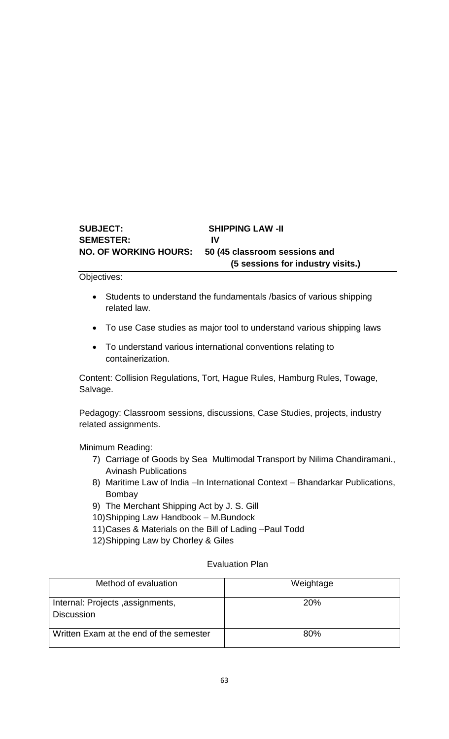# **SUBJECT: SHIPPING LAW -II SEMESTER: IV NO. OF WORKING HOURS: 50 (45 classroom sessions and (5 sessions for industry visits.)**

Objectives:

- Students to understand the fundamentals /basics of various shipping related law.
- To use Case studies as major tool to understand various shipping laws
- To understand various international conventions relating to containerization.

Content: Collision Regulations, Tort, Hague Rules, Hamburg Rules, Towage, Salvage.

Pedagogy: Classroom sessions, discussions, Case Studies, projects, industry related assignments.

Minimum Reading:

- 7) Carriage of Goods by Sea Multimodal Transport by Nilima Chandiramani., Avinash Publications
- 8) Maritime Law of India –In International Context Bhandarkar Publications, Bombay
- 9) The Merchant Shipping Act by J. S. Gill
- 10)Shipping Law Handbook M.Bundock
- 11)Cases & Materials on the Bill of Lading –Paul Todd
- 12)Shipping Law by Chorley & Giles

#### Evaluation Plan

| Method of evaluation                                  | Weightage  |
|-------------------------------------------------------|------------|
| Internal: Projects, assignments,<br><b>Discussion</b> | <b>20%</b> |
| Written Exam at the end of the semester               | 80%        |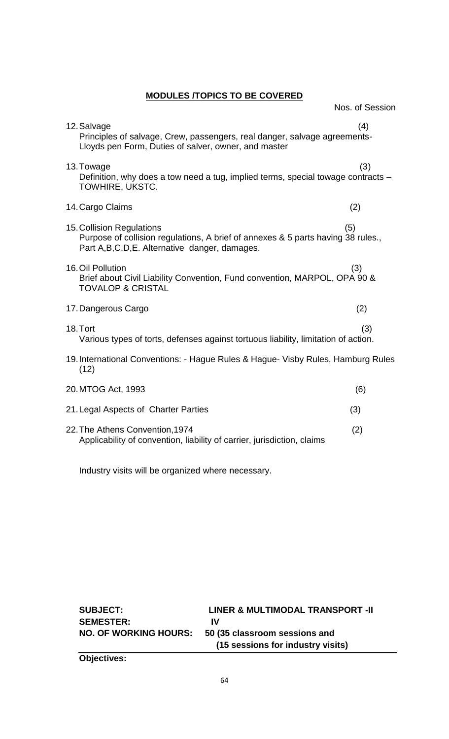**MODULES /TOPICS TO BE COVERED**

|                                                                                                                                                                   | Nos. of Session |
|-------------------------------------------------------------------------------------------------------------------------------------------------------------------|-----------------|
| 12. Salvage<br>Principles of salvage, Crew, passengers, real danger, salvage agreements-<br>Lloyds pen Form, Duties of salver, owner, and master                  | (4)             |
| 13. Towage<br>Definition, why does a tow need a tug, implied terms, special towage contracts -<br>TOWHIRE, UKSTC.                                                 | (3)             |
| 14. Cargo Claims                                                                                                                                                  | (2)             |
| 15. Collision Regulations<br>Purpose of collision regulations, A brief of annexes & 5 parts having 38 rules.,<br>Part A, B, C, D, E. Alternative danger, damages. | (5)             |
| 16. Oil Pollution<br>Brief about Civil Liability Convention, Fund convention, MARPOL, OPA 90 &<br><b>TOVALOP &amp; CRISTAL</b>                                    | (3)             |
| 17. Dangerous Cargo                                                                                                                                               | (2)             |
| 18. Tort<br>Various types of torts, defenses against tortuous liability, limitation of action.                                                                    | (3)             |
| 19. International Conventions: - Hague Rules & Hague- Visby Rules, Hamburg Rules<br>(12)                                                                          |                 |
| 20. MTOG Act, 1993                                                                                                                                                | (6)             |
| 21. Legal Aspects of Charter Parties                                                                                                                              | (3)             |
| 22. The Athens Convention, 1974<br>Applicability of convention, liability of carrier, jurisdiction, claims                                                        | (2)             |

Industry visits will be organized where necessary.

| <b>SUBJECT:</b>              | LINER & MULTIMODAL TRANSPORT -II  |
|------------------------------|-----------------------------------|
| <b>SEMESTER:</b>             | IV                                |
| <b>NO. OF WORKING HOURS:</b> | 50 (35 classroom sessions and     |
|                              | (15 sessions for industry visits) |
| .                            |                                   |

**Objectives:**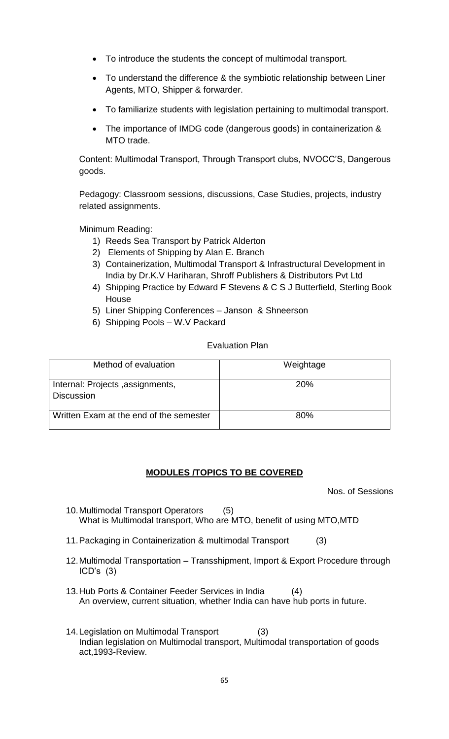- To introduce the students the concept of multimodal transport.
- To understand the difference & the symbiotic relationship between Liner Agents, MTO, Shipper & forwarder.
- To familiarize students with legislation pertaining to multimodal transport.
- The importance of IMDG code (dangerous goods) in containerization & MTO trade.

Content: Multimodal Transport, Through Transport clubs, NVOCC'S, Dangerous goods.

Pedagogy: Classroom sessions, discussions, Case Studies, projects, industry related assignments.

Minimum Reading:

- 1) Reeds Sea Transport by Patrick Alderton
- 2) Elements of Shipping by Alan E. Branch
- 3) Containerization, Multimodal Transport & Infrastructural Development in India by Dr.K.V Hariharan, Shroff Publishers & Distributors Pvt Ltd
- 4) Shipping Practice by Edward F Stevens & C S J Butterfield, Sterling Book House
- 5) Liner Shipping Conferences Janson & Shneerson
- 6) Shipping Pools W.V Packard

### Evaluation Plan

| Method of evaluation                                  | Weightage  |
|-------------------------------------------------------|------------|
| Internal: Projects, assignments,<br><b>Discussion</b> | <b>20%</b> |
| Written Exam at the end of the semester               | 80%        |

## **MODULES /TOPICS TO BE COVERED**

Nos. of Sessions

- 10.Multimodal Transport Operators (5) What is Multimodal transport, Who are MTO, benefit of using MTO,MTD
- 11.Packaging in Containerization & multimodal Transport (3)
- 12.Multimodal Transportation Transshipment, Import & Export Procedure through ICD's (3)
- 13.Hub Ports & Container Feeder Services in India (4) An overview, current situation, whether India can have hub ports in future.
- 14.Legislation on Multimodal Transport (3) Indian legislation on Multimodal transport, Multimodal transportation of goods act,1993-Review.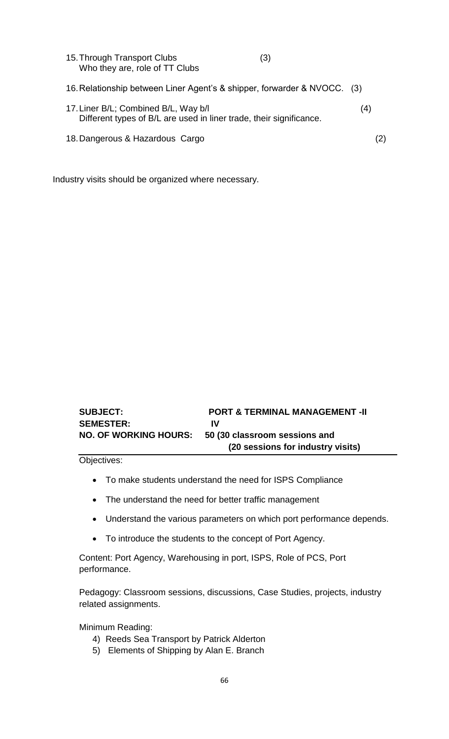| 15. Through Transport Clubs<br>Who they are, role of TT Clubs                                               | (3) |     |     |
|-------------------------------------------------------------------------------------------------------------|-----|-----|-----|
| 16. Relationship between Liner Agent's & shipper, forwarder & NVOCC. (3)                                    |     |     |     |
| 17. Liner B/L; Combined B/L, Way b/l<br>Different types of B/L are used in liner trade, their significance. |     | (4) |     |
| 18. Dangerous & Hazardous Cargo                                                                             |     |     | (2) |

Industry visits should be organized where necessary.

| <b>SUBJECT:</b>              | <b>PORT &amp; TERMINAL MANAGEMENT -II</b> |
|------------------------------|-------------------------------------------|
| <b>SEMESTER:</b>             | IV                                        |
| <b>NO. OF WORKING HOURS:</b> | 50 (30 classroom sessions and             |
|                              | (20 sessions for industry visits)         |

Objectives:

- To make students understand the need for ISPS Compliance
- The understand the need for better traffic management
- Understand the various parameters on which port performance depends.
- To introduce the students to the concept of Port Agency.

Content: Port Agency, Warehousing in port, ISPS, Role of PCS, Port performance.

Pedagogy: Classroom sessions, discussions, Case Studies, projects, industry related assignments.

Minimum Reading:

- 4) Reeds Sea Transport by Patrick Alderton
- 5) Elements of Shipping by Alan E. Branch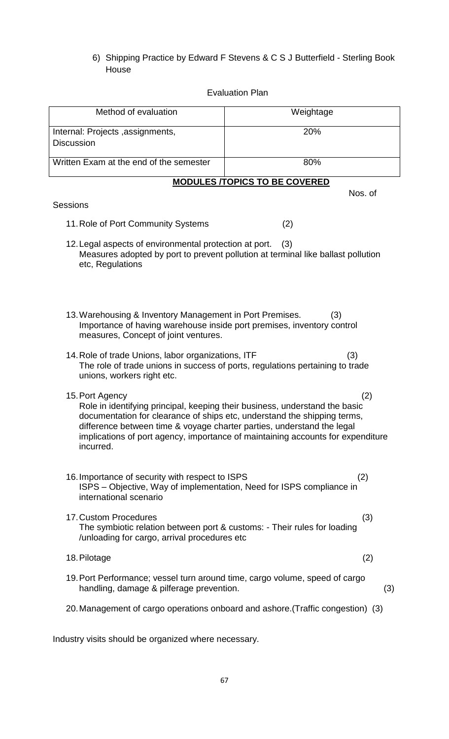6) Shipping Practice by Edward F Stevens & C S J Butterfield - Sterling Book House

### Evaluation Plan

| Method of evaluation                                                                                                                                                                                                                                                                                                                                        | Weightage                            |  |
|-------------------------------------------------------------------------------------------------------------------------------------------------------------------------------------------------------------------------------------------------------------------------------------------------------------------------------------------------------------|--------------------------------------|--|
| Internal: Projects, assignments,                                                                                                                                                                                                                                                                                                                            | 20%                                  |  |
| <b>Discussion</b>                                                                                                                                                                                                                                                                                                                                           |                                      |  |
| Written Exam at the end of the semester                                                                                                                                                                                                                                                                                                                     | 80%                                  |  |
|                                                                                                                                                                                                                                                                                                                                                             | <b>MODULES /TOPICS TO BE COVERED</b> |  |
|                                                                                                                                                                                                                                                                                                                                                             | Nos. of                              |  |
| <b>Sessions</b>                                                                                                                                                                                                                                                                                                                                             |                                      |  |
| 11. Role of Port Community Systems                                                                                                                                                                                                                                                                                                                          | (2)                                  |  |
| 12. Legal aspects of environmental protection at port.<br>(3)<br>Measures adopted by port to prevent pollution at terminal like ballast pollution<br>etc, Regulations                                                                                                                                                                                       |                                      |  |
| 13. Warehousing & Inventory Management in Port Premises.<br>(3)<br>Importance of having warehouse inside port premises, inventory control<br>measures, Concept of joint ventures.                                                                                                                                                                           |                                      |  |
| 14. Role of trade Unions, labor organizations, ITF<br>(3)<br>The role of trade unions in success of ports, regulations pertaining to trade<br>unions, workers right etc.                                                                                                                                                                                    |                                      |  |
| 15. Port Agency<br>(2)<br>Role in identifying principal, keeping their business, understand the basic<br>documentation for clearance of ships etc, understand the shipping terms,<br>difference between time & voyage charter parties, understand the legal<br>implications of port agency, importance of maintaining accounts for expenditure<br>incurred. |                                      |  |
| 16. Importance of security with respect to ISPS<br>ISPS – Objective, Way of implementation, Need for ISPS compliance in<br>international scenario                                                                                                                                                                                                           | (2)                                  |  |
| 17. Custom Procedures<br>The symbiotic relation between port & customs: - Their rules for loading<br>/unloading for cargo, arrival procedures etc                                                                                                                                                                                                           | (3)                                  |  |
| 18. Pilotage                                                                                                                                                                                                                                                                                                                                                | (2)                                  |  |
| 19. Port Performance; vessel turn around time, cargo volume, speed of cargo<br>handling, damage & pilferage prevention.                                                                                                                                                                                                                                     | (3)                                  |  |
| 20. Management of cargo operations onboard and ashore. (Traffic congestion) (3)                                                                                                                                                                                                                                                                             |                                      |  |
|                                                                                                                                                                                                                                                                                                                                                             |                                      |  |

Industry visits should be organized where necessary.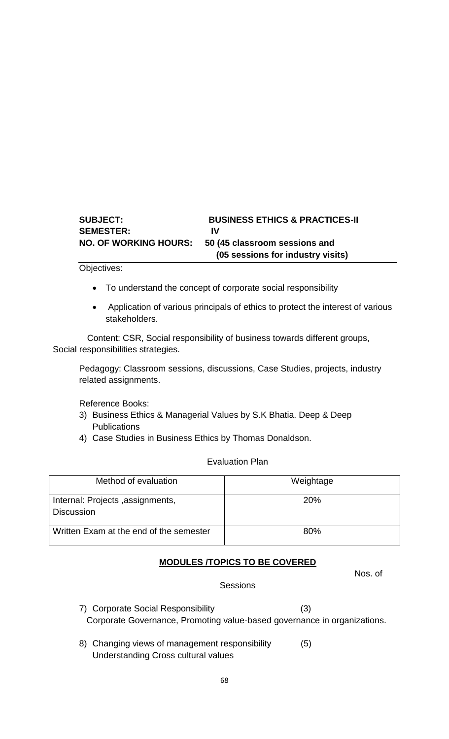# **SUBJECT: BUSINESS ETHICS & PRACTICES-II SEMESTER: IV NO. OF WORKING HOURS: 50 (45 classroom sessions and (05 sessions for industry visits)**

Objectives:

- To understand the concept of corporate social responsibility
- Application of various principals of ethics to protect the interest of various stakeholders.

 Content: CSR, Social responsibility of business towards different groups, Social responsibilities strategies.

Pedagogy: Classroom sessions, discussions, Case Studies, projects, industry related assignments.

Reference Books:

- 3) Business Ethics & Managerial Values by S.K Bhatia. Deep & Deep **Publications**
- 4) Case Studies in Business Ethics by Thomas Donaldson.

Evaluation Plan

| Method of evaluation                                  | Weightage  |
|-------------------------------------------------------|------------|
| Internal: Projects, assignments,<br><b>Discussion</b> | <b>20%</b> |
| Written Exam at the end of the semester               | 80%        |

## **MODULES /TOPICS TO BE COVERED**

Nos. of

**Sessions** 

- 7) Corporate Social Responsibility (3) Corporate Governance, Promoting value-based governance in organizations.
- 8) Changing views of management responsibility (5) Understanding Cross cultural values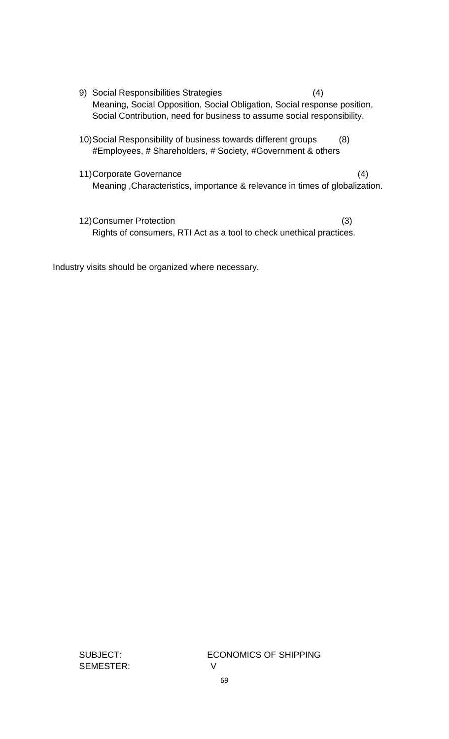- 9) Social Responsibilities Strategies (4) Meaning, Social Opposition, Social Obligation, Social response position, Social Contribution, need for business to assume social responsibility.
- 10)Social Responsibility of business towards different groups (8) #Employees, # Shareholders, # Society, #Government & others
- 11)Corporate Governance (4) Meaning ,Characteristics, importance & relevance in times of globalization.
- 12)Consumer Protection (3) Rights of consumers, RTI Act as a tool to check unethical practices.

Industry visits should be organized where necessary.

SEMESTER: V

SUBJECT: ECONOMICS OF SHIPPING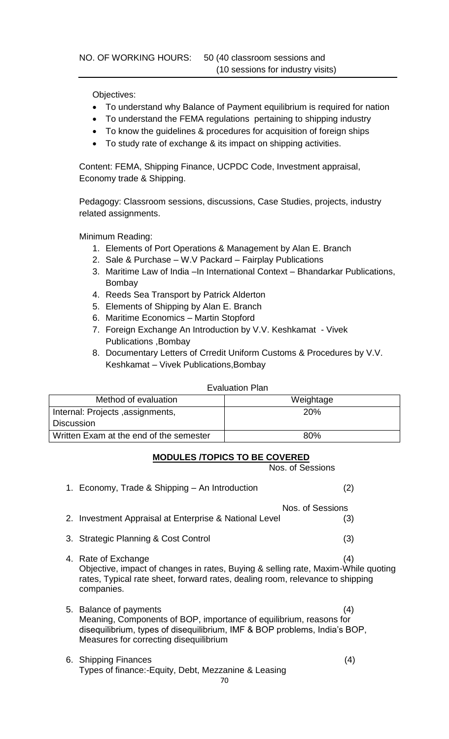Objectives:

- To understand why Balance of Payment equilibrium is required for nation
- To understand the FEMA regulations pertaining to shipping industry
- To know the guidelines & procedures for acquisition of foreign ships
- To study rate of exchange & its impact on shipping activities.

Content: FEMA, Shipping Finance, UCPDC Code, Investment appraisal, Economy trade & Shipping.

Pedagogy: Classroom sessions, discussions, Case Studies, projects, industry related assignments.

Minimum Reading:

- 1. Elements of Port Operations & Management by Alan E. Branch
- 2. Sale & Purchase W.V Packard Fairplay Publications
- 3. Maritime Law of India –In International Context Bhandarkar Publications, Bombay
- 4. Reeds Sea Transport by Patrick Alderton
- 5. Elements of Shipping by Alan E. Branch
- 6. Maritime Economics Martin Stopford
- 7. Foreign Exchange An Introduction by V.V. Keshkamat Vivek Publications ,Bombay
- 8. Documentary Letters of Crredit Uniform Customs & Procedures by V.V. Keshkamat – Vivek Publications,Bombay

#### Evaluation Plan

| Method of evaluation                    | Weightage  |
|-----------------------------------------|------------|
| Internal: Projects, assignments,        | <b>20%</b> |
| <b>Discussion</b>                       |            |
| Written Exam at the end of the semester | 80%        |

# **MODULES /TOPICS TO BE COVERED**

Nos. of Sessions

|    | 1. Economy, Trade & Shipping – An Introduction                                                                                                                                                                      | (2) |
|----|---------------------------------------------------------------------------------------------------------------------------------------------------------------------------------------------------------------------|-----|
|    | Nos. of Sessions                                                                                                                                                                                                    |     |
|    | 2. Investment Appraisal at Enterprise & National Level                                                                                                                                                              | (3) |
| 3. | <b>Strategic Planning &amp; Cost Control</b>                                                                                                                                                                        | (3) |
|    | 4. Rate of Exchange<br>Objective, impact of changes in rates, Buying & selling rate, Maxim-While quoting<br>rates, Typical rate sheet, forward rates, dealing room, relevance to shipping<br>companies.             | (4) |
|    | 5. Balance of payments<br>Meaning, Components of BOP, importance of equilibrium, reasons for<br>disequilibrium, types of disequilibrium, IMF & BOP problems, India's BOP,<br>Measures for correcting disequilibrium | (4) |
|    | 6. Shipping Finances<br>Types of finance:-Equity, Debt, Mezzanine & Leasing<br>70                                                                                                                                   | (4) |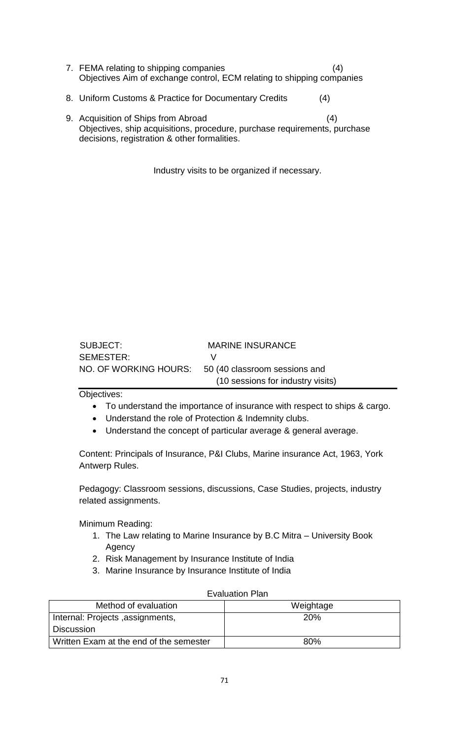- 7. FEMA relating to shipping companies (4) Objectives Aim of exchange control, ECM relating to shipping companies
- 8. Uniform Customs & Practice for Documentary Credits (4)
- 9. Acquisition of Ships from Abroad (4) Objectives, ship acquisitions, procedure, purchase requirements, purchase decisions, registration & other formalities.

Industry visits to be organized if necessary.

| SUBJECT:  | <b>MARINE INSURANCE</b>                             |
|-----------|-----------------------------------------------------|
| SEMESTER: | $\mathcal{L}$                                       |
|           | NO. OF WORKING HOURS: 50 (40 classroom sessions and |
|           | (10 sessions for industry visits)                   |

#### Objectives:

- To understand the importance of insurance with respect to ships & cargo.
- Understand the role of Protection & Indemnity clubs.
- Understand the concept of particular average & general average.

Content: Principals of Insurance, P&I Clubs, Marine insurance Act, 1963, York Antwerp Rules.

Pedagogy: Classroom sessions, discussions, Case Studies, projects, industry related assignments.

Minimum Reading:

- 1. The Law relating to Marine Insurance by B.C Mitra University Book Agency
- 2. Risk Management by Insurance Institute of India
- 3. Marine Insurance by Insurance Institute of India

| Method of evaluation                    | Weightage  |
|-----------------------------------------|------------|
| Internal: Projects, assignments,        | <b>20%</b> |
| <b>Discussion</b>                       |            |
| Written Exam at the end of the semester | 80%        |

# Evaluation Plan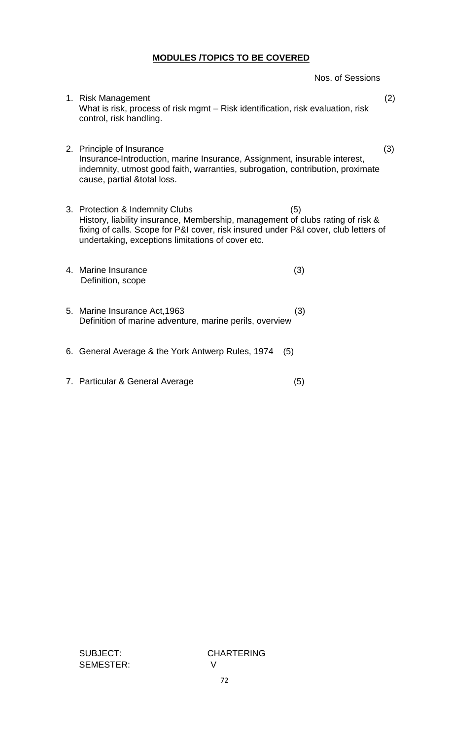# **MODULES /TOPICS TO BE COVERED**

Nos. of Sessions

- 1. Risk Management (2) What is risk, process of risk mgmt – Risk identification, risk evaluation, risk control, risk handling.
- 2. Principle of Insurance (3) Insurance-Introduction, marine Insurance, Assignment, insurable interest, indemnity, utmost good faith, warranties, subrogation, contribution, proximate cause, partial &total loss.
- 3. Protection & Indemnity Clubs (5) History, liability insurance, Membership, management of clubs rating of risk & fixing of calls. Scope for P&I cover, risk insured under P&I cover, club letters of undertaking, exceptions limitations of cover etc.
- 4. Marine Insurance (3) Definition, scope
- 5. Marine Insurance Act,1963 (3) Definition of marine adventure, marine perils, overview
- 6. General Average & the York Antwerp Rules, 1974 (5)
- 7. Particular & General Average (5)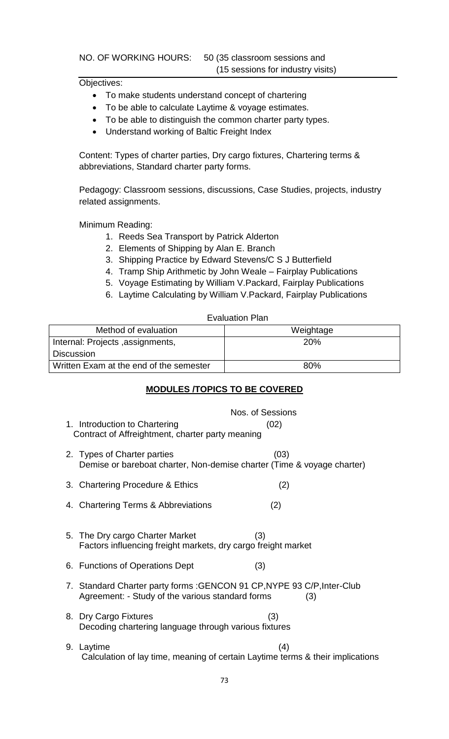NO. OF WORKING HOURS: 50 (35 classroom sessions and (15 sessions for industry visits)

Objectives:

- To make students understand concept of chartering
- To be able to calculate Laytime & voyage estimates.
- To be able to distinguish the common charter party types.
- Understand working of Baltic Freight Index

Content: Types of charter parties, Dry cargo fixtures, Chartering terms & abbreviations, Standard charter party forms.

Pedagogy: Classroom sessions, discussions, Case Studies, projects, industry related assignments.

Minimum Reading:

- 1. Reeds Sea Transport by Patrick Alderton
- 2. Elements of Shipping by Alan E. Branch
- 3. Shipping Practice by Edward Stevens/C S J Butterfield
- 4. Tramp Ship Arithmetic by John Weale Fairplay Publications
- 5. Voyage Estimating by William V.Packard, Fairplay Publications
- 6. Laytime Calculating by William V.Packard, Fairplay Publications

Evaluation Plan

| Method of evaluation                    | Weightage  |
|-----------------------------------------|------------|
| Internal: Projects, assignments,        | <b>20%</b> |
| <b>Discussion</b>                       |            |
| Written Exam at the end of the semester | 80%        |

# **MODULES /TOPICS TO BE COVERED**

| 1. Introduction to Chartering<br>Contract of Affreightment, charter party meaning                                          | Nos. of Sessions<br>(02)                                                              |
|----------------------------------------------------------------------------------------------------------------------------|---------------------------------------------------------------------------------------|
| 2. Types of Charter parties                                                                                                | (03)<br>Demise or bareboat charter, Non-demise charter (Time & voyage charter)        |
| 3. Chartering Procedure & Ethics                                                                                           | (2)                                                                                   |
| 4. Chartering Terms & Abbreviations                                                                                        | (2)                                                                                   |
| 5. The Dry cargo Charter Market<br>Factors influencing freight markets, dry cargo freight market                           | (3)                                                                                   |
| 6. Functions of Operations Dept                                                                                            | (3)                                                                                   |
| 7. Standard Charter party forms: GENCON 91 CP, NYPE 93 C/P, Inter-Club<br>Agreement: - Study of the various standard forms | (3)                                                                                   |
| 8. Dry Cargo Fixtures<br>Decoding chartering language through various fixtures                                             | (3)                                                                                   |
| 9. Laytime                                                                                                                 | (4)<br>Calculation of lay time, meaning of certain Laytime terms & their implications |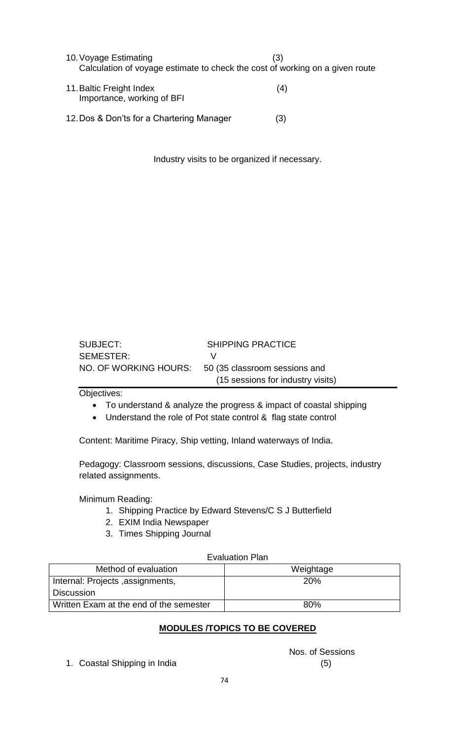10.Voyage Estimating (3) Calculation of voyage estimate to check the cost of working on a given route

- 11.Baltic Freight Index (4) Importance, working of BFI
- 12.Dos & Don'ts for a Chartering Manager (3)

Industry visits to be organized if necessary.

| SUBJECT:  | <b>SHIPPING PRACTICE</b>                            |
|-----------|-----------------------------------------------------|
| SEMESTER: |                                                     |
|           | NO. OF WORKING HOURS: 50 (35 classroom sessions and |
|           | (15 sessions for industry visits)                   |

Objectives:

- To understand & analyze the progress & impact of coastal shipping
- Understand the role of Pot state control & flag state control

Content: Maritime Piracy, Ship vetting, Inland waterways of India.

Pedagogy: Classroom sessions, discussions, Case Studies, projects, industry related assignments.

Minimum Reading:

- 1. Shipping Practice by Edward Stevens/C S J Butterfield
- 2. EXIM India Newspaper
- 3. Times Shipping Journal

## Evaluation Plan

| Method of evaluation                    | Weightage  |
|-----------------------------------------|------------|
| Internal: Projects, assignments,        | <b>20%</b> |
| <b>Discussion</b>                       |            |
| Written Exam at the end of the semester | 80%        |

# **MODULES /TOPICS TO BE COVERED**

1. Coastal Shipping in India (5)

Nos. of Sessions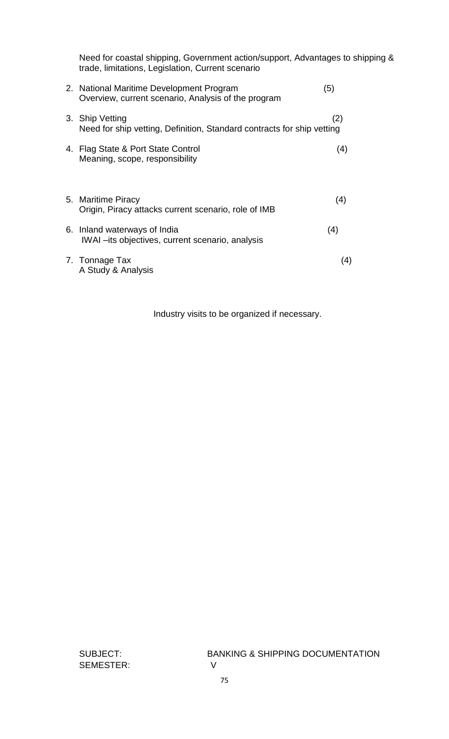Need for coastal shipping, Government action/support, Advantages to shipping & trade, limitations, Legislation, Current scenario

| 2. National Maritime Development Program<br>Overview, current scenario, Analysis of the program | (5) |
|-------------------------------------------------------------------------------------------------|-----|
| 3. Ship Vetting<br>Need for ship vetting, Definition, Standard contracts for ship vetting       | (2) |
| 4. Flag State & Port State Control<br>Meaning, scope, responsibility                            | (4) |
| 5. Maritime Piracy<br>Origin, Piracy attacks current scenario, role of IMB                      | (4) |
| 6. Inland waterways of India<br>IWAI - its objectives, current scenario, analysis               | (4) |
| 7. Tonnage Tax<br>A Study & Analysis                                                            | (4) |

Industry visits to be organized if necessary.

SEMESTER: V

SUBJECT: BANKING & SHIPPING DOCUMENTATION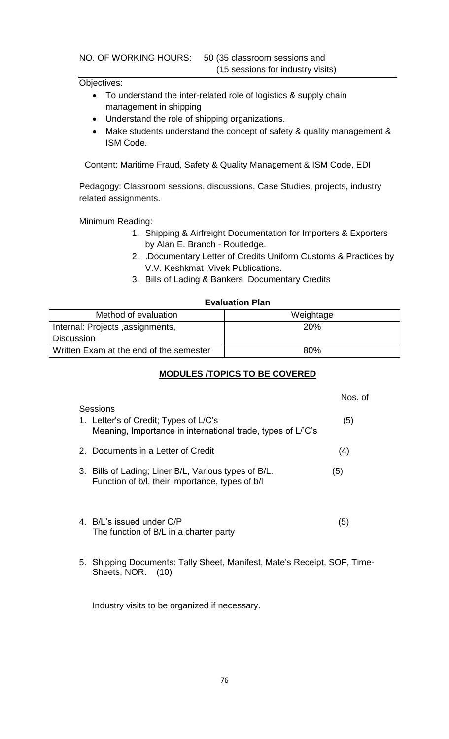NO. OF WORKING HOURS: 50 (35 classroom sessions and

(15 sessions for industry visits)

### Objectives:

- To understand the inter-related role of logistics & supply chain management in shipping
- Understand the role of shipping organizations.
- Make students understand the concept of safety & quality management & ISM Code.

Content: Maritime Fraud, Safety & Quality Management & ISM Code, EDI

Pedagogy: Classroom sessions, discussions, Case Studies, projects, industry related assignments.

Minimum Reading:

- 1. Shipping & Airfreight Documentation for Importers & Exporters by Alan E. Branch - Routledge.
- 2. .Documentary Letter of Credits Uniform Customs & Practices by V.V. Keshkmat ,Vivek Publications.
- 3. Bills of Lading & Bankers Documentary Credits

### **Evaluation Plan**

| Method of evaluation                    | Weightage  |
|-----------------------------------------|------------|
| Internal: Projects, assignments,        | <b>20%</b> |
| <b>Discussion</b>                       |            |
| Written Exam at the end of the semester | 80%        |

## **MODULES /TOPICS TO BE COVERED**

| Sessions                                                                                                | Nos of |  |
|---------------------------------------------------------------------------------------------------------|--------|--|
| 1. Letter's of Credit; Types of L/C's<br>Meaning, Importance in international trade, types of L/'C's    | (5)    |  |
| 2. Documents in a Letter of Credit                                                                      | (4)    |  |
| 3. Bills of Lading; Liner B/L, Various types of B/L.<br>Function of b/l, their importance, types of b/l | (5)    |  |
| 4. B/L's issued under C/P<br>The function of B/L in a charter party                                     | (5)    |  |

5. Shipping Documents: Tally Sheet, Manifest, Mate's Receipt, SOF, Time-Sheets, NOR. (10)

Industry visits to be organized if necessary.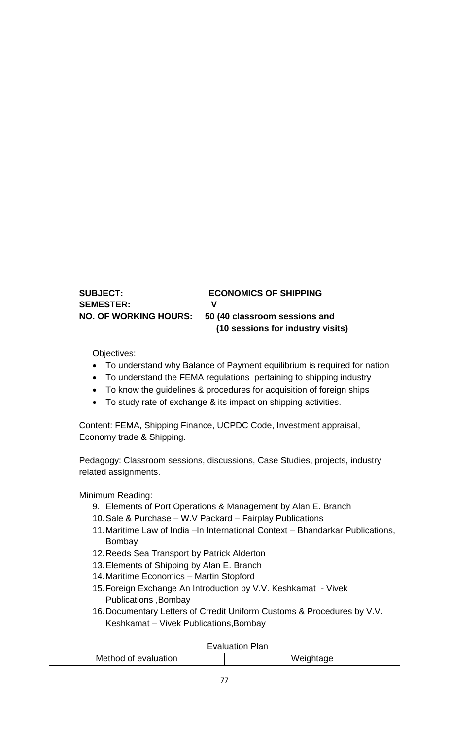| <b>SUBJECT:</b>              | <b>ECONOMICS OF SHIPPING</b>      |
|------------------------------|-----------------------------------|
| <b>SEMESTER:</b>             | v                                 |
| <b>NO. OF WORKING HOURS:</b> | 50 (40 classroom sessions and     |
|                              | (10 sessions for industry visits) |

Objectives:

- To understand why Balance of Payment equilibrium is required for nation
- To understand the FEMA regulations pertaining to shipping industry
- To know the guidelines & procedures for acquisition of foreign ships
- To study rate of exchange & its impact on shipping activities.

Content: FEMA, Shipping Finance, UCPDC Code, Investment appraisal, Economy trade & Shipping.

Pedagogy: Classroom sessions, discussions, Case Studies, projects, industry related assignments.

Minimum Reading:

- 9. Elements of Port Operations & Management by Alan E. Branch
- 10.Sale & Purchase W.V Packard Fairplay Publications
- 11. Maritime Law of India –In International Context Bhandarkar Publications, Bombay
- 12.Reeds Sea Transport by Patrick Alderton
- 13.Elements of Shipping by Alan E. Branch
- 14.Maritime Economics Martin Stopford
- 15.Foreign Exchange An Introduction by V.V. Keshkamat Vivek Publications ,Bombay
- 16.Documentary Letters of Crredit Uniform Customs & Procedures by V.V. Keshkamat – Vivek Publications,Bombay

### Evaluation Plan

| od of evaluation<br>.WG |  |
|-------------------------|--|
|                         |  |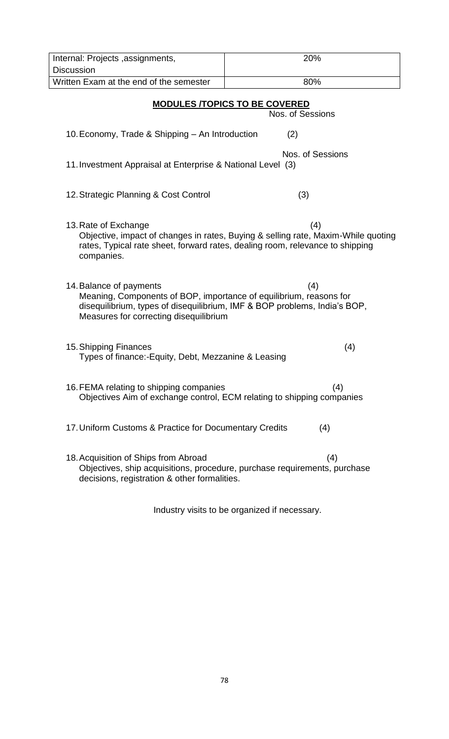| 20%<br>Internal: Projects, assignments,                                                                                                                                                                              |                                                                                                                                                                           |  |  |  |  |  |  |
|----------------------------------------------------------------------------------------------------------------------------------------------------------------------------------------------------------------------|---------------------------------------------------------------------------------------------------------------------------------------------------------------------------|--|--|--|--|--|--|
| <b>Discussion</b>                                                                                                                                                                                                    |                                                                                                                                                                           |  |  |  |  |  |  |
| Written Exam at the end of the semester<br>80%                                                                                                                                                                       |                                                                                                                                                                           |  |  |  |  |  |  |
| <b>MODULES /TOPICS TO BE COVERED</b><br>Nos. of Sessions                                                                                                                                                             |                                                                                                                                                                           |  |  |  |  |  |  |
| 10. Economy, Trade & Shipping - An Introduction<br>(2)                                                                                                                                                               |                                                                                                                                                                           |  |  |  |  |  |  |
| 11. Investment Appraisal at Enterprise & National Level (3)                                                                                                                                                          | Nos. of Sessions                                                                                                                                                          |  |  |  |  |  |  |
| 12. Strategic Planning & Cost Control                                                                                                                                                                                | (3)                                                                                                                                                                       |  |  |  |  |  |  |
| 13. Rate of Exchange<br>companies.                                                                                                                                                                                   | (4)<br>Objective, impact of changes in rates, Buying & selling rate, Maxim-While quoting<br>rates, Typical rate sheet, forward rates, dealing room, relevance to shipping |  |  |  |  |  |  |
| 14. Balance of payments<br>Meaning, Components of BOP, importance of equilibrium, reasons for<br>disequilibrium, types of disequilibrium, IMF & BOP problems, India's BOP,<br>Measures for correcting disequilibrium | (4)                                                                                                                                                                       |  |  |  |  |  |  |
| 15. Shipping Finances<br>Types of finance:-Equity, Debt, Mezzanine & Leasing                                                                                                                                         | (4)                                                                                                                                                                       |  |  |  |  |  |  |
| 16. FEMA relating to shipping companies<br>Objectives Aim of exchange control, ECM relating to shipping companies                                                                                                    | (4)                                                                                                                                                                       |  |  |  |  |  |  |
| 17. Uniform Customs & Practice for Documentary Credits                                                                                                                                                               | (4)                                                                                                                                                                       |  |  |  |  |  |  |
| 18. Acquisition of Ships from Abroad<br>decisions, registration & other formalities.                                                                                                                                 | (4)<br>Objectives, ship acquisitions, procedure, purchase requirements, purchase                                                                                          |  |  |  |  |  |  |

Industry visits to be organized if necessary.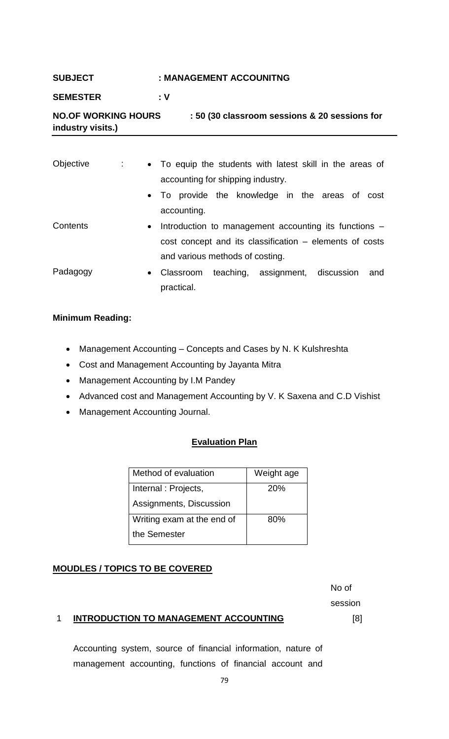## **SUBJECT : MANAGEMENT ACCOUNITNG**

## **SEMESTER : V**

# **NO.OF WORKING HOURS : 50 (30 classroom sessions & 20 sessions for industry visits.)**

| Objective | ÷ | • To equip the students with latest skill in the areas of |  |  |  |  |  |     |
|-----------|---|-----------------------------------------------------------|--|--|--|--|--|-----|
|           |   | accounting for shipping industry.                         |  |  |  |  |  |     |
|           |   | • To provide the knowledge in the areas of cost           |  |  |  |  |  |     |
|           |   | accounting.                                               |  |  |  |  |  |     |
| Contents  |   | • Introduction to management accounting its functions –   |  |  |  |  |  |     |
|           |   | cost concept and its classification – elements of costs   |  |  |  |  |  |     |
|           |   | and various methods of costing.                           |  |  |  |  |  |     |
| Padagogy  |   | • Classroom teaching, assignment, discussion              |  |  |  |  |  | and |
|           |   | practical.                                                |  |  |  |  |  |     |

### **Minimum Reading:**

- Management Accounting Concepts and Cases by N. K Kulshreshta
- Cost and Management Accounting by Jayanta Mitra
- Management Accounting by I.M Pandey
- Advanced cost and Management Accounting by V. K Saxena and C.D Vishist
- Management Accounting Journal.

## **Evaluation Plan**

| Method of evaluation       | Weight age |
|----------------------------|------------|
| Internal: Projects,        | <b>20%</b> |
| Assignments, Discussion    |            |
| Writing exam at the end of | 80%        |
| the Semester               |            |

## **MOUDLES / TOPICS TO BE COVERED**

No of session [8]

## 1 **INTRODUCTION TO MANAGEMENT ACCOUNTING**

Accounting system, source of financial information, nature of management accounting, functions of financial account and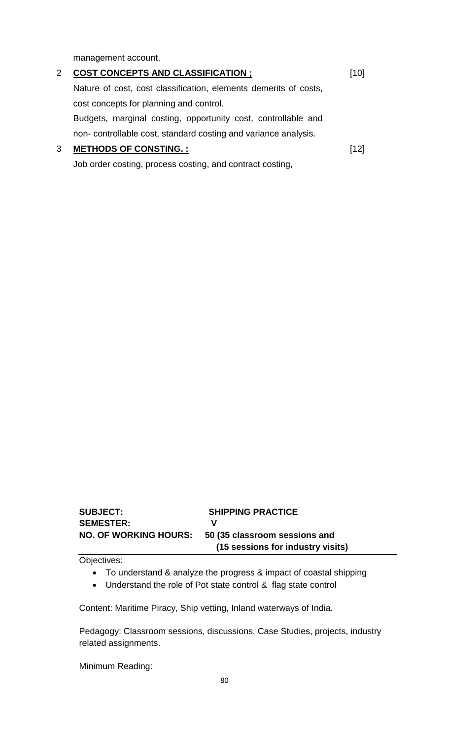management account,

| 2 | <b>COST CONCEPTS AND CLASSIFICATION ;</b>                        | [10] |
|---|------------------------------------------------------------------|------|
|   | Nature of cost, cost classification, elements demerits of costs, |      |
|   | cost concepts for planning and control.                          |      |
|   | Budgets, marginal costing, opportunity cost, controllable and    |      |
|   | non-controllable cost, standard costing and variance analysis.   |      |
| 3 | <b>METHODS OF CONSTING.:</b>                                     | 121  |

Job order costing, process costing, and contract costing,

| <b>SUBJECT:</b>              | <b>SHIPPING PRACTICE</b>          |
|------------------------------|-----------------------------------|
| <b>SEMESTER:</b>             | v                                 |
| <b>NO. OF WORKING HOURS:</b> | 50 (35 classroom sessions and     |
|                              | (15 sessions for industry visits) |

Objectives:

- To understand & analyze the progress & impact of coastal shipping
- Understand the role of Pot state control & flag state control

Content: Maritime Piracy, Ship vetting, Inland waterways of India.

Pedagogy: Classroom sessions, discussions, Case Studies, projects, industry related assignments.

Minimum Reading: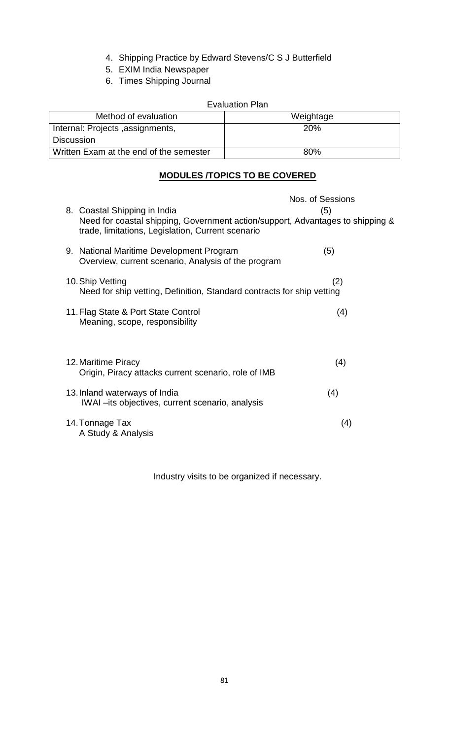- 4. Shipping Practice by Edward Stevens/C S J Butterfield
- 5. EXIM India Newspaper
- 6. Times Shipping Journal

## Evaluation Plan

| Method of evaluation                    | Weightage |
|-----------------------------------------|-----------|
| Internal: Projects, assignments,        | 20%       |
| Discussion                              |           |
| Written Exam at the end of the semester | 80%       |

# **MODULES /TOPICS TO BE COVERED**

|                                                                                                                                                                     | Nos. of Sessions |
|---------------------------------------------------------------------------------------------------------------------------------------------------------------------|------------------|
| 8. Coastal Shipping in India<br>Need for coastal shipping, Government action/support, Advantages to shipping &<br>trade, limitations, Legislation, Current scenario | (5)              |
| 9. National Maritime Development Program<br>Overview, current scenario, Analysis of the program                                                                     | (5)              |
| 10. Ship Vetting<br>Need for ship vetting, Definition, Standard contracts for ship vetting                                                                          | (2)              |
| 11. Flag State & Port State Control<br>Meaning, scope, responsibility                                                                                               | (4)              |
| 12. Maritime Piracy<br>Origin, Piracy attacks current scenario, role of IMB                                                                                         | (4)              |
| 13. Inland waterways of India<br>IWAI – its objectives, current scenario, analysis                                                                                  | (4)              |
| 14. Tonnage Tax<br>A Study & Analysis                                                                                                                               | (4)              |

Industry visits to be organized if necessary.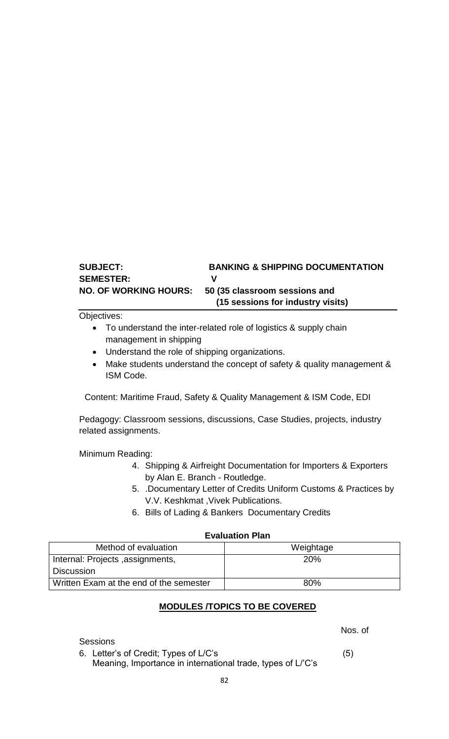# **SUBJECT: BANKING & SHIPPING DOCUMENTATION SEMESTER: V NO. OF WORKING HOURS: 50 (35 classroom sessions and (15 sessions for industry visits)**

Objectives:

- To understand the inter-related role of logistics & supply chain management in shipping
- Understand the role of shipping organizations.
- Make students understand the concept of safety & quality management & ISM Code.

Content: Maritime Fraud, Safety & Quality Management & ISM Code, EDI

Pedagogy: Classroom sessions, discussions, Case Studies, projects, industry related assignments.

Minimum Reading:

- 4. Shipping & Airfreight Documentation for Importers & Exporters by Alan E. Branch - Routledge.
- 5. .Documentary Letter of Credits Uniform Customs & Practices by V.V. Keshkmat ,Vivek Publications.
- 6. Bills of Lading & Bankers Documentary Credits

### **Evaluation Plan**

| Method of evaluation                    | Weightage  |
|-----------------------------------------|------------|
| Internal: Projects, assignments,        | <b>20%</b> |
| <b>Discussion</b>                       |            |
| Written Exam at the end of the semester | 80%        |

## **MODULES /TOPICS TO BE COVERED**

**Sessions** 

Nos. of

6. Letter's of Credit; Types of L/C's (5)

Meaning, Importance in international trade, types of L/'C's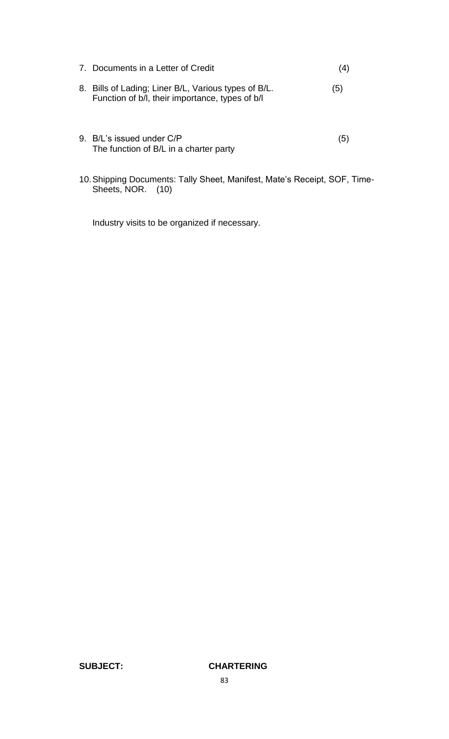| 7. Documents in a Letter of Credit                                                                      | (4) |
|---------------------------------------------------------------------------------------------------------|-----|
| 8. Bills of Lading; Liner B/L, Various types of B/L.<br>Function of b/l, their importance, types of b/l | (5) |
| 9. B/L's issued under C/P                                                                               | 5   |

10.Shipping Documents: Tally Sheet, Manifest, Mate's Receipt, SOF, Time-Sheets, NOR. (10)

Industry visits to be organized if necessary.

The function of B/L in a charter party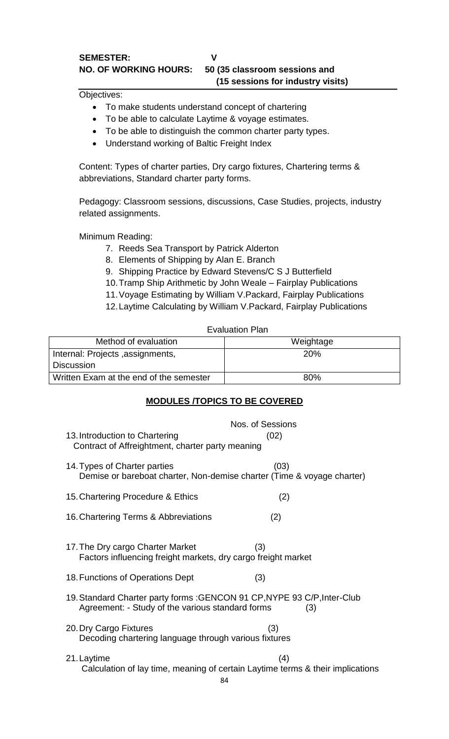Objectives:

- To make students understand concept of chartering
- To be able to calculate Laytime & voyage estimates.
- To be able to distinguish the common charter party types.
- Understand working of Baltic Freight Index

Content: Types of charter parties, Dry cargo fixtures, Chartering terms & abbreviations, Standard charter party forms.

Pedagogy: Classroom sessions, discussions, Case Studies, projects, industry related assignments.

Minimum Reading:

- 7. Reeds Sea Transport by Patrick Alderton
- 8. Elements of Shipping by Alan E. Branch
- 9. Shipping Practice by Edward Stevens/C S J Butterfield
- 10.Tramp Ship Arithmetic by John Weale Fairplay Publications
- 11.Voyage Estimating by William V.Packard, Fairplay Publications
- 12.Laytime Calculating by William V.Packard, Fairplay Publications

Evaluation Plan

| Method of evaluation                    | Weightage  |
|-----------------------------------------|------------|
| Internal: Projects, assignments,        | <b>20%</b> |
| <b>Discussion</b>                       |            |
| Written Exam at the end of the semester | 80%        |

# **MODULES /TOPICS TO BE COVERED**

|                                                                                                                                     | Nos. of Sessions                                                                      |  |
|-------------------------------------------------------------------------------------------------------------------------------------|---------------------------------------------------------------------------------------|--|
| 13. Introduction to Chartering<br>Contract of Affreightment, charter party meaning                                                  | (02)                                                                                  |  |
| 14. Types of Charter parties<br>Demise or bareboat charter, Non-demise charter (Time & voyage charter)                              | (03)                                                                                  |  |
| 15. Chartering Procedure & Ethics                                                                                                   | (2)                                                                                   |  |
| 16. Chartering Terms & Abbreviations                                                                                                | (2)                                                                                   |  |
| (3)<br>17. The Dry cargo Charter Market<br>Factors influencing freight markets, dry cargo freight market                            |                                                                                       |  |
| 18. Functions of Operations Dept                                                                                                    | (3)                                                                                   |  |
| 19. Standard Charter party forms : GENCON 91 CP, NYPE 93 C/P, Inter-Club<br>Agreement: - Study of the various standard forms<br>(3) |                                                                                       |  |
| 20. Dry Cargo Fixtures<br>(3)<br>Decoding chartering language through various fixtures                                              |                                                                                       |  |
| 21. Laytime<br>84                                                                                                                   | (4)<br>Calculation of lay time, meaning of certain Laytime terms & their implications |  |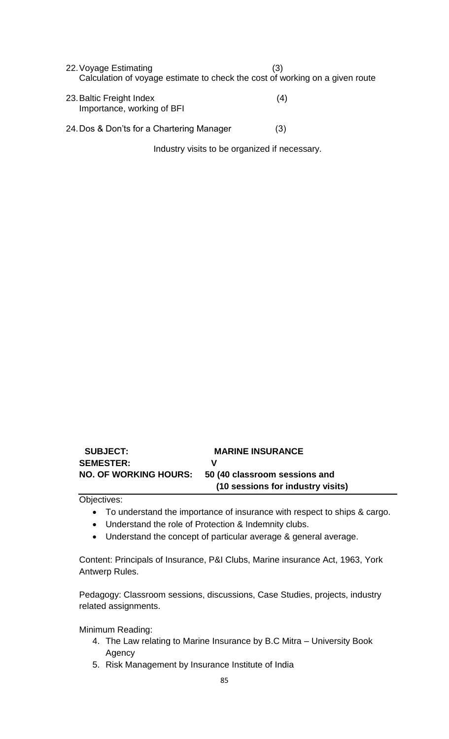| 22. Voyage Estimating<br>Calculation of voyage estimate to check the cost of working on a given route | (3) |
|-------------------------------------------------------------------------------------------------------|-----|
| 23. Baltic Freight Index<br>Importance, working of BFI                                                | (4) |
| 24. Dos & Don'ts for a Chartering Manager                                                             | (3) |

Industry visits to be organized if necessary.

| <b>SUBJECT:</b>              | <b>MARINE INSURANCE</b>           |
|------------------------------|-----------------------------------|
| <b>SEMESTER:</b>             | v                                 |
| <b>NO. OF WORKING HOURS:</b> | 50 (40 classroom sessions and     |
|                              | (10 sessions for industry visits) |

Objectives:

- To understand the importance of insurance with respect to ships & cargo.
- Understand the role of Protection & Indemnity clubs.
- Understand the concept of particular average & general average.

Content: Principals of Insurance, P&I Clubs, Marine insurance Act, 1963, York Antwerp Rules.

Pedagogy: Classroom sessions, discussions, Case Studies, projects, industry related assignments.

Minimum Reading:

- 4. The Law relating to Marine Insurance by B.C Mitra University Book Agency
- 5. Risk Management by Insurance Institute of India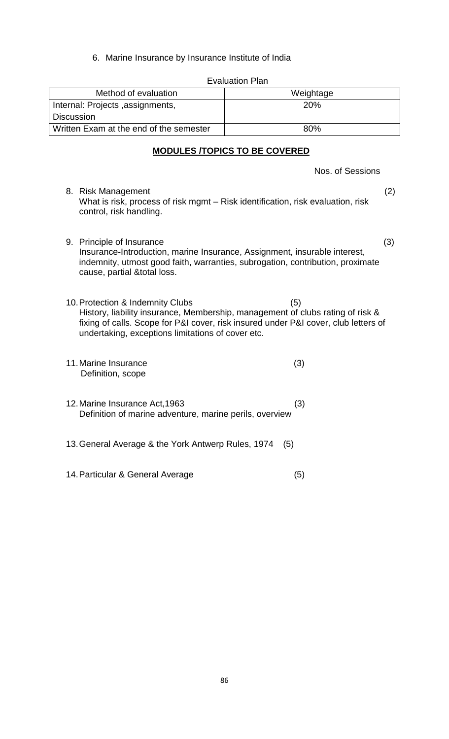6. Marine Insurance by Insurance Institute of India

| Method of evaluation                                                                                                                   | Weightage                                                                                                                                                                    |
|----------------------------------------------------------------------------------------------------------------------------------------|------------------------------------------------------------------------------------------------------------------------------------------------------------------------------|
| Internal: Projects, assignments,                                                                                                       | 20%                                                                                                                                                                          |
| <b>Discussion</b>                                                                                                                      |                                                                                                                                                                              |
| Written Exam at the end of the semester                                                                                                | 80%                                                                                                                                                                          |
|                                                                                                                                        | <b>MODULES /TOPICS TO BE COVERED</b>                                                                                                                                         |
|                                                                                                                                        | Nos. of Sessions                                                                                                                                                             |
| 8. Risk Management<br>What is risk, process of risk mgmt – Risk identification, risk evaluation, risk<br>control, risk handling.       | (2)                                                                                                                                                                          |
| 9. Principle of Insurance<br>Insurance-Introduction, marine Insurance, Assignment, insurable interest,<br>cause, partial & total loss. | (3)<br>indemnity, utmost good faith, warranties, subrogation, contribution, proximate                                                                                        |
| 10. Protection & Indemnity Clubs<br>undertaking, exceptions limitations of cover etc.                                                  | (5)<br>History, liability insurance, Membership, management of clubs rating of risk &<br>fixing of calls. Scope for P&I cover, risk insured under P&I cover, club letters of |
| 11. Marine Insurance<br>Definition, scope                                                                                              | (3)                                                                                                                                                                          |
| 12. Marine Insurance Act, 1963<br>Definition of marine adventure, marine perils, overview                                              | (3)                                                                                                                                                                          |
| 13. General Average & the York Antwerp Rules, 1974                                                                                     | (5)                                                                                                                                                                          |
| 14. Particular & General Average                                                                                                       | (5)                                                                                                                                                                          |

Evaluation Plan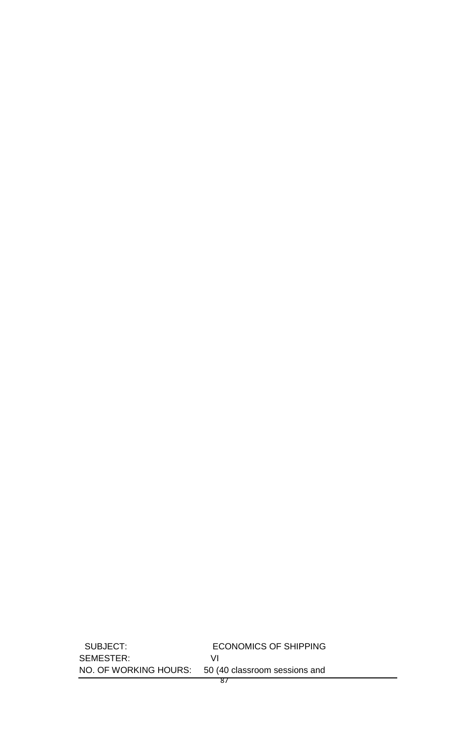SUBJECT: ECONOMICS OF SHIPPING SEMESTER: VI<br>NO. OF WORKING HOURS: 50 (4 50 (40 classroom sessions and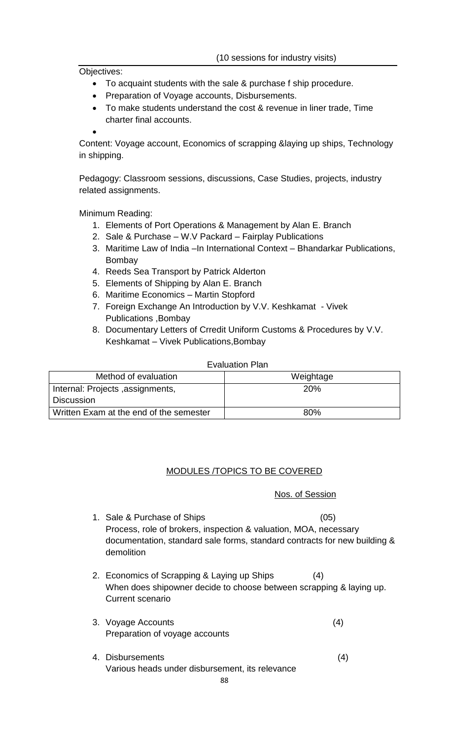Objectives:

- To acquaint students with the sale & purchase f ship procedure.
- Preparation of Voyage accounts, Disbursements.
- To make students understand the cost & revenue in liner trade, Time charter final accounts.

 $\bullet$ 

Content: Voyage account, Economics of scrapping &laying up ships, Technology in shipping.

Pedagogy: Classroom sessions, discussions, Case Studies, projects, industry related assignments.

Minimum Reading:

- 1. Elements of Port Operations & Management by Alan E. Branch
- 2. Sale & Purchase W.V Packard Fairplay Publications
- 3. Maritime Law of India –In International Context Bhandarkar Publications, Bombay
- 4. Reeds Sea Transport by Patrick Alderton
- 5. Elements of Shipping by Alan E. Branch
- 6. Maritime Economics Martin Stopford
- 7. Foreign Exchange An Introduction by V.V. Keshkamat Vivek Publications ,Bombay
- 8. Documentary Letters of Crredit Uniform Customs & Procedures by V.V. Keshkamat – Vivek Publications,Bombay

#### Evaluation Plan

| Method of evaluation                    | Weightage  |
|-----------------------------------------|------------|
| Internal: Projects, assignments,        | <b>20%</b> |
| <b>Discussion</b>                       |            |
| Written Exam at the end of the semester | 80%        |

### MODULES /TOPICS TO BE COVERED

### Nos. of Session

- 1. Sale & Purchase of Ships (05) Process, role of brokers, inspection & valuation, MOA, necessary documentation, standard sale forms, standard contracts for new building & demolition
- 2. Economics of Scrapping & Laying up Ships (4) When does shipowner decide to choose between scrapping & laying up. Current scenario
- 3. Voyage Accounts (4) Preparation of voyage accounts
- 4. Disbursements (4) Various heads under disbursement, its relevance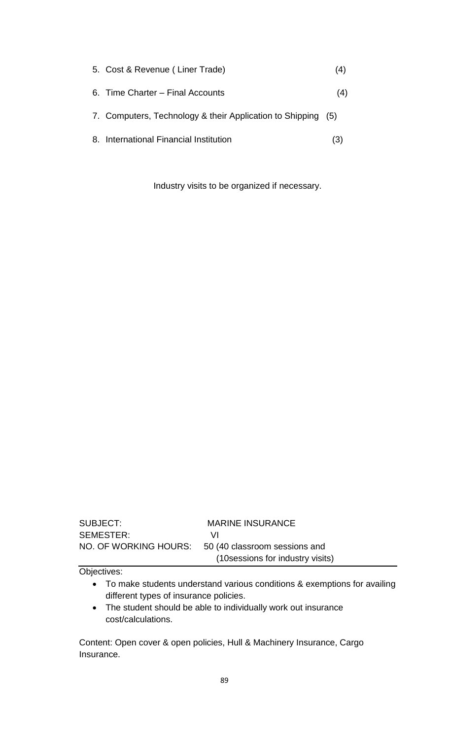| 5. Cost & Revenue (Liner Trade)                              | (4) |
|--------------------------------------------------------------|-----|
| 6. Time Charter – Final Accounts                             | (4) |
| 7. Computers, Technology & their Application to Shipping (5) |     |
| 8. International Financial Institution                       |     |

Industry visits to be organized if necessary.

| SUBJECT:  | <b>MARINE INSURANCE</b>                             |
|-----------|-----------------------------------------------------|
| SEMESTER: | VΙ                                                  |
|           | NO. OF WORKING HOURS: 50 (40 classroom sessions and |
|           | (10 sessions for industry visits)                   |

Objectives:

- To make students understand various conditions & exemptions for availing different types of insurance policies.
- The student should be able to individually work out insurance cost/calculations.

Content: Open cover & open policies, Hull & Machinery Insurance, Cargo Insurance.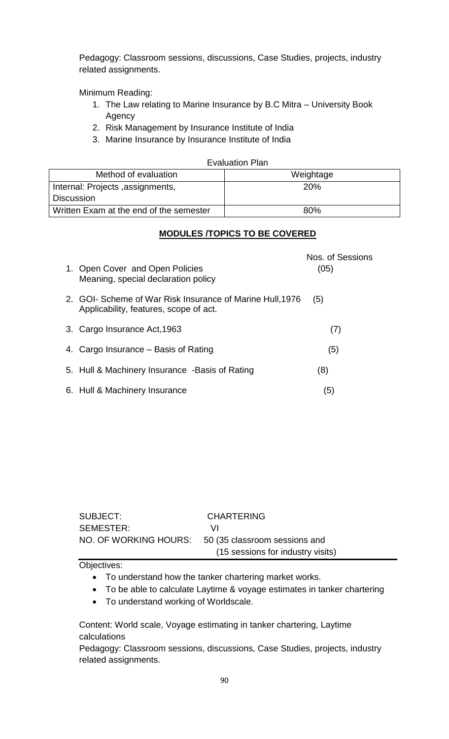Pedagogy: Classroom sessions, discussions, Case Studies, projects, industry related assignments.

Minimum Reading:

- 1. The Law relating to Marine Insurance by B.C Mitra University Book Agency
- 2. Risk Management by Insurance Institute of India
- 3. Marine Insurance by Insurance Institute of India

#### Evaluation Plan

| Method of evaluation                    | Weightage  |
|-----------------------------------------|------------|
| Internal: Projects, assignments,        | <b>20%</b> |
| <sup>1</sup> Discussion                 |            |
| Written Exam at the end of the semester | 80%        |

### **MODULES /TOPICS TO BE COVERED**

| 1. Open Cover and Open Policies<br>Meaning, special declaration policy                              | Nos. of Sessions<br>(05) |
|-----------------------------------------------------------------------------------------------------|--------------------------|
| 2. GOI- Scheme of War Risk Insurance of Marine Hull, 1976<br>Applicability, features, scope of act. | (5)                      |
| 3. Cargo Insurance Act, 1963                                                                        | (7)                      |
| 4. Cargo Insurance – Basis of Rating                                                                | (5)                      |
| 5. Hull & Machinery Insurance -Basis of Rating                                                      | (8)                      |
| 6. Hull & Machinery Insurance                                                                       | (5)                      |

| SUBJECT:  | <b>CHARTERING</b>                                   |
|-----------|-----------------------------------------------------|
| SEMESTER: | VI.                                                 |
|           | NO. OF WORKING HOURS: 50 (35 classroom sessions and |
|           | (15 sessions for industry visits)                   |

Objectives:

- To understand how the tanker chartering market works.
- To be able to calculate Laytime & voyage estimates in tanker chartering
- To understand working of Worldscale.

Content: World scale, Voyage estimating in tanker chartering, Laytime calculations

Pedagogy: Classroom sessions, discussions, Case Studies, projects, industry related assignments.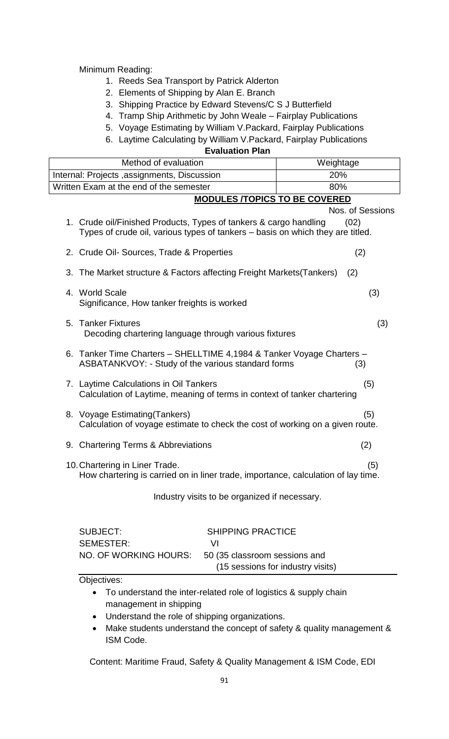Minimum Reading:

- 1. Reeds Sea Transport by Patrick Alderton
- 2. Elements of Shipping by Alan E. Branch
- 3. Shipping Practice by Edward Stevens/C S J Butterfield
- 4. Tramp Ship Arithmetic by John Weale Fairplay Publications
- 5. Voyage Estimating by William V.Packard, Fairplay Publications
- 6. Laytime Calculating by William V.Packard, Fairplay Publications

## **Evaluation Plan**

| Method of evaluation                                                                                                       |                                                                                                                           | Weightage                                                                                                                                           |                  |
|----------------------------------------------------------------------------------------------------------------------------|---------------------------------------------------------------------------------------------------------------------------|-----------------------------------------------------------------------------------------------------------------------------------------------------|------------------|
| Internal: Projects, assignments, Discussion                                                                                |                                                                                                                           | 20%                                                                                                                                                 |                  |
|                                                                                                                            | Written Exam at the end of the semester                                                                                   |                                                                                                                                                     | 80%              |
|                                                                                                                            |                                                                                                                           | <b>MODULES /TOPICS TO BE COVERED</b>                                                                                                                |                  |
|                                                                                                                            |                                                                                                                           |                                                                                                                                                     | Nos. of Sessions |
|                                                                                                                            |                                                                                                                           | 1. Crude oil/Finished Products, Types of tankers & cargo handling<br>Types of crude oil, various types of tankers – basis on which they are titled. | (02)             |
|                                                                                                                            |                                                                                                                           | 2. Crude Oil- Sources, Trade & Properties                                                                                                           | (2)              |
|                                                                                                                            |                                                                                                                           | 3. The Market structure & Factors affecting Freight Markets (Tankers)                                                                               | (2)              |
|                                                                                                                            | 4. World Scale                                                                                                            | Significance, How tanker freights is worked                                                                                                         | (3)              |
|                                                                                                                            | 5. Tanker Fixtures<br>Decoding chartering language through various fixtures                                               |                                                                                                                                                     | (3)              |
|                                                                                                                            |                                                                                                                           | 6. Tanker Time Charters - SHELLTIME 4,1984 & Tanker Voyage Charters -<br>ASBATANKVOY: - Study of the various standard forms                         | (3)              |
|                                                                                                                            | 7. Laytime Calculations in Oil Tankers<br>(5)<br>Calculation of Laytime, meaning of terms in context of tanker chartering |                                                                                                                                                     |                  |
|                                                                                                                            | 8. Voyage Estimating (Tankers)                                                                                            | Calculation of voyage estimate to check the cost of working on a given route.                                                                       | (5)              |
|                                                                                                                            | 9. Chartering Terms & Abbreviations<br>(2)                                                                                |                                                                                                                                                     |                  |
| 10. Chartering in Liner Trade.<br>(5)<br>How chartering is carried on in liner trade, importance, calculation of lay time. |                                                                                                                           |                                                                                                                                                     |                  |
|                                                                                                                            |                                                                                                                           | Industry visits to be organized if necessary.                                                                                                       |                  |
|                                                                                                                            | <b>SUBJECT:</b><br><b>SEMESTER:</b>                                                                                       | <b>SHIPPING PRACTICE</b><br>VI                                                                                                                      |                  |

Objectives:

 To understand the inter-related role of logistics & supply chain management in shipping

NO. OF WORKING HOURS: 50 (35 classroom sessions and

- Understand the role of shipping organizations.
- Make students understand the concept of safety & quality management & ISM Code.

(15 sessions for industry visits)

Content: Maritime Fraud, Safety & Quality Management & ISM Code, EDI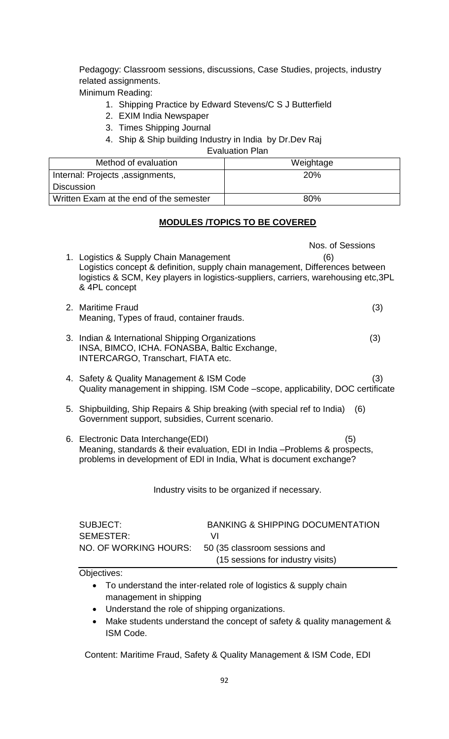Pedagogy: Classroom sessions, discussions, Case Studies, projects, industry related assignments.

Minimum Reading:

- 1. Shipping Practice by Edward Stevens/C S J Butterfield
- 2. EXIM India Newspaper
- 3. Times Shipping Journal
- 4. Ship & Ship building Industry in India by Dr.Dev Raj

## Evaluation Plan

| Method of evaluation                    | Weightage  |
|-----------------------------------------|------------|
| Internal: Projects, assignments,        | <b>20%</b> |
| <b>Discussion</b>                       |            |
| Written Exam at the end of the semester | 80%        |

# **MODULES /TOPICS TO BE COVERED**

Nos. of Sessions 1. Logistics & Supply Chain Management (6) Logistics concept & definition, supply chain management, Differences between logistics & SCM, Key players in logistics-suppliers, carriers, warehousing etc,3PL & 4PL concept 2. Maritime Fraud (3) Meaning, Types of fraud, container frauds. 3. Indian & International Shipping Organizations (3) INSA, BIMCO, ICHA. FONASBA, Baltic Exchange, INTERCARGO, Transchart, FIATA etc. 4. Safety & Quality Management & ISM Code (3) Quality management in shipping. ISM Code –scope, applicability, DOC certificate 5. Shipbuilding, Ship Repairs & Ship breaking (with special ref to India) (6) Government support, subsidies, Current scenario. 6. Electronic Data Interchange(EDI) (5) Meaning, standards & their evaluation, EDI in India –Problems & prospects, problems in development of EDI in India, What is document exchange? Industry visits to be organized if necessary. SUBJECT: BANKING & SHIPPING DOCUMENTATION SEMESTER: VI NO. OF WORKING HOURS: 50 (35 classroom sessions and (15 sessions for industry visits)

Objectives:

- To understand the inter-related role of logistics & supply chain management in shipping
- Understand the role of shipping organizations.
- Make students understand the concept of safety & quality management & ISM Code.

Content: Maritime Fraud, Safety & Quality Management & ISM Code, EDI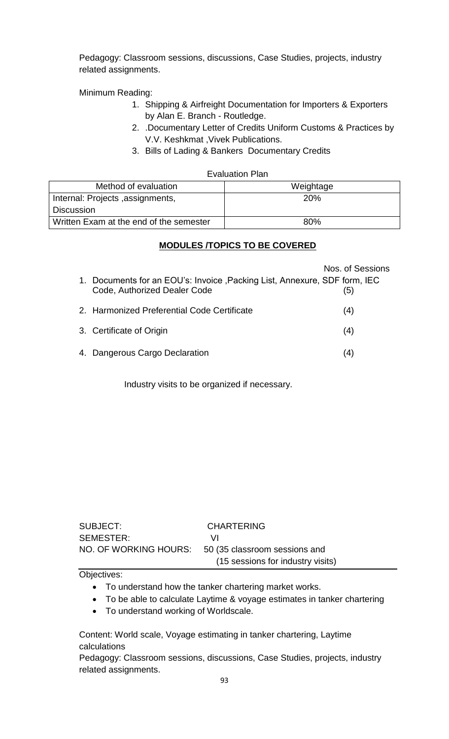Pedagogy: Classroom sessions, discussions, Case Studies, projects, industry related assignments.

Minimum Reading:

- 1. Shipping & Airfreight Documentation for Importers & Exporters by Alan E. Branch - Routledge.
- 2. .Documentary Letter of Credits Uniform Customs & Practices by V.V. Keshkmat ,Vivek Publications.
- 3. Bills of Lading & Bankers Documentary Credits

#### Evaluation Plan

| Method of evaluation                    | Weightage  |
|-----------------------------------------|------------|
| Internal: Projects , assignments,       | <b>20%</b> |
| <b>Discussion</b>                       |            |
| Written Exam at the end of the semester | 80%        |

#### **MODULES /TOPICS TO BE COVERED**

|    |                                                                                                               | Nos. of Sessions |
|----|---------------------------------------------------------------------------------------------------------------|------------------|
| 1. | Documents for an EOU's: Invoice, Packing List, Annexure, SDF form, IEC<br><b>Code, Authorized Dealer Code</b> | (5)              |
|    | 2. Harmonized Preferential Code Certificate                                                                   | (4)              |
|    | 3. Certificate of Origin                                                                                      | (4)              |
|    | 4. Dangerous Cargo Declaration                                                                                | (4)              |

Industry visits to be organized if necessary.

| SUBJECT:              | <b>CHARTERING</b>                 |
|-----------------------|-----------------------------------|
| SEMESTER:             | VI                                |
| NO. OF WORKING HOURS: | 50 (35 classroom sessions and     |
|                       | (15 sessions for industry visits) |

Objectives:

- To understand how the tanker chartering market works.
- To be able to calculate Laytime & voyage estimates in tanker chartering
- To understand working of Worldscale.

Content: World scale, Voyage estimating in tanker chartering, Laytime calculations

Pedagogy: Classroom sessions, discussions, Case Studies, projects, industry related assignments.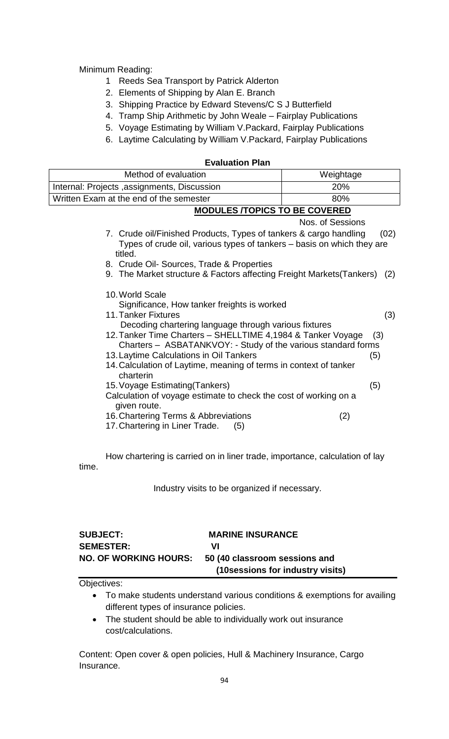Minimum Reading:

- 1 Reeds Sea Transport by Patrick Alderton
- 2. Elements of Shipping by Alan E. Branch
- 3. Shipping Practice by Edward Stevens/C S J Butterfield
- 4. Tramp Ship Arithmetic by John Weale Fairplay Publications
- 5. Voyage Estimating by William V.Packard, Fairplay Publications
- 6. Laytime Calculating by William V.Packard, Fairplay Publications

#### **Evaluation Plan**

| Method of evaluation                                                                                                                                                                                                                                                                                                                                                                                        | Weightage         |
|-------------------------------------------------------------------------------------------------------------------------------------------------------------------------------------------------------------------------------------------------------------------------------------------------------------------------------------------------------------------------------------------------------------|-------------------|
| Internal: Projects , assignments, Discussion<br>20%                                                                                                                                                                                                                                                                                                                                                         |                   |
| Written Exam at the end of the semester                                                                                                                                                                                                                                                                                                                                                                     | 80%               |
| <b>MODULES /TOPICS TO BE COVERED</b>                                                                                                                                                                                                                                                                                                                                                                        |                   |
|                                                                                                                                                                                                                                                                                                                                                                                                             | Nos. of Sessions  |
| 7. Crude oil/Finished Products, Types of tankers & cargo handling<br>Types of crude oil, various types of tankers – basis on which they are<br>titled.                                                                                                                                                                                                                                                      | (02)              |
| 8. Crude Oil- Sources, Trade & Properties                                                                                                                                                                                                                                                                                                                                                                   |                   |
| 9. The Market structure & Factors affecting Freight Markets (Tankers) (2)                                                                                                                                                                                                                                                                                                                                   |                   |
| 10. World Scale<br>Significance, How tanker freights is worked<br>11. Tanker Fixtures<br>Decoding chartering language through various fixtures<br>12. Tanker Time Charters - SHELLTIME 4,1984 & Tanker Voyage<br>Charters - ASBATANKVOY: - Study of the various standard forms<br>13. Laytime Calculations in Oil Tankers<br>14. Calculation of Laytime, meaning of terms in context of tanker<br>charterin | (3)<br>(3)<br>(5) |
| 15. Voyage Estimating (Tankers)                                                                                                                                                                                                                                                                                                                                                                             | (5)               |
| Calculation of voyage estimate to check the cost of working on a<br>given route.<br>16. Chartering Terms & Abbreviations<br>17. Chartering in Liner Trade.<br>(5)                                                                                                                                                                                                                                           | (2)               |

How chartering is carried on in liner trade, importance, calculation of lay time.

Industry visits to be organized if necessary.

| <b>SUBJECT:</b>              | <b>MARINE INSURANCE</b>           |
|------------------------------|-----------------------------------|
| <b>SEMESTER:</b>             | vı                                |
| <b>NO. OF WORKING HOURS:</b> | 50 (40 classroom sessions and     |
|                              | (10 sessions for industry visits) |

Objectives:

- To make students understand various conditions & exemptions for availing different types of insurance policies.
- The student should be able to individually work out insurance cost/calculations.

Content: Open cover & open policies, Hull & Machinery Insurance, Cargo Insurance.